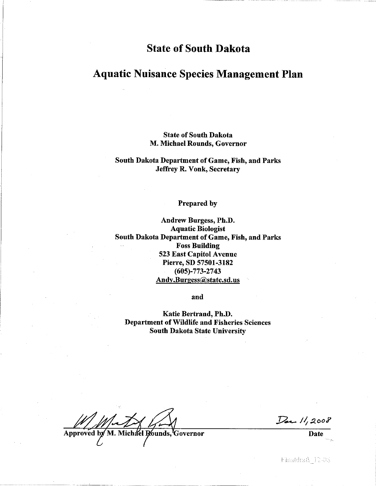# **State of South Dakota**

# **Aquatic Nuisance Species Management Plan**

### **State of South Dakota** M. Michael Rounds, Governor

### South Dakota Department of Game, Fish, and Parks **Jeffrey R. Vonk, Secretary**

#### Prepared by

Andrew Burgess, Ph.D. **Aquatic Biologist** South Dakota Department of Game, Fish, and Parks **Foss Building** 523 East Capitol Avenue Pierre, SD 57501-3182  $(605) - 773 - 2743$ Andy.Burgess@state.sd.us

and

Katie Bertrand, Ph.D. **Department of Wildlife and Fisheries Sciences South Dakota State University** 

Approved by Michael Rounds, Governor

Dec 11,2008

**Date** 

Finaldrail 12-38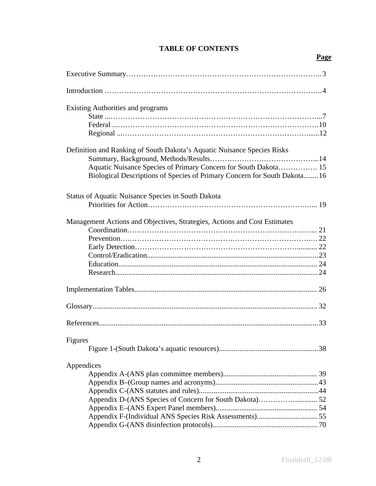# **Page**

| <b>Existing Authorities and programs</b>                                                                                                                                                                               |
|------------------------------------------------------------------------------------------------------------------------------------------------------------------------------------------------------------------------|
| Definition and Ranking of South Dakota's Aquatic Nuisance Species Risks<br>Aquatic Nuisance Species of Primary Concern for South Dakota 15<br>Biological Descriptions of Species of Primary Concern for South Dakota16 |
| <b>Status of Aquatic Nuisance Species in South Dakota</b>                                                                                                                                                              |
| Management Actions and Objectives, Strategies, Actions and Cost Estimates                                                                                                                                              |
|                                                                                                                                                                                                                        |
|                                                                                                                                                                                                                        |
|                                                                                                                                                                                                                        |
| Figures                                                                                                                                                                                                                |
| Appendices                                                                                                                                                                                                             |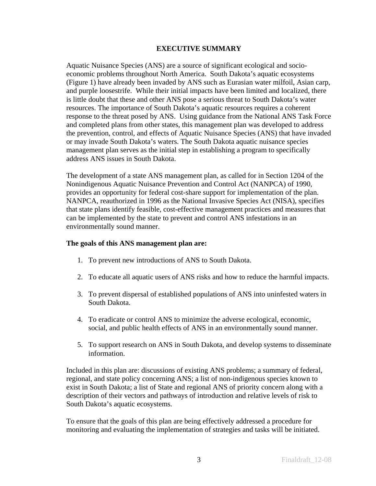### **EXECUTIVE SUMMARY**

Aquatic Nuisance Species (ANS) are a source of significant ecological and socioeconomic problems throughout North America. South Dakota's aquatic ecosystems (Figure 1) have already been invaded by ANS such as Eurasian water milfoil, Asian carp, and purple loosestrife. While their initial impacts have been limited and localized, there is little doubt that these and other ANS pose a serious threat to South Dakota's water resources. The importance of South Dakota's aquatic resources requires a coherent response to the threat posed by ANS. Using guidance from the National ANS Task Force and completed plans from other states, this management plan was developed to address the prevention, control, and effects of Aquatic Nuisance Species (ANS) that have invaded or may invade South Dakota's waters. The South Dakota aquatic nuisance species management plan serves as the initial step in establishing a program to specifically address ANS issues in South Dakota.

The development of a state ANS management plan, as called for in Section 1204 of the Nonindigenous Aquatic Nuisance Prevention and Control Act (NANPCA) of 1990, provides an opportunity for federal cost-share support for implementation of the plan. NANPCA, reauthorized in 1996 as the National Invasive Species Act (NISA), specifies that state plans identify feasible, cost-effective management practices and measures that can be implemented by the state to prevent and control ANS infestations in an environmentally sound manner.

### **The goals of this ANS management plan are:**

- 1. To prevent new introductions of ANS to South Dakota.
- 2. To educate all aquatic users of ANS risks and how to reduce the harmful impacts.
- 3. To prevent dispersal of established populations of ANS into uninfested waters in South Dakota.
- 4. To eradicate or control ANS to minimize the adverse ecological, economic, social, and public health effects of ANS in an environmentally sound manner.
- 5. To support research on ANS in South Dakota, and develop systems to disseminate information.

Included in this plan are: discussions of existing ANS problems; a summary of federal, regional, and state policy concerning ANS; a list of non-indigenous species known to exist in South Dakota; a list of State and regional ANS of priority concern along with a description of their vectors and pathways of introduction and relative levels of risk to South Dakota's aquatic ecosystems.

To ensure that the goals of this plan are being effectively addressed a procedure for monitoring and evaluating the implementation of strategies and tasks will be initiated.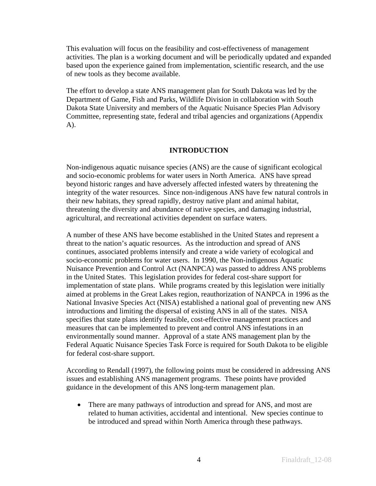This evaluation will focus on the feasibility and cost-effectiveness of management activities. The plan is a working document and will be periodically updated and expanded based upon the experience gained from implementation, scientific research, and the use of new tools as they become available.

The effort to develop a state ANS management plan for South Dakota was led by the Department of Game, Fish and Parks, Wildlife Division in collaboration with South Dakota State University and members of the Aquatic Nuisance Species Plan Advisory Committee, representing state, federal and tribal agencies and organizations (Appendix A).

## **INTRODUCTION**

Non-indigenous aquatic nuisance species (ANS) are the cause of significant ecological and socio-economic problems for water users in North America. ANS have spread beyond historic ranges and have adversely affected infested waters by threatening the integrity of the water resources. Since non-indigenous ANS have few natural controls in their new habitats, they spread rapidly, destroy native plant and animal habitat, threatening the diversity and abundance of native species, and damaging industrial, agricultural, and recreational activities dependent on surface waters.

A number of these ANS have become established in the United States and represent a threat to the nation's aquatic resources. As the introduction and spread of ANS continues, associated problems intensify and create a wide variety of ecological and socio-economic problems for water users. In 1990, the Non-indigenous Aquatic Nuisance Prevention and Control Act (NANPCA) was passed to address ANS problems in the United States. This legislation provides for federal cost-share support for implementation of state plans. While programs created by this legislation were initially aimed at problems in the Great Lakes region, reauthorization of NANPCA in 1996 as the National Invasive Species Act (NISA) established a national goal of preventing new ANS introductions and limiting the dispersal of existing ANS in all of the states. NISA specifies that state plans identify feasible, cost-effective management practices and measures that can be implemented to prevent and control ANS infestations in an environmentally sound manner. Approval of a state ANS management plan by the Federal Aquatic Nuisance Species Task Force is required for South Dakota to be eligible for federal cost-share support.

According to Rendall (1997), the following points must be considered in addressing ANS issues and establishing ANS management programs. These points have provided guidance in the development of this ANS long-term management plan.

• There are many pathways of introduction and spread for ANS, and most are related to human activities, accidental and intentional. New species continue to be introduced and spread within North America through these pathways.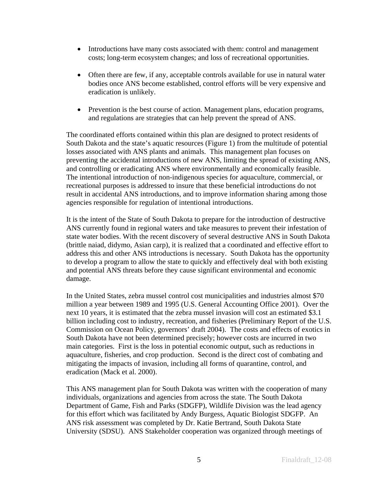- Introductions have many costs associated with them: control and management costs; long-term ecosystem changes; and loss of recreational opportunities.
- Often there are few, if any, acceptable controls available for use in natural water bodies once ANS become established, control efforts will be very expensive and eradication is unlikely.
- Prevention is the best course of action. Management plans, education programs, and regulations are strategies that can help prevent the spread of ANS.

The coordinated efforts contained within this plan are designed to protect residents of South Dakota and the state's aquatic resources (Figure 1) from the multitude of potential losses associated with ANS plants and animals. This management plan focuses on preventing the accidental introductions of new ANS, limiting the spread of existing ANS, and controlling or eradicating ANS where environmentally and economically feasible. The intentional introduction of non-indigenous species for aquaculture, commercial, or recreational purposes is addressed to insure that these beneficial introductions do not result in accidental ANS introductions, and to improve information sharing among those agencies responsible for regulation of intentional introductions.

It is the intent of the State of South Dakota to prepare for the introduction of destructive ANS currently found in regional waters and take measures to prevent their infestation of state water bodies. With the recent discovery of several destructive ANS in South Dakota (brittle naiad, didymo, Asian carp), it is realized that a coordinated and effective effort to address this and other ANS introductions is necessary. South Dakota has the opportunity to develop a program to allow the state to quickly and effectively deal with both existing and potential ANS threats before they cause significant environmental and economic damage.

In the United States, zebra mussel control cost municipalities and industries almost \$70 million a year between 1989 and 1995 (U.S. General Accounting Office 2001). Over the next 10 years, it is estimated that the zebra mussel invasion will cost an estimated \$3.1 billion including cost to industry, recreation, and fisheries (Preliminary Report of the U.S. Commission on Ocean Policy, governors' draft 2004). The costs and effects of exotics in South Dakota have not been determined precisely; however costs are incurred in two main categories. First is the loss in potential economic output, such as reductions in aquaculture, fisheries, and crop production. Second is the direct cost of combating and mitigating the impacts of invasion, including all forms of quarantine, control, and eradication (Mack et al. 2000).

This ANS management plan for South Dakota was written with the cooperation of many individuals, organizations and agencies from across the state. The South Dakota Department of Game, Fish and Parks (SDGFP), Wildlife Division was the lead agency for this effort which was facilitated by Andy Burgess, Aquatic Biologist SDGFP. An ANS risk assessment was completed by Dr. Katie Bertrand, South Dakota State University (SDSU). ANS Stakeholder cooperation was organized through meetings of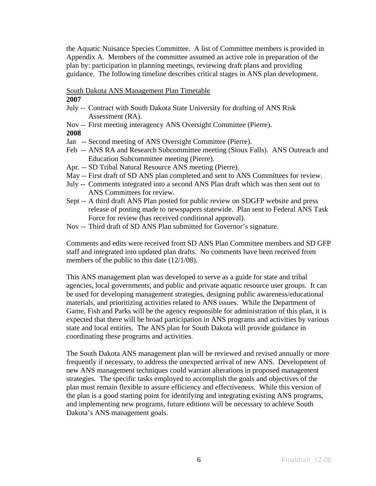the Aquatic Nuisance Species Committee. A list of Committee members is provided in Appendix A. Members of the committee assumed an active role in preparation of the plan by: participation in planning meetings, reviewing draft plans and providing guidance. The following timeline describes critical stages in ANS plan development.

### South Dakota ANS Management Plan Timetable

### **2007**

- July -- Contract with South Dakota State University for drafting of ANS Risk Assessment (RA).
- Nov -- First meeting interagency ANS Oversight Committee (Pierre).
- **2008**
- Jan -- Second meeting of ANS Oversight Committee (Pierre).
- Feb -- ANS RA and Research Subcommittee meeting (Sioux Falls). ANS Outreach and Education Subcommittee meeting (Pierre).
- Apr. -- SD Tribal Natural Resource ANS meeting (Pierre).
- May -- First draft of SD ANS plan completed and sent to ANS Committees for review.
- July -- Comments integrated into a second ANS Plan draft which was then sent out to ANS Committees for review.
- Sept -- A third draft ANS Plan posted for public review on SDGFP website and press release of posting made to newspapers statewide. Plan sent to Federal ANS Task Force for review (has received conditional approval).
- Nov -- Third draft of SD ANS Plan submitted for Governor's signature.

Comments and edits were received from SD ANS Plan Committee members and SD GFP staff and integrated into updated plan drafts. No comments have been received from members of the public to this date (12/1/08).

This ANS management plan was developed to serve as a guide for state and tribal agencies, local governments, and public and private aquatic resource user groups. It can be used for developing management strategies, designing public awareness/educational materials, and prioritizing activities related to ANS issues. While the Department of Game, Fish and Parks will be the agency responsible for administration of this plan, it is expected that there will be broad participation in ANS programs and activities by various state and local entities. The ANS plan for South Dakota will provide guidance in coordinating these programs and activities.

The South Dakota ANS management plan will be reviewed and revised annually or more frequently if necessary, to address the unexpected arrival of new ANS. Development of new ANS management techniques could warrant alterations in proposed management strategies. The specific tasks employed to accomplish the goals and objectives of the plan must remain flexible to assure efficiency and effectiveness. While this version of the plan is a good starting point for identifying and integrating existing ANS programs, and implementing new programs, future editions will be necessary to achieve South Dakota's ANS management goals.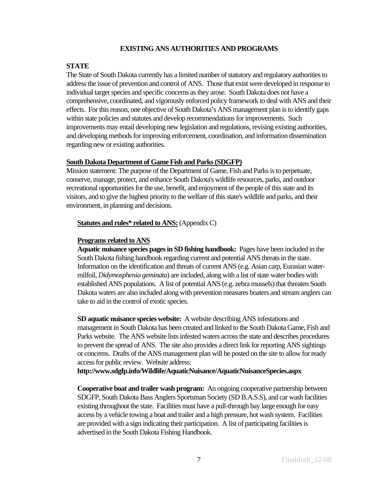## **EXISTING ANS AUTHORITIES AND PROGRAMS**

## **STATE**

The State of South Dakota currently has a limited number of statutory and regulatory authorities to address the issue of prevention and control of ANS. Those that exist were developed in response to individual target species and specific concerns as they arose. South Dakota does not have a comprehensive, coordinated, and vigorously enforced policy framework to deal with ANS and their effects. For this reason, one objective of South Dakota's ANS management plan is to identify gaps within state policies and statutes and develop recommendations for improvements. Such improvements may entail developing new legislation and regulations, revising existing authorities, and developing methods for improving enforcement, coordination, and information dissemination regarding new or existing authorities.

## **South Dakota Department of Game Fish and Parks (SDGFP)**

Mission statement: The purpose of the Department of Game, Fish and Parks is to perpetuate, conserve, manage, protect, and enhance South Dakota's wildlife resources, parks, and outdoor recreational opportunities for the use, benefit, and enjoyment of the people of this state and its visitors, and to give the highest priority to the welfare of this state's wildlife and parks, and their environment, in planning and decisions.

### **Statutes and rules\* related to ANS:** (Appendix C)

## **Programs related to ANS**

**Aquatic nuisance species pages in SD fishing handbook:** Pages have been included in the South Dakota fishing handbook regarding current and potential ANS threats in the state. Information on the identification and threats of current ANS (e.g. Asian carp, Eurasian watermilfoil, *Didymosphenia geminata*) are included, along with a list of state water bodies with established ANS populations. A list of potential ANS (e.g. zebra mussels) that threaten South Dakota waters are also included along with prevention measures boaters and stream anglers can take to aid in the control of exotic species.

**SD aquatic nuisance species website:** A website describing ANS infestations and management in South Dakota has been created and linked to the South Dakota Game, Fish and Parks website. The ANS website lists infested waters across the state and describes procedures to prevent the spread of ANS. The site also provides a direct link for reporting ANS sightings or concerns. Drafts of the ANS management plan will be posted on the site to allow for ready access for public review. Website address:

**http://www.sdgfp.info/Wildlife/AquaticNuisance/AquaticNuisanceSpecies.aspx**

**Cooperative boat and trailer wash program:** An ongoing cooperative partnership between SDGFP, South Dakota Bass Anglers Sportsman Society (SD B.A.S.S), and car wash facilities existing throughout the state. Facilities must have a pull-through bay large enough for easy access by a vehicle towing a boat and trailer and a high pressure, hot wash system. Facilities are provided with a sign indicating their participation. A list of participating facilities is advertised in the South Dakota Fishing Handbook.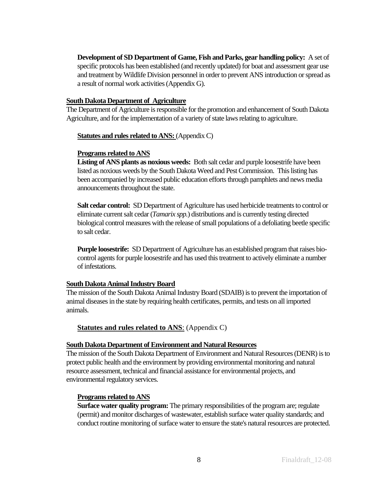**Development of SD Department of Game, Fish and Parks, gear handling policy:** A set of specific protocols has been established (and recently updated) for boat and assessment gear use and treatment by Wildlife Division personnel in order to prevent ANS introduction or spread as a result of normal work activities (Appendix G).

#### **South Dakota Department of Agriculture**

The Department of Agriculture is responsible for the promotion and enhancement of South Dakota Agriculture, and for the implementation of a variety of state laws relating to agriculture.

### **Statutes and rules related to ANS:** (Appendix C)

#### **Programs related to ANS**

**Listing of ANS plants as noxious weeds:** Both salt cedar and purple loosestrife have been listed as noxious weeds by the South Dakota Weed and Pest Commission. This listing has been accompanied by increased public education efforts through pamphlets and news media announcements throughout the state.

**Salt cedar control:** SD Department of Agriculture has used herbicide treatments to control or eliminate current salt cedar (*Tamarix spp.*) distributions and is currently testing directed biological control measures with the release of small populations of a defoliating beetle specific to salt cedar.

**Purple loosestrife:** SD Department of Agriculture has an established program that raises biocontrol agents for purple loosestrife and has used this treatment to actively eliminate a number of infestations.

### **South Dakota Animal Industry Board**

The mission of the South Dakota Animal Industry Board (SDAIB) is to prevent the importation of animal diseases in the state by requiring health certificates, permits, and tests on all imported animals.

### **Statutes and rules related to ANS:** (Appendix C)

#### **South Dakota Department of Environment and Natural Resources**

The mission of the South Dakota Department of Environment and Natural Resources (DENR) is to protect public health and the environment by providing environmental monitoring and natural resource assessment, technical and financial assistance for environmental projects, and environmental regulatory services.

### **Programs related to ANS**

**Surface water quality program:** The primary responsibilities of the program are; regulate (permit) and monitor discharges of wastewater, establish surface water quality standards; and conduct routine monitoring of surface water to ensure the state's natural resources are protected.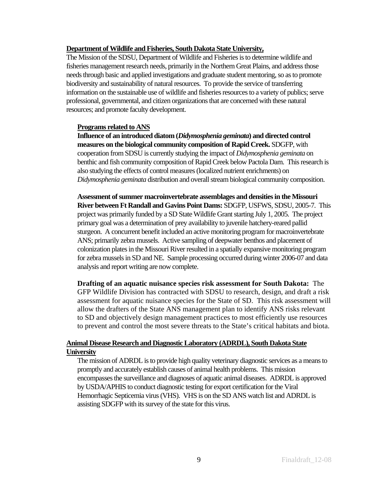## **Department of Wildlife and Fisheries, South Dakota State University,**

The Mission of the SDSU, Department of Wildlife and Fisheries is to determine wildlife and fisheries management research needs, primarily in the Northern Great Plains, and address those needs through basic and applied investigations and graduate student mentoring, so as to promote biodiversity and sustainability of natural resources. To provide the service of transferring information on the sustainable use of wildlife and fisheries resources to a variety of publics; serve professional, governmental, and citizen organizations that are concerned with these natural resources; and promote faculty development.

## **Programs related to ANS**

**Influence of an introduced diatom (***Didymosphenia geminata***) and directed control measures on the biological community composition of Rapid Creek.** SDGFP, with cooperation from SDSU is currently studying the impact of *Didymosphenia geminata* on benthic and fish community composition of Rapid Creek below Pactola Dam. This research is also studying the effects of control measures (localized nutrient enrichments) on *Didymosphenia geminata* distribution and overall stream biological community composition.

**Assessment of summer macroinvertebrate assemblages and densities in the Missouri River between Ft Randall and Gavins Point Dams:** SDGFP, USFWS, SDSU, 2005-7. This project was primarily funded by a SD State Wildlife Grant starting July 1, 2005. The project primary goal was a determination of prey availability to juvenile hatchery-reared pallid sturgeon. A concurrent benefit included an active monitoring program for macroinvertebrate ANS; primarily zebra mussels. Active sampling of deepwater benthos and placement of colonization plates in the Missouri River resulted in a spatially expansive monitoring program for zebra mussels in SD and NE. Sample processing occurred during winter 2006-07 and data analysis and report writing are now complete.

**Drafting of an aquatic nuisance species risk assessment for South Dakota:** The GFP Wildlife Division has contracted with SDSU to research, design, and draft a risk assessment for aquatic nuisance species for the State of SD. This risk assessment will allow the drafters of the State ANS management plan to identify ANS risks relevant to SD and objectively design management practices to most efficiently use resources to prevent and control the most severe threats to the State's critical habitats and biota.

## **Animal Disease Research and Diagnostic Laboratory (ADRDL), South Dakota State University**

The mission of ADRDL is to provide high quality veterinary diagnostic services as a means to promptly and accurately establish causes of animal health problems. This mission encompasses the surveillance and diagnoses of aquatic animal diseases. ADRDL is approved by USDA/APHIS to conduct diagnostic testing for export certification for the Viral Hemorrhagic Septicemia virus (VHS). VHS is on the SD ANS watch list and ADRDL is assisting SDGFP with its survey of the state for this virus.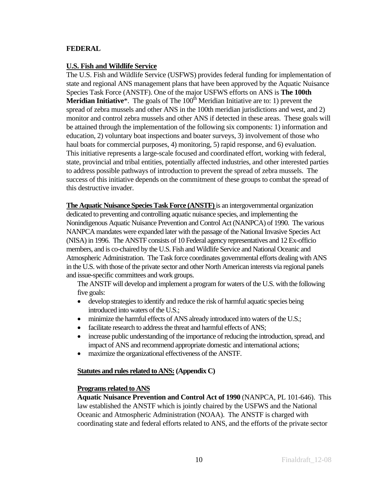## **FEDERAL**

### **U.S. Fish and Wildlife Service**

The U.S. Fish and Wildlife Service (USFWS) provides federal funding for implementation of state and regional ANS management plans that have been approved by the Aquatic Nuisance Species Task Force (ANSTF). One of the major USFWS efforts on ANS is **The 100th Meridian Initiative**<sup>\*</sup>. The goals of The  $100<sup>th</sup>$  Meridian Initiative are to: 1) prevent the spread of zebra mussels and other ANS in the 100th meridian jurisdictions and west, and 2) monitor and control zebra mussels and other ANS if detected in these areas. These goals will be attained through the implementation of the following six components: 1) information and education, 2) voluntary boat inspections and boater surveys, 3) involvement of those who haul boats for commercial purposes, 4) monitoring, 5) rapid response, and 6) evaluation. This initiative represents a large-scale focused and coordinated effort, working with federal, state, provincial and tribal entities, potentially affected industries, and other interested parties to address possible pathways of introduction to prevent the spread of zebra mussels. The success of this initiative depends on the commitment of these groups to combat the spread of this destructive invader.

**The Aquatic Nuisance Species Task Force (ANSTF)** is an intergovernmental organization dedicated to preventing and controlling aquatic nuisance species, and implementing the Nonindigenous Aquatic Nuisance Prevention and Control Act (NANPCA) of 1990. The various NANPCA mandates were expanded later with the passage of the National Invasive Species Act (NISA) in 1996. The ANSTF consists of 10 Federal agency representatives and 12 Ex-officio members, and is co-chaired by the U.S. Fish and Wildlife Service and National Oceanic and Atmospheric Administration. The Task force coordinates governmental efforts dealing with ANS in the U.S. with those of the private sector and other North American interests via regional panels and issue-specific committees and work groups.

The ANSTF will develop and implement a program for waters of the U.S. with the following five goals:

- develop strategies to identify and reduce the risk of harmful aquatic species being introduced into waters of the U.S.;
- minimize the harmful effects of ANS already introduced into waters of the U.S.;
- facilitate research to address the threat and harmful effects of ANS;
- increase public understanding of the importance of reducing the introduction, spread, and impact of ANS and recommend appropriate domestic and international actions;
- maximize the organizational effectiveness of the ANSTF.

### **Statutes and rules related to ANS: (Appendix C)**

### **Programs related to ANS**

**Aquatic Nuisance Prevention and Control Act of 1990** (NANPCA, PL 101-646). This law established the ANSTF which is jointly chaired by the USFWS and the National Oceanic and Atmospheric Administration (NOAA). The ANSTF is charged with coordinating state and federal efforts related to ANS, and the efforts of the private sector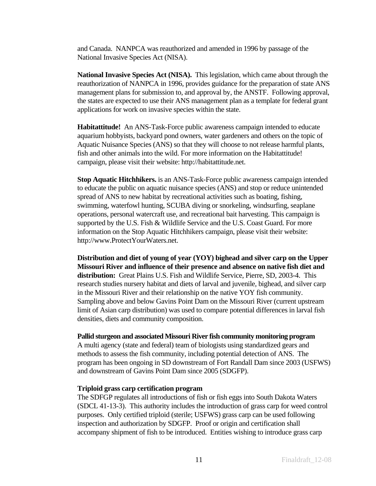and Canada. NANPCA was reauthorized and amended in 1996 by passage of the National Invasive Species Act (NISA).

**National Invasive Species Act (NISA).** This legislation, which came about through the reauthorization of NANPCA in 1996, provides guidance for the preparation of state ANS management plans for submission to, and approval by, the ANSTF. Following approval, the states are expected to use their ANS management plan as a template for federal grant applications for work on invasive species within the state.

**Habitattitude!** An ANS-Task-Force public awareness campaign intended to educate aquarium hobbyists, backyard pond owners, water gardeners and others on the topic of Aquatic Nuisance Species (ANS) so that they will choose to not release harmful plants, fish and other animals into the wild. For more information on the Habitattitude! campaign, please visit their website: http://habitattitude.net.

**Stop Aquatic Hitchhikers.** is an ANS-Task-Force public awareness campaign intended to educate the public on aquatic nuisance species (ANS) and stop or reduce unintended spread of ANS to new habitat by recreational activities such as boating, fishing, swimming, waterfowl hunting, SCUBA diving or snorkeling, windsurfing, seaplane operations, personal watercraft use, and recreational bait harvesting. This campaign is supported by the U.S. Fish & Wildlife Service and the U.S. Coast Guard. For more information on the Stop Aquatic Hitchhikers campaign, please visit their website: http://www.ProtectYourWaters.net.

**Distribution and diet of young of year (YOY) bighead and silver carp on the Upper Missouri River and influence of their presence and absence on native fish diet and distribution:** Great Plains U.S. Fish and Wildlife Service, Pierre, SD, 2003-4. This research studies nursery habitat and diets of larval and juvenile, bighead, and silver carp in the Missouri River and their relationship on the native YOY fish community. Sampling above and below Gavins Point Dam on the Missouri River (current upstream limit of Asian carp distribution) was used to compare potential differences in larval fish densities, diets and community composition.

### **Pallid sturgeon and associated Missouri River fish community monitoring program**

A multi agency (state and federal) team of biologists using standardized gears and methods to assess the fish community, including potential detection of ANS. The program has been ongoing in SD downstream of Fort Randall Dam since 2003 (USFWS) and downstream of Gavins Point Dam since 2005 (SDGFP).

### **Triploid grass carp certification program**

The SDFGP regulates all introductions of fish or fish eggs into South Dakota Waters (SDCL 41-13-3). This authority includes the introduction of grass carp for weed control purposes. Only certified triploid (sterile; USFWS) grass carp can be used following inspection and authorization by SDGFP. Proof or origin and certification shall accompany shipment of fish to be introduced. Entities wishing to introduce grass carp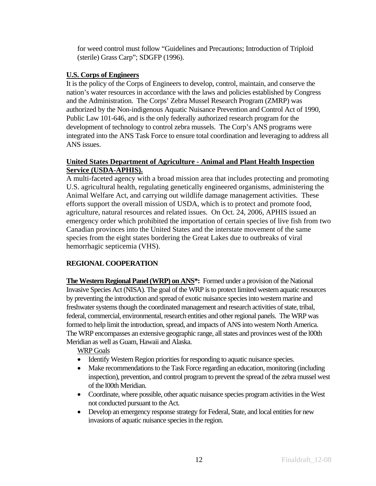for weed control must follow "Guidelines and Precautions; Introduction of Triploid (sterile) Grass Carp"; SDGFP (1996).

## **U.S. Corps of Engineers**

It is the policy of the Corps of Engineers to develop, control, maintain, and conserve the nation's water resources in accordance with the laws and policies established by Congress and the Administration. The Corps' Zebra Mussel Research Program (ZMRP) was authorized by the Non-indigenous Aquatic Nuisance Prevention and Control Act of 1990, Public Law 101-646, and is the only federally authorized research program for the development of technology to control zebra mussels. The Corp's ANS programs were integrated into the ANS Task Force to ensure total coordination and leveraging to address all ANS issues.

## **United States Department of Agriculture - Animal and Plant Health Inspection Service (USDA-APHIS).**

A multi-faceted agency with a broad mission area that includes protecting and promoting U.S. agricultural health, regulating genetically engineered organisms, administering the Animal Welfare Act, and carrying out wildlife damage management activities. These efforts support the overall mission of USDA, which is to protect and promote food, agriculture, natural resources and related issues. On Oct. 24, 2006, APHIS issued an emergency order which prohibited the importation of certain species of live fish from two Canadian provinces into the United States and the interstate movement of the same species from the eight states bordering the Great Lakes due to outbreaks of viral hemorrhagic septicemia (VHS).

## **REGIONAL COOPERATION**

**The Western Regional Panel (WRP) on ANS\*:** Formed under a provision of the National Invasive Species Act (NISA). The goal of the WRP is to protect limited western aquatic resources by preventing the introduction and spread of exotic nuisance species into western marine and freshwater systems though the coordinated management and research activities of state, tribal, federal, commercial, environmental, research entities and other regional panels. The WRP was formed to help limit the introduction, spread, and impacts of ANS into western North America. The WRP encompasses an extensive geographic range, all states and provinces west of the l00th Meridian as well as Guam, Hawaii and Alaska.

WRP Goals

- Identify Western Region priorities for responding to aquatic nuisance species.
- Make recommendations to the Task Force regarding an education, monitoring (including inspection), prevention, and control program to prevent the spread of the zebra mussel west of the l00th Meridian.
- Coordinate, where possible, other aquatic nuisance species program activities in the West not conducted pursuant to the Act.
- Develop an emergency response strategy for Federal, State, and local entities for new invasions of aquatic nuisance species in the region.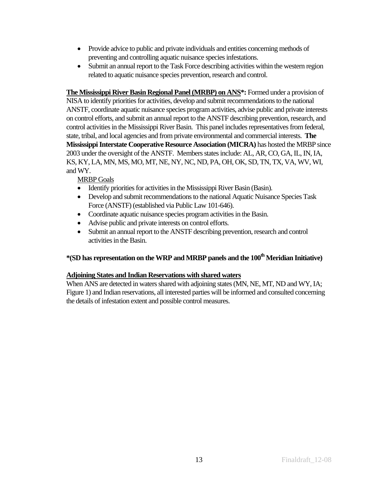- Provide advice to public and private individuals and entities concerning methods of preventing and controlling aquatic nuisance species infestations.
- Submit an annual report to the Task Force describing activities within the western region related to aquatic nuisance species prevention, research and control.

**The Mississippi River Basin Regional Panel (MRBP) on ANS\*:** Formed under a provision of NISA to identify priorities for activities, develop and submit recommendations to the national ANSTF, coordinate aquatic nuisance species program activities, advise public and private interests on control efforts, and submit an annual report to the ANSTF describing prevention, research, and control activities in the Mississippi River Basin. This panel includes representatives from federal, state, tribal, and local agencies and from private environmental and commercial interests. **The Mississippi Interstate Cooperative Resource Association (MICRA)** has hosted the MRBP since 2003 under the oversight of the ANSTF. Members states include: AL, AR, CO, GA, IL, IN, IA, KS, KY, LA, MN, MS, MO, MT, NE, NY, NC, ND, PA, OH, OK, SD, TN, TX, VA, WV, WI, and WY.

MRBP Goals

- Identify priorities for activities in the Mississippi River Basin (Basin).
- Develop and submit recommendations to the national Aquatic Nuisance Species Task Force (ANSTF) (established via Public Law 101-646).
- Coordinate aquatic nuisance species program activities in the Basin.
- Advise public and private interests on control efforts.
- Submit an annual report to the ANSTF describing prevention, research and control activities in the Basin.

# **\*(SD has representation on the WRP and MRBP panels and the 100th Meridian Initiative)**

## **Adjoining States and Indian Reservations with shared waters**

When ANS are detected in waters shared with adjoining states (MN, NE, MT, ND and WY, IA; Figure 1) and Indian reservations, all interested parties will be informed and consulted concerning the details of infestation extent and possible control measures.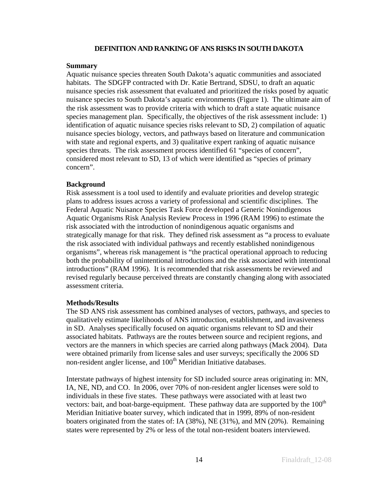### **DEFINITION AND RANKING OF ANS RISKS IN SOUTH DAKOTA**

### **Summary**

Aquatic nuisance species threaten South Dakota's aquatic communities and associated habitats. The SDGFP contracted with Dr. Katie Bertrand, SDSU, to draft an aquatic nuisance species risk assessment that evaluated and prioritized the risks posed by aquatic nuisance species to South Dakota's aquatic environments (Figure 1). The ultimate aim of the risk assessment was to provide criteria with which to draft a state aquatic nuisance species management plan. Specifically, the objectives of the risk assessment include: 1) identification of aquatic nuisance species risks relevant to SD, 2) compilation of aquatic nuisance species biology, vectors, and pathways based on literature and communication with state and regional experts, and 3) qualitative expert ranking of aquatic nuisance species threats. The risk assessment process identified 61 "species of concern", considered most relevant to SD, 13 of which were identified as "species of primary concern".

## **Background**

Risk assessment is a tool used to identify and evaluate priorities and develop strategic plans to address issues across a variety of professional and scientific disciplines. The Federal Aquatic Nuisance Species Task Force developed a Generic Nonindigenous Aquatic Organisms Risk Analysis Review Process in 1996 (RAM 1996) to estimate the risk associated with the introduction of nonindigenous aquatic organisms and strategically manage for that risk. They defined risk assessment as "a process to evaluate the risk associated with individual pathways and recently established nonindigenous organisms", whereas risk management is "the practical operational approach to reducing both the probability of unintentional introductions and the risk associated with intentional introductions" (RAM 1996). It is recommended that risk assessments be reviewed and revised regularly because perceived threats are constantly changing along with associated assessment criteria.

## **Methods/Results**

The SD ANS risk assessment has combined analyses of vectors, pathways, and species to qualitatively estimate likelihoods of ANS introduction, establishment, and invasiveness in SD. Analyses specifically focused on aquatic organisms relevant to SD and their associated habitats. Pathways are the routes between source and recipient regions, and vectors are the manners in which species are carried along pathways (Mack 2004). Data were obtained primarily from license sales and user surveys; specifically the 2006 SD non-resident angler license, and 100<sup>th</sup> Meridian Initiative databases.

Interstate pathways of highest intensity for SD included source areas originating in: MN, IA, NE, ND, and CO. In 2006, over 70% of non-resident angler licenses were sold to individuals in these five states. These pathways were associated with at least two vectors: bait, and boat-barge-equipment. These pathway data are supported by the  $100<sup>th</sup>$ Meridian Initiative boater survey, which indicated that in 1999, 89% of non-resident boaters originated from the states of: IA (38%), NE (31%), and MN (20%). Remaining states were represented by 2% or less of the total non-resident boaters interviewed.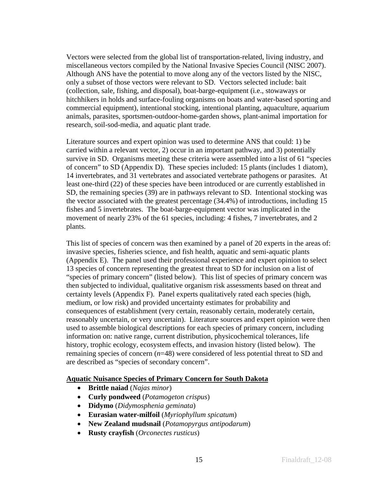Vectors were selected from the global list of transportation-related, living industry, and miscellaneous vectors compiled by the National Invasive Species Council (NISC 2007). Although ANS have the potential to move along any of the vectors listed by the NISC, only a subset of those vectors were relevant to SD. Vectors selected include: bait (collection, sale, fishing, and disposal), boat-barge-equipment (i.e., stowaways or hitchhikers in holds and surface-fouling organisms on boats and water-based sporting and commercial equipment), intentional stocking, intentional planting, aquaculture, aquarium animals, parasites, sportsmen-outdoor-home-garden shows, plant-animal importation for research, soil-sod-media, and aquatic plant trade.

Literature sources and expert opinion was used to determine ANS that could: 1) be carried within a relevant vector, 2) occur in an important pathway, and 3) potentially survive in SD. Organisms meeting these criteria were assembled into a list of 61 "species of concern" to SD (Appendix D). These species included: 15 plants (includes 1 diatom), 14 invertebrates, and 31 vertebrates and associated vertebrate pathogens or parasites. At least one-third (22) of these species have been introduced or are currently established in SD, the remaining species (39) are in pathways relevant to SD. Intentional stocking was the vector associated with the greatest percentage (34.4%) of introductions, including 15 fishes and 5 invertebrates. The boat-barge-equipment vector was implicated in the movement of nearly 23% of the 61 species, including: 4 fishes, 7 invertebrates, and 2 plants.

This list of species of concern was then examined by a panel of 20 experts in the areas of: invasive species, fisheries science, and fish health, aquatic and semi-aquatic plants (Appendix E). The panel used their professional experience and expert opinion to select 13 species of concern representing the greatest threat to SD for inclusion on a list of "species of primary concern" (listed below). This list of species of primary concern was then subjected to individual, qualitative organism risk assessments based on threat and certainty levels (Appendix F). Panel experts qualitatively rated each species (high, medium, or low risk) and provided uncertainty estimates for probability and consequences of establishment (very certain, reasonably certain, moderately certain, reasonably uncertain, or very uncertain). Literature sources and expert opinion were then used to assemble biological descriptions for each species of primary concern, including information on: native range, current distribution, physicochemical tolerances, life history, trophic ecology, ecosystem effects, and invasion history (listed below). The remaining species of concern (*n*=48) were considered of less potential threat to SD and are described as "species of secondary concern".

### **Aquatic Nuisance Species of Primary Concern for South Dakota**

- **Brittle naiad** (*Najas minor*)
- **Curly pondweed** (*Potamogeton crispus*)
- **Didymo** (*Didymosphenia geminata*)
- **Eurasian water-milfoil** (*Myriophyllum spicatum*)
- **New Zealand mudsnail** (*Potamopyrgus antipodarum*)
- **Rusty crayfish** (*Orconectes rusticus*)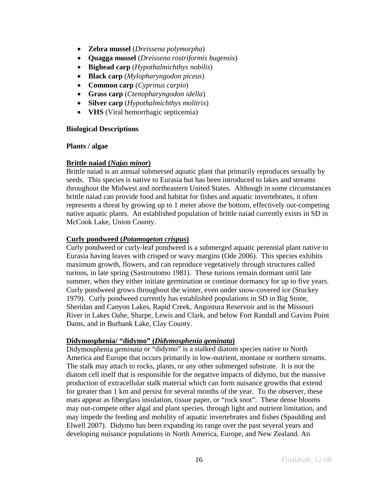- **Zebra mussel** (*Dreissena polymorpha*)
- **Quagga mussel** (*Dreissena rostriformis bugensis*)
- **Bighead carp** (*Hypothalmichthys nobilis*)
- **Black carp** (*Mylopharyngodon piceus*)
- **Common carp** (*Cyprinus carpio*)
- **Grass carp** (*Ctenopharyngodon idella*)
- **Silver carp** (*Hypothalmichthys molitrix*)
- **VHS** (Viral hemorrhagic septicemia)

### **Biological Descriptions**

### **Plants / algae**

## **Brittle naiad (***Najas minor***)**

Brittle naiad is an annual submersed aquatic plant that primarily reproduces sexually by seeds. This species is native to Eurasia but has been introduced to lakes and streams throughout the Midwest and northeastern United States. Although in some circumstances brittle naiad can provide food and habitat for fishes and aquatic invertebrates, it often represents a threat by growing up to 1 meter above the bottom, effectively out-competing native aquatic plants. An established population of brittle naiad currently exists in SD in McCook Lake, Union County.

## **Curly pondweed (***Potamogeton crispus***)**

Curly pondweed or curly-leaf pondweed is a submerged aquatic perennial plant native to Eurasia having leaves with crisped or wavy margins (Ode 2006). This species exhibits maximum growth, flowers, and can reproduce vegetatively through structures called turions, in late spring (Sastroutomo 1981). These turions remain dormant until late summer, when they either initiate germination or continue dormancy for up to five years. Curly pondweed grows throughout the winter, even under snow-covered ice (Stuckey 1979). Curly pondweed currently has established populations in SD in Big Stone, Sheridan and Canyon Lakes, Rapid Creek, Angostura Reservoir and in the Missouri River in Lakes Oahe, Sharpe, Lewis and Clark, and below Fort Randall and Gavins Point Dams, and in Burbank Lake, Clay County.

## **Didymosphenia/ "didymo" (***Didymosphenia geminata***)**

Didymosphenia *geminata* or "didymo" is a stalked diatom species native to North America and Europe that occurs primarily in low-nutrient, montane or northern streams. The stalk may attach to rocks, plants, or any other submerged substrate. It is not the diatom cell itself that is responsible for the negative impacts of didymo, but the massive production of extracellular stalk material which can form nuisance growths that extend for greater than 1 km and persist for several months of the year. To the observer, these mats appear as fiberglass insulation, tissue paper, or "rock snot". These dense blooms may out-compete other algal and plant species, through light and nutrient limitation, and may impede the feeding and mobility of aquatic invertebrates and fishes (Spaulding and Elwell 2007). Didymo has been expanding its range over the past several years and developing nuisance populations in North America, Europe, and New Zealand. An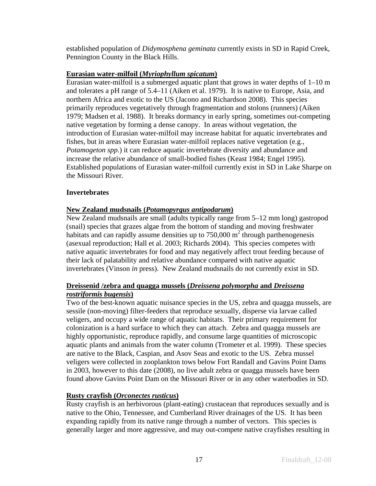established population of *Didymosphena geminata* currently exists in SD in Rapid Creek, Pennington County in the Black Hills.

## **Eurasian water-milfoil (***Myriophyllum spicatum***)**

Eurasian water-milfoil is a submerged aquatic plant that grows in water depths of 1–10 m and tolerates a pH range of 5.4–11 (Aiken et al. 1979). It is native to Europe, Asia, and northern Africa and exotic to the US (Jacono and Richardson 2008). This species primarily reproduces vegetatively through fragmentation and stolons (runners) (Aiken 1979; Madsen et al. 1988). It breaks dormancy in early spring, sometimes out-competing native vegetation by forming a dense canopy. In areas without vegetation, the introduction of Eurasian water-milfoil may increase habitat for aquatic invertebrates and fishes, but in areas where Eurasian water-milfoil replaces native vegetation (e.g., *Potamogeton spp.*) it can reduce aquatic invertebrate diversity and abundance and increase the relative abundance of small-bodied fishes (Keast 1984; Engel 1995). Established populations of Eurasian water-milfoil currently exist in SD in Lake Sharpe on the Missouri River.

## **Invertebrates**

## **New Zealand mudsnails (***Potamopyrgus antipodarum***)**

New Zealand mudsnails are small (adults typically range from 5–12 mm long) gastropod (snail) species that grazes algae from the bottom of standing and moving freshwater habitats and can rapidly assume densities up to  $750,000 \text{ m}^2$  through parthenogenesis (asexual reproduction; Hall et al. 2003; Richards 2004). This species competes with native aquatic invertebrates for food and may negatively affect trout feeding because of their lack of palatability and relative abundance compared with native aquatic invertebrates (Vinson *in* press). New Zealand mudsnails do not currently exist in SD.

## **Dreissenid /zebra and quagga mussels (***Dreissena polymorpha* **and** *Dreissena rostriformis bugensis***)**

Two of the best-known aquatic nuisance species in the US, zebra and quagga mussels, are sessile (non-moving) filter-feeders that reproduce sexually, disperse via larvae called veligers, and occupy a wide range of aquatic habitats. Their primary requirement for colonization is a hard surface to which they can attach. Zebra and quagga mussels are highly opportunistic, reproduce rapidly, and consume large quantities of microscopic aquatic plants and animals from the water column (Trometer et al. 1999). These species are native to the Black, Caspian, and Asov Seas and exotic to the US. Zebra mussel veligers were collected in zooplankton tows below Fort Randall and Gavins Point Dams in 2003, however to this date (2008), no live adult zebra or quagga mussels have been found above Gavins Point Dam on the Missouri River or in any other waterbodies in SD.

## **Rusty crayfish (***Orconectes rusticus***)**

Rusty crayfish is an herbivorous (plant-eating) crustacean that reproduces sexually and is native to the Ohio, Tennessee, and Cumberland River drainages of the US. It has been expanding rapidly from its native range through a number of vectors. This species is generally larger and more aggressive, and may out-compete native crayfishes resulting in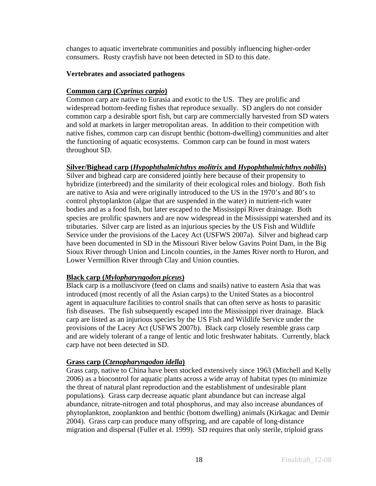changes to aquatic invertebrate communities and possibly influencing higher-order consumers. Rusty crayfish have not been detected in SD to this date.

## **Vertebrates and associated pathogens**

## **Common carp (***Cyprinus carpio***)**

Common carp are native to Eurasia and exotic to the US. They are prolific and widespread bottom-feeding fishes that reproduce sexually. SD anglers do not consider common carp a desirable sport fish, but carp are commercially harvested from SD waters and sold at markets in larger metropolitan areas. In addition to their competition with native fishes, common carp can disrupt benthic (bottom-dwelling) communities and alter the functioning of aquatic ecosystems. Common carp can be found in most waters throughout SD.

## **Silver/Bighead carp (***Hypophthalmichthys molitrix* **and** *Hypophthalmichthys nobilis***)**

Silver and bighead carp are considered jointly here because of their propensity to hybridize (interbreed) and the similarity of their ecological roles and biology. Both fish are native to Asia and were originally introduced to the US in the 1970's and 80's to control phytoplankton (algae that are suspended in the water) in nutrient-rich water bodies and as a food fish, but later escaped to the Mississippi River drainage. Both species are prolific spawners and are now widespread in the Mississippi watershed and its tributaries. Silver carp are listed as an injurious species by the US Fish and Wildlife Service under the provisions of the Lacey Act (USFWS 2007a). Silver and bighead carp have been documented in SD in the Missouri River below Gavins Point Dam, in the Big Sioux River through Union and Lincoln counties, in the James River north to Huron, and Lower Vermillion River through Clay and Union counties.

## **Black carp (***Mylopharyngodon piceus***)**

Black carp is a molluscivore (feed on clams and snails) native to eastern Asia that was introduced (most recently of all the Asian carps) to the United States as a biocontrol agent in aquaculture facilities to control snails that can often serve as hosts to parasitic fish diseases. The fish subsequently escaped into the Mississippi river drainage. Black carp are listed as an injurious species by the US Fish and Wildlife Service under the provisions of the Lacey Act (USFWS 2007b). Black carp closely resemble grass carp and are widely tolerant of a range of lentic and lotic freshwater habitats. Currently, black carp have not been detected in SD.

## **Grass carp (***Ctenopharyngodon idella***)**

Grass carp, native to China have been stocked extensively since 1963 (Mitchell and Kelly 2006) as a biocontrol for aquatic plants across a wide array of habitat types (to minimize the threat of natural plant reproduction and the establishment of undesirable plant populations). Grass carp decrease aquatic plant abundance but can increase algal abundance, nitrate-nitrogen and total phosphorus, and may also increase abundances of phytoplankton, zooplankton and benthic (bottom dwelling) animals (Kirkagac and Demir 2004). Grass carp can produce many offspring, and are capable of long-distance migration and dispersal (Fuller et al. 1999). SD requires that only sterile, triploid grass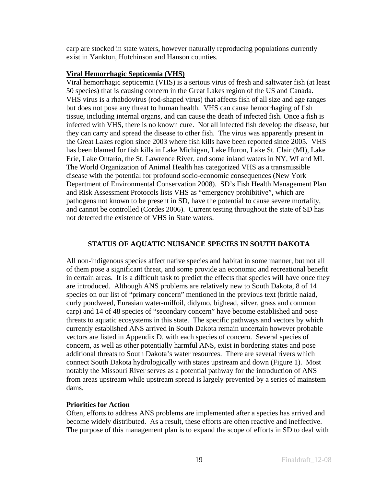carp are stocked in state waters, however naturally reproducing populations currently exist in Yankton, Hutchinson and Hanson counties.

## **Viral Hemorrhagic Septicemia (VHS)**

Viral hemorrhagic septicemia (VHS) is a serious virus of fresh and saltwater fish (at least 50 species) that is causing concern in the Great Lakes region of the US and Canada. VHS virus is a rhabdovirus (rod-shaped virus) that affects fish of all size and age ranges but does not pose any threat to human health. VHS can cause hemorrhaging of fish tissue, including internal organs, and can cause the death of infected fish. Once a fish is infected with VHS, there is no known cure. Not all infected fish develop the disease, but they can carry and spread the disease to other fish. The virus was apparently present in the Great Lakes region since 2003 where fish kills have been reported since 2005. VHS has been blamed for fish kills in Lake Michigan, Lake Huron, Lake St. Clair (MI), Lake Erie, Lake Ontario, the St. Lawrence River, and some inland waters in NY, WI and MI. The World Organization of Animal Health has categorized VHS as a transmissible disease with the potential for profound socio-economic consequences (New York Department of Environmental Conservation 2008). SD's Fish Health Management Plan and Risk Assessment Protocols lists VHS as "emergency prohibitive", which are pathogens not known to be present in SD, have the potential to cause severe mortality, and cannot be controlled (Cordes 2006). Current testing throughout the state of SD has not detected the existence of VHS in State waters.

## **STATUS OF AQUATIC NUISANCE SPECIES IN SOUTH DAKOTA**

All non-indigenous species affect native species and habitat in some manner, but not all of them pose a significant threat, and some provide an economic and recreational benefit in certain areas. It is a difficult task to predict the effects that species will have once they are introduced. Although ANS problems are relatively new to South Dakota, 8 of 14 species on our list of "primary concern" mentioned in the previous text (brittle naiad, curly pondweed, Eurasian water-milfoil, didymo, bighead, silver, grass and common carp) and 14 of 48 species of "secondary concern" have become established and pose threats to aquatic ecosystems in this state. The specific pathways and vectors by which currently established ANS arrived in South Dakota remain uncertain however probable vectors are listed in Appendix D. with each species of concern. Several species of concern, as well as other potentially harmful ANS, exist in bordering states and pose additional threats to South Dakota's water resources. There are several rivers which connect South Dakota hydrologically with states upstream and down (Figure 1). Most notably the Missouri River serves as a potential pathway for the introduction of ANS from areas upstream while upstream spread is largely prevented by a series of mainstem dams.

### **Priorities for Action**

Often, efforts to address ANS problems are implemented after a species has arrived and become widely distributed. As a result, these efforts are often reactive and ineffective. The purpose of this management plan is to expand the scope of efforts in SD to deal with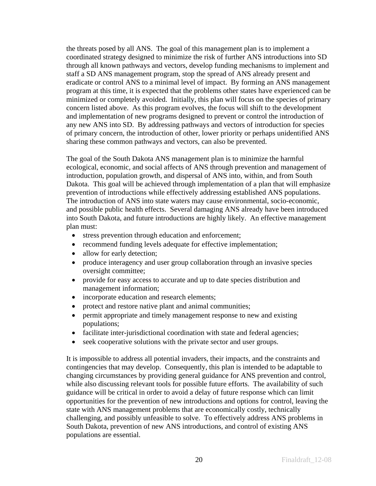the threats posed by all ANS. The goal of this management plan is to implement a coordinated strategy designed to minimize the risk of further ANS introductions into SD through all known pathways and vectors, develop funding mechanisms to implement and staff a SD ANS management program, stop the spread of ANS already present and eradicate or control ANS to a minimal level of impact. By forming an ANS management program at this time, it is expected that the problems other states have experienced can be minimized or completely avoided. Initially, this plan will focus on the species of primary concern listed above. As this program evolves, the focus will shift to the development and implementation of new programs designed to prevent or control the introduction of any new ANS into SD. By addressing pathways and vectors of introduction for species of primary concern, the introduction of other, lower priority or perhaps unidentified ANS sharing these common pathways and vectors, can also be prevented.

The goal of the South Dakota ANS management plan is to minimize the harmful ecological, economic, and social affects of ANS through prevention and management of introduction, population growth, and dispersal of ANS into, within, and from South Dakota. This goal will be achieved through implementation of a plan that will emphasize prevention of introductions while effectively addressing established ANS populations. The introduction of ANS into state waters may cause environmental, socio-economic, and possible public health effects. Several damaging ANS already have been introduced into South Dakota, and future introductions are highly likely. An effective management plan must:

- stress prevention through education and enforcement;
- recommend funding levels adequate for effective implementation;
- allow for early detection;
- produce interagency and user group collaboration through an invasive species oversight committee;
- provide for easy access to accurate and up to date species distribution and management information;
- incorporate education and research elements;
- protect and restore native plant and animal communities;
- permit appropriate and timely management response to new and existing populations;
- facilitate inter-jurisdictional coordination with state and federal agencies;
- seek cooperative solutions with the private sector and user groups.

It is impossible to address all potential invaders, their impacts, and the constraints and contingencies that may develop. Consequently, this plan is intended to be adaptable to changing circumstances by providing general guidance for ANS prevention and control, while also discussing relevant tools for possible future efforts. The availability of such guidance will be critical in order to avoid a delay of future response which can limit opportunities for the prevention of new introductions and options for control, leaving the state with ANS management problems that are economically costly, technically challenging, and possibly unfeasible to solve. To effectively address ANS problems in South Dakota, prevention of new ANS introductions, and control of existing ANS populations are essential.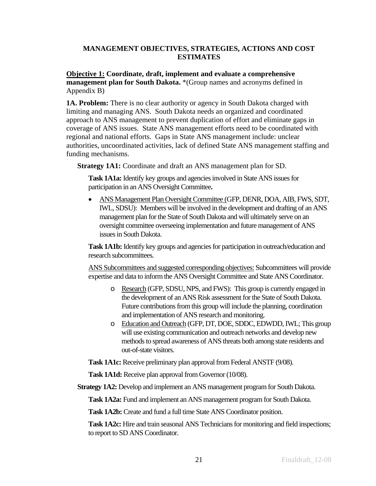## **MANAGEMENT OBJECTIVES, STRATEGIES, ACTIONS AND COST ESTIMATES**

**Objective 1: Coordinate, draft, implement and evaluate a comprehensive management plan for South Dakota.** \*(Group names and acronyms defined in Appendix B)

**1A. Problem:** There is no clear authority or agency in South Dakota charged with limiting and managing ANS. South Dakota needs an organized and coordinated approach to ANS management to prevent duplication of effort and eliminate gaps in coverage of ANS issues. State ANS management efforts need to be coordinated with regional and national efforts.Gaps in State ANS management include: unclear authorities, uncoordinated activities, lack of defined State ANS management staffing and funding mechanisms.

**Strategy 1A1:** Coordinate and draft an ANS management plan for SD.

**Task 1A1a:** Identify key groups and agencies involved in State ANS issues for participation in an ANS Oversight Committee**.** 

• ANS Management Plan Oversight Committee (GFP, DENR, DOA, AIB, FWS, SDT, IWL, SDSU): Members will be involved in the development and drafting of an ANS management plan for the State of South Dakota and will ultimately serve on an oversight committee overseeing implementation and future management of ANS issues in South Dakota.

**Task 1A1b:** Identify key groups and agencies for participation in outreach/education and research subcommittees.

ANS Subcommittees and suggested corresponding objectives: Subcommittees will provide expertise and data to inform the ANS Oversight Committee and State ANS Coordinator.

- o Research (GFP, SDSU, NPS, and FWS): This group is currently engaged in the development of an ANS Risk assessment for the State of South Dakota. Future contributions from this group will include the planning, coordination and implementation of ANS research and monitoring.
- o Education and Outreach (GFP, DT, DOE, SDDC, EDWDD, IWL; This group will use existing communication and outreach networks and develop new methods to spread awareness of ANS threats both among state residents and out-of-state visitors.

**Task 1A1c:** Receive preliminary plan approval from Federal ANSTF (9/08).

**Task 1A1d:** Receive plan approval from Governor (10/08).

**Strategy 1A2:** Develop and implement an ANS management program for South Dakota.

**Task 1A2a:** Fund and implement an ANS management program for South Dakota.

**Task 1A2b:** Create and fund a full time State ANS Coordinator position.

**Task 1A2c:** Hire and train seasonal ANS Technicians for monitoring and field inspections; to report to SD ANS Coordinator.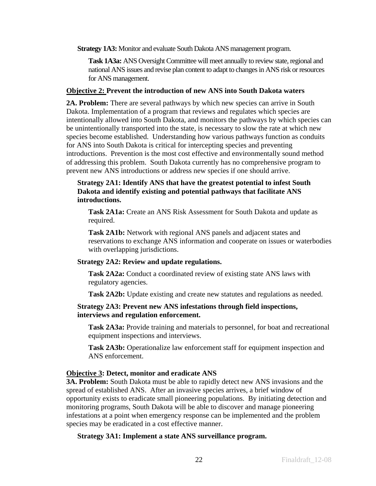**Strategy 1A3:** Monitor and evaluate South Dakota ANS management program.

**Task 1A3a:** ANS Oversight Committee will meet annually to review state, regional and national ANS issues and revise plan content to adapt to changes in ANS risk or resources for ANS management.

## **Objective 2: Prevent the introduction of new ANS into South Dakota waters**

**2A. Problem:** There are several pathways by which new species can arrive in South Dakota. Implementation of a program that reviews and regulates which species are intentionally allowed into South Dakota, and monitors the pathways by which species can be unintentionally transported into the state, is necessary to slow the rate at which new species become established. Understanding how various pathways function as conduits for ANS into South Dakota is critical for intercepting species and preventing introductions. Prevention is the most cost effective and environmentally sound method of addressing this problem. South Dakota currently has no comprehensive program to prevent new ANS introductions or address new species if one should arrive.

## **Strategy 2A1: Identify ANS that have the greatest potential to infest South Dakota and identify existing and potential pathways that facilitate ANS introductions.**

**Task 2A1a:** Create an ANS Risk Assessment for South Dakota and update as required.

**Task 2A1b:** Network with regional ANS panels and adjacent states and reservations to exchange ANS information and cooperate on issues or waterbodies with overlapping jurisdictions.

## **Strategy 2A2: Review and update regulations.**

**Task 2A2a:** Conduct a coordinated review of existing state ANS laws with regulatory agencies.

**Task 2A2b:** Update existing and create new statutes and regulations as needed.

## **Strategy 2A3: Prevent new ANS infestations through field inspections, interviews and regulation enforcement.**

**Task 2A3a:** Provide training and materials to personnel, for boat and recreational equipment inspections and interviews.

**Task 2A3b:** Operationalize law enforcement staff for equipment inspection and ANS enforcement.

## **Objective 3: Detect, monitor and eradicate ANS**

**3A. Problem:** South Dakota must be able to rapidly detect new ANS invasions and the spread of established ANS. After an invasive species arrives, a brief window of opportunity exists to eradicate small pioneering populations. By initiating detection and monitoring programs, South Dakota will be able to discover and manage pioneering infestations at a point when emergency response can be implemented and the problem species may be eradicated in a cost effective manner.

### **Strategy 3A1: Implement a state ANS surveillance program.**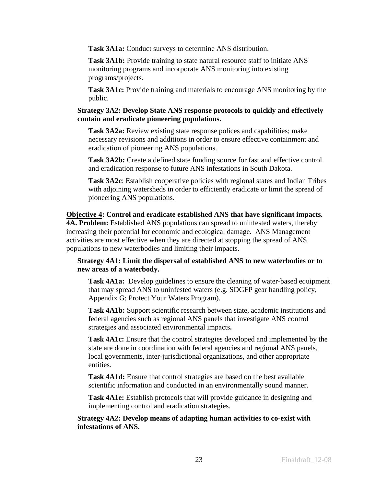**Task 3A1a:** Conduct surveys to determine ANS distribution.

Task 3A1b: Provide training to state natural resource staff to initiate ANS monitoring programs and incorporate ANS monitoring into existing programs/projects.

**Task 3A1c:** Provide training and materials to encourage ANS monitoring by the public.

## **Strategy 3A2: Develop State ANS response protocols to quickly and effectively contain and eradicate pioneering populations.**

**Task 3A2a:** Review existing state response polices and capabilities; make necessary revisions and additions in order to ensure effective containment and eradication of pioneering ANS populations.

**Task 3A2b:** Create a defined state funding source for fast and effective control and eradication response to future ANS infestations in South Dakota.

**Task 3A2c**: Establish cooperative policies with regional states and Indian Tribes with adjoining watersheds in order to efficiently eradicate or limit the spread of pioneering ANS populations.

**Objective 4: Control and eradicate established ANS that have significant impacts. 4A. Problem:** Established ANS populations can spread to uninfested waters, thereby increasing their potential for economic and ecological damage. ANS Management activities are most effective when they are directed at stopping the spread of ANS populations to new waterbodies and limiting their impacts.

## **Strategy 4A1: Limit the dispersal of established ANS to new waterbodies or to new areas of a waterbody.**

**Task 4A1a:** Develop guidelines to ensure the cleaning of water-based equipment that may spread ANS to uninfested waters (e.g. SDGFP gear handling policy, Appendix G; Protect Your Waters Program).

**Task 4A1b:** Support scientific research between state, academic institutions and federal agencies such as regional ANS panels that investigate ANS control strategies and associated environmental impacts**.** 

**Task 4A1c:** Ensure that the control strategies developed and implemented by the state are done in coordination with federal agencies and regional ANS panels, local governments, inter-jurisdictional organizations, and other appropriate entities.

**Task 4A1d:** Ensure that control strategies are based on the best available scientific information and conducted in an environmentally sound manner.

**Task 4A1e:** Establish protocols that will provide guidance in designing and implementing control and eradication strategies.

**Strategy 4A2: Develop means of adapting human activities to co-exist with infestations of ANS.**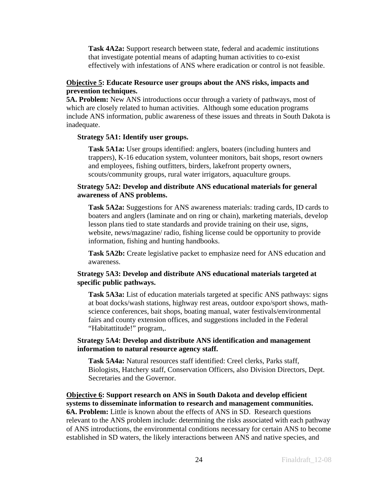**Task 4A2a:** Support research between state, federal and academic institutions that investigate potential means of adapting human activities to co-exist effectively with infestations of ANS where eradication or control is not feasible.

## **Objective 5: Educate Resource user groups about the ANS risks, impacts and prevention techniques.**

**5A. Problem:** New ANS introductions occur through a variety of pathways, most of which are closely related to human activities. Although some education programs include ANS information, public awareness of these issues and threats in South Dakota is inadequate.

#### **Strategy 5A1: Identify user groups.**

**Task 5A1a:** User groups identified: anglers, boaters (including hunters and trappers), K-16 education system, volunteer monitors, bait shops, resort owners and employees, fishing outfitters, birders, lakefront property owners, scouts/community groups, rural water irrigators, aquaculture groups.

### **Strategy 5A2: Develop and distribute ANS educational materials for general awareness of ANS problems.**

**Task 5A2a:** Suggestions for ANS awareness materials: trading cards, ID cards to boaters and anglers (laminate and on ring or chain), marketing materials, develop lesson plans tied to state standards and provide training on their use, signs, website, news/magazine/ radio, fishing license could be opportunity to provide information, fishing and hunting handbooks.

**Task 5A2b:** Create legislative packet to emphasize need for ANS education and awareness.

### **Strategy 5A3: Develop and distribute ANS educational materials targeted at specific public pathways.**

**Task 5A3a:** List of education materials targeted at specific ANS pathways: signs at boat docks/wash stations, highway rest areas, outdoor expo/sport shows, mathscience conferences, bait shops, boating manual, water festivals/environmental fairs and county extension offices, and suggestions included in the Federal "Habitattitude!" program,.

## **Strategy 5A4: Develop and distribute ANS identification and management information to natural resource agency staff.**

**Task 5A4a:** Natural resources staff identified: Creel clerks, Parks staff, Biologists, Hatchery staff, Conservation Officers, also Division Directors, Dept. Secretaries and the Governor.

**Objective 6: Support research on ANS in South Dakota and develop efficient systems to disseminate information to research and management communities. 6A. Problem:** Little is known about the effects of ANS in SD. Research questions relevant to the ANS problem include: determining the risks associated with each pathway of ANS introductions, the environmental conditions necessary for certain ANS to become established in SD waters, the likely interactions between ANS and native species, and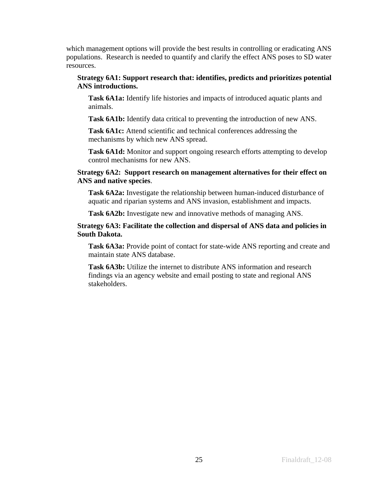which management options will provide the best results in controlling or eradicating ANS populations. Research is needed to quantify and clarify the effect ANS poses to SD water resources.

## **Strategy 6A1: Support research that: identifies, predicts and prioritizes potential ANS introductions.**

**Task 6A1a:** Identify life histories and impacts of introduced aquatic plants and animals.

**Task 6A1b:** Identify data critical to preventing the introduction of new ANS.

Task 6A1c: Attend scientific and technical conferences addressing the mechanisms by which new ANS spread.

Task 6A1d: Monitor and support ongoing research efforts attempting to develop control mechanisms for new ANS.

## **Strategy 6A2: Support research on management alternatives for their effect on ANS and native species**.

**Task 6A2a:** Investigate the relationship between human-induced disturbance of aquatic and riparian systems and ANS invasion, establishment and impacts.

**Task 6A2b:** Investigate new and innovative methods of managing ANS.

## **Strategy 6A3: Facilitate the collection and dispersal of ANS data and policies in South Dakota.**

**Task 6A3a:** Provide point of contact for state-wide ANS reporting and create and maintain state ANS database.

Task 6A3b: Utilize the internet to distribute ANS information and research findings via an agency website and email posting to state and regional ANS stakeholders.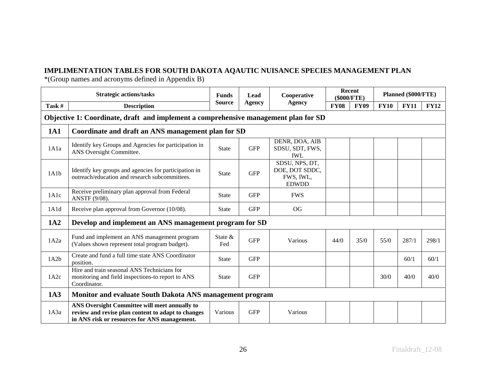## **IMPLIMENTATION TABLES FOR SOUTH DAKOTA AQAUTIC NUISANCE SPECIES MANAGEMENT PLAN**

\*(Group names and acronyms defined in Appendix B)

|            | <b>Strategic actions/tasks</b>                                                                                                                      | <b>Funds</b>   | Cooperative<br>Lead |                                                               |             | Recent<br>(\$000/FTE) |             | Planned (\$000/FTE) |             |  |
|------------|-----------------------------------------------------------------------------------------------------------------------------------------------------|----------------|---------------------|---------------------------------------------------------------|-------------|-----------------------|-------------|---------------------|-------------|--|
| Task #     | <b>Description</b>                                                                                                                                  | <b>Source</b>  | Agency              | <b>Agency</b>                                                 | <b>FY08</b> | <b>FY09</b>           | <b>FY10</b> | <b>FY11</b>         | <b>FY12</b> |  |
|            | Objective 1: Coordinate, draft and implement a comprehensive management plan for SD                                                                 |                |                     |                                                               |             |                       |             |                     |             |  |
| <b>1A1</b> | Coordinate and draft an ANS management plan for SD                                                                                                  |                |                     |                                                               |             |                       |             |                     |             |  |
| 1A1a       | Identify key Groups and Agencies for participation in<br>ANS Oversight Committee.                                                                   | <b>State</b>   | <b>GFP</b>          | DENR, DOA, AIB<br>SDSU, SDT, FWS,<br><b>IWL</b>               |             |                       |             |                     |             |  |
| 1A1b       | Identify key groups and agencies for participation in<br>outreach/education and research subcommittees.                                             | <b>State</b>   | <b>GFP</b>          | SDSU, NPS, DT,<br>DOE, DOT SDDC,<br>FWS, IWL,<br><b>EDWDD</b> |             |                       |             |                     |             |  |
| 1A1c       | Receive preliminary plan approval from Federal<br>ANSTF (9/08).                                                                                     | <b>State</b>   | <b>GFP</b>          | <b>FWS</b>                                                    |             |                       |             |                     |             |  |
| 1A1d       | Receive plan approval from Governor (10/08).                                                                                                        | <b>State</b>   | <b>GFP</b>          | OG                                                            |             |                       |             |                     |             |  |
| 1A2        | Develop and implement an ANS management program for SD                                                                                              |                |                     |                                                               |             |                       |             |                     |             |  |
| 1A2a       | Fund and implement an ANS management program<br>(Values shown represent total program budget).                                                      | State &<br>Fed | <b>GFP</b>          | Various                                                       | 44/0        | 35/0                  | $55/0$      | 287/1               | 298/1       |  |
| 1A2b       | Create and fund a full time state ANS Coordinator<br>position.                                                                                      | State          | <b>GFP</b>          |                                                               |             |                       |             | 60/1                | 60/1        |  |
| 1A2c       | Hire and train seasonal ANS Technicians for<br>monitoring and field inspections-to report to ANS<br>Coordinator.                                    | <b>State</b>   | <b>GFP</b>          |                                                               |             |                       | 30/0        | 40/0                | 40/0        |  |
| 1A3        | Monitor and evaluate South Dakota ANS management program                                                                                            |                |                     |                                                               |             |                       |             |                     |             |  |
| 1A3a       | ANS Oversight Committee will meet annually to<br>review and revise plan content to adapt to changes<br>in ANS risk or resources for ANS management. | Various        | <b>GFP</b>          | Various                                                       |             |                       |             |                     |             |  |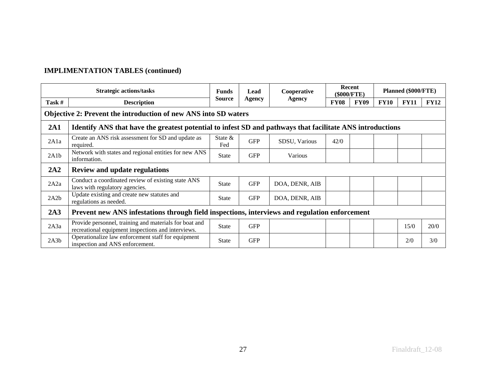| <b>Strategic actions/tasks</b> |                                                                                                              | <b>Funds</b>      | Lead       | Cooperative    |             | Recent<br>(\$000/FTE) |             | Planned (\$000/FTE) |             |
|--------------------------------|--------------------------------------------------------------------------------------------------------------|-------------------|------------|----------------|-------------|-----------------------|-------------|---------------------|-------------|
| Task #                         | <b>Description</b>                                                                                           | <b>Source</b>     | Agency     | <b>Agency</b>  | <b>FY08</b> | <b>FY09</b>           | <b>FY10</b> | <b>FY11</b>         | <b>FY12</b> |
|                                | Objective 2: Prevent the introduction of new ANS into SD waters                                              |                   |            |                |             |                       |             |                     |             |
| 2A1                            | Identify ANS that have the greatest potential to infest SD and pathways that facilitate ANS introductions    |                   |            |                |             |                       |             |                     |             |
| 2A1a                           | Create an ANS risk assessment for SD and update as<br>required.                                              | State $\&$<br>Fed | <b>GFP</b> | SDSU, Various  | 42/0        |                       |             |                     |             |
| 2A1b                           | Network with states and regional entities for new ANS<br>information.                                        | <b>State</b>      | <b>GFP</b> | Various        |             |                       |             |                     |             |
| 2A2                            | <b>Review and update regulations</b>                                                                         |                   |            |                |             |                       |             |                     |             |
| 2A2a                           | Conduct a coordinated review of existing state ANS<br>laws with regulatory agencies.                         | <b>State</b>      | <b>GFP</b> | DOA, DENR, AIB |             |                       |             |                     |             |
| 2A2b                           | Update existing and create new statutes and<br>regulations as needed.                                        | <b>State</b>      | <b>GFP</b> | DOA, DENR, AIB |             |                       |             |                     |             |
| 2A3                            | Prevent new ANS infestations through field inspections, interviews and regulation enforcement                |                   |            |                |             |                       |             |                     |             |
| 2A3a                           | Provide personnel, training and materials for boat and<br>recreational equipment inspections and interviews. | State             | <b>GFP</b> |                |             |                       |             | 15/0                | 20/0        |
| 2A3b                           | Operationalize law enforcement staff for equipment<br>inspection and ANS enforcement.                        | <b>State</b>      | <b>GFP</b> |                |             |                       |             | 2/0                 | 3/0         |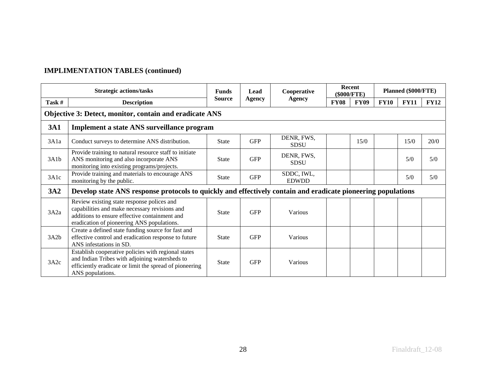|                                                         | <b>Strategic actions/tasks</b>                                                                                                                                                             | <b>Funds</b>  |            | Cooperative<br>Lead        |             | Recent<br>(\$000/FTE) |             | Planned (\$000/FTE) |             |  |
|---------------------------------------------------------|--------------------------------------------------------------------------------------------------------------------------------------------------------------------------------------------|---------------|------------|----------------------------|-------------|-----------------------|-------------|---------------------|-------------|--|
| Task #                                                  | <b>Description</b>                                                                                                                                                                         | <b>Source</b> | Agency     | <b>Agency</b>              | <b>FY08</b> | <b>FY09</b>           | <b>FY10</b> | <b>FY11</b>         | <b>FY12</b> |  |
| Objective 3: Detect, monitor, contain and eradicate ANS |                                                                                                                                                                                            |               |            |                            |             |                       |             |                     |             |  |
| <b>3A1</b>                                              | Implement a state ANS surveillance program                                                                                                                                                 |               |            |                            |             |                       |             |                     |             |  |
| 3A1a                                                    | Conduct surveys to determine ANS distribution.                                                                                                                                             | <b>State</b>  | <b>GFP</b> | DENR, FWS,<br><b>SDSU</b>  |             | 15/0                  |             | 15/0                | 20/0        |  |
| 3A1b                                                    | Provide training to natural resource staff to initiate<br>ANS monitoring and also incorporate ANS<br>monitoring into existing programs/projects.                                           | <b>State</b>  | <b>GFP</b> | DENR, FWS,<br><b>SDSU</b>  |             |                       |             | 5/0                 | 5/0         |  |
| 3A1c                                                    | Provide training and materials to encourage ANS<br>monitoring by the public.                                                                                                               | <b>State</b>  | <b>GFP</b> | SDDC, IWL,<br><b>EDWDD</b> |             |                       |             | 5/0                 | 5/0         |  |
| 3A2                                                     | Develop state ANS response protocols to quickly and effectively contain and eradicate pioneering populations                                                                               |               |            |                            |             |                       |             |                     |             |  |
| 3A2a                                                    | Review existing state response polices and<br>capabilities and make necessary revisions and<br>additions to ensure effective containment and<br>eradication of pioneering ANS populations. | <b>State</b>  | <b>GFP</b> | Various                    |             |                       |             |                     |             |  |
| 3A2b                                                    | Create a defined state funding source for fast and<br>effective control and eradication response to future<br>ANS infestations in SD.                                                      | <b>State</b>  | <b>GFP</b> | Various                    |             |                       |             |                     |             |  |
| 3A2c                                                    | Establish cooperative policies with regional states<br>and Indian Tribes with adjoining watersheds to<br>efficiently eradicate or limit the spread of pioneering<br>ANS populations.       | <b>State</b>  | <b>GFP</b> | Various                    |             |                       |             |                     |             |  |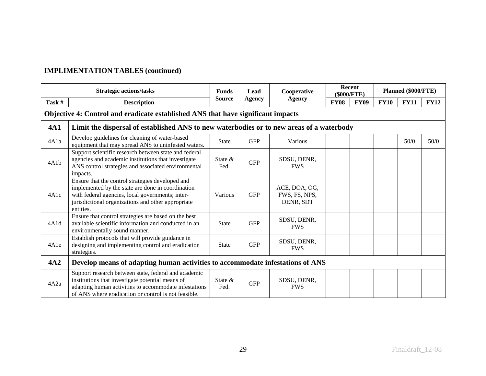|            | <b>Strategic actions/tasks</b>                                                                                                                                                                                               | Cooperative<br><b>Funds</b><br>Lead |            |                                             |             | Recent<br>(\$000/FTE) |             | Planned (\$000/FTE) |             |  |
|------------|------------------------------------------------------------------------------------------------------------------------------------------------------------------------------------------------------------------------------|-------------------------------------|------------|---------------------------------------------|-------------|-----------------------|-------------|---------------------|-------------|--|
| Task #     | <b>Description</b>                                                                                                                                                                                                           | <b>Source</b>                       | Agency     | <b>Agency</b>                               | <b>FY08</b> | <b>FY09</b>           | <b>FY10</b> | <b>FY11</b>         | <b>FY12</b> |  |
|            | Objective 4: Control and eradicate established ANS that have significant impacts                                                                                                                                             |                                     |            |                                             |             |                       |             |                     |             |  |
| <b>4A1</b> | Limit the dispersal of established ANS to new waterbodies or to new areas of a waterbody                                                                                                                                     |                                     |            |                                             |             |                       |             |                     |             |  |
| 4A1a       | Develop guidelines for cleaning of water-based<br>equipment that may spread ANS to uninfested waters.                                                                                                                        | <b>State</b>                        | <b>GFP</b> | Various                                     |             |                       |             | 50/0                | 50/0        |  |
| 4A1b       | Support scientific research between state and federal<br>agencies and academic institutions that investigate<br>ANS control strategies and associated environmental<br>impacts.                                              | State $\&$<br>Fed.                  | <b>GFP</b> | SDSU, DENR,<br><b>FWS</b>                   |             |                       |             |                     |             |  |
| 4A1c       | Ensure that the control strategies developed and<br>implemented by the state are done in coordination<br>with federal agencies, local governments; inter-<br>jurisdictional organizations and other appropriate<br>entities. | Various                             | <b>GFP</b> | ACE, DOA, OG,<br>FWS, FS, NPS,<br>DENR, SDT |             |                       |             |                     |             |  |
| 4A1d       | Ensure that control strategies are based on the best<br>available scientific information and conducted in an<br>environmentally sound manner.                                                                                | <b>State</b>                        | <b>GFP</b> | SDSU, DENR,<br><b>FWS</b>                   |             |                       |             |                     |             |  |
| 4A1e       | Establish protocols that will provide guidance in<br>designing and implementing control and eradication<br>strategies.                                                                                                       | <b>State</b>                        | <b>GFP</b> | SDSU, DENR,<br><b>FWS</b>                   |             |                       |             |                     |             |  |
| 4A2        | Develop means of adapting human activities to accommodate infestations of ANS                                                                                                                                                |                                     |            |                                             |             |                       |             |                     |             |  |
| 4A2a       | Support research between state, federal and academic<br>institutions that investigate potential means of<br>adapting human activities to accommodate infestations<br>of ANS where eradication or control is not feasible.    | State $\&$<br>Fed.                  | <b>GFP</b> | SDSU, DENR,<br><b>FWS</b>                   |             |                       |             |                     |             |  |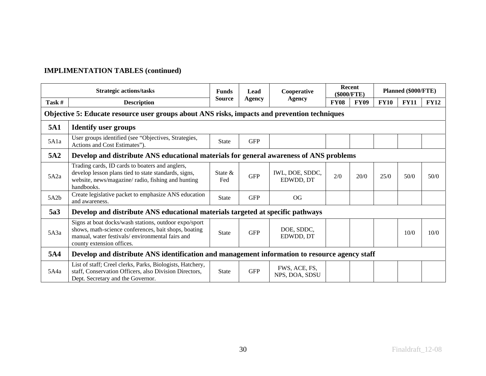|                 | <b>Strategic actions/tasks</b>                                                                                                                                                                | Cooperative<br><b>Funds</b><br>Lead | Recent<br>(\$000/FTE) |                                 | Planned (\$000/FTE) |             |             |             |             |  |
|-----------------|-----------------------------------------------------------------------------------------------------------------------------------------------------------------------------------------------|-------------------------------------|-----------------------|---------------------------------|---------------------|-------------|-------------|-------------|-------------|--|
| Task #          | <b>Description</b>                                                                                                                                                                            | <b>Source</b>                       | Agency                | <b>Agency</b>                   | <b>FY08</b>         | <b>FY09</b> | <b>FY10</b> | <b>FY11</b> | <b>FY12</b> |  |
|                 | Objective 5: Educate resource user groups about ANS risks, impacts and prevention techniques                                                                                                  |                                     |                       |                                 |                     |             |             |             |             |  |
| 5A1             | <b>Identify user groups</b>                                                                                                                                                                   |                                     |                       |                                 |                     |             |             |             |             |  |
| 5A1a            | User groups identified (see "Objectives, Strategies,<br>Actions and Cost Estimates").                                                                                                         | <b>State</b>                        | <b>GFP</b>            |                                 |                     |             |             |             |             |  |
| 5A <sub>2</sub> | Develop and distribute ANS educational materials for general awareness of ANS problems                                                                                                        |                                     |                       |                                 |                     |             |             |             |             |  |
| 5A2a            | Trading cards, ID cards to boaters and anglers,<br>develop lesson plans tied to state standards, signs,<br>website, news/magazine/radio, fishing and hunting<br>handbooks.                    | State &<br>Fed                      | <b>GFP</b>            | IWL, DOE, SDDC,<br>EDWDD, DT    | 2/0                 | 20/0        | 25/0        | 50/0        | 50/0        |  |
| 5A2b            | Create legislative packet to emphasize ANS education<br>and awareness.                                                                                                                        | <b>State</b>                        | <b>GFP</b>            | OG                              |                     |             |             |             |             |  |
| 5a3             | Develop and distribute ANS educational materials targeted at specific pathways                                                                                                                |                                     |                       |                                 |                     |             |             |             |             |  |
| 5A3a            | Signs at boat docks/wash stations, outdoor expo/sport<br>shows, math-science conferences, bait shops, boating<br>manual, water festivals/environmental fairs and<br>county extension offices. | <b>State</b>                        | <b>GFP</b>            | DOE, SDDC,<br>EDWDD, DT         |                     |             |             | 10/0        | 10/0        |  |
| 5A4             | Develop and distribute ANS identification and management information to resource agency staff                                                                                                 |                                     |                       |                                 |                     |             |             |             |             |  |
| 5A4a            | List of staff; Creel clerks, Parks, Biologists, Hatchery,<br>staff, Conservation Officers, also Division Directors,<br>Dept. Secretary and the Governor.                                      | <b>State</b>                        | <b>GFP</b>            | FWS, ACE, FS,<br>NPS, DOA, SDSU |                     |             |             |             |             |  |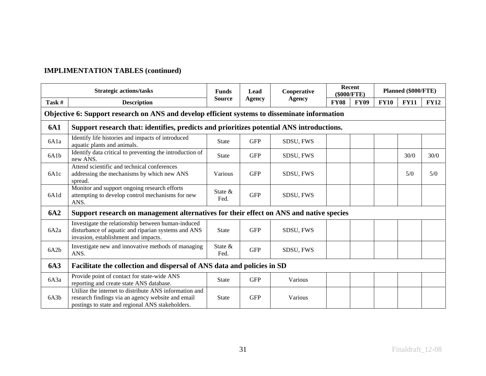|                   | <b>Strategic actions/tasks</b>                                                                                                                                  | <b>Funds</b>                   | Lead          | Cooperative |             | <b>Recent</b><br>(\$000/FTE) |             | Planned (\$000/FTE) |      |  |  |  |
|-------------------|-----------------------------------------------------------------------------------------------------------------------------------------------------------------|--------------------------------|---------------|-------------|-------------|------------------------------|-------------|---------------------|------|--|--|--|
| Task #            | <b>Description</b>                                                                                                                                              | <b>Source</b><br><b>Agency</b> | <b>Agency</b> | <b>FY08</b> | <b>FY09</b> | <b>FY10</b>                  | <b>FY11</b> | <b>FY12</b>         |      |  |  |  |
|                   | Objective 6: Support research on ANS and develop efficient systems to disseminate information                                                                   |                                |               |             |             |                              |             |                     |      |  |  |  |
| <b>6A1</b>        | Support research that: identifies, predicts and prioritizes potential ANS introductions.                                                                        |                                |               |             |             |                              |             |                     |      |  |  |  |
| 6A1a              | Identify life histories and impacts of introduced<br>aquatic plants and animals.                                                                                | <b>State</b>                   | <b>GFP</b>    | SDSU, FWS   |             |                              |             |                     |      |  |  |  |
| 6A <sub>1</sub> b | Identify data critical to preventing the introduction of<br>new ANS.                                                                                            | <b>State</b>                   | <b>GFP</b>    | SDSU, FWS   |             |                              |             | 30/0                | 30/0 |  |  |  |
| 6A <sub>1</sub> c | Attend scientific and technical conferences<br>addressing the mechanisms by which new ANS<br>spread.                                                            | Various                        | <b>GFP</b>    | SDSU, FWS   |             |                              |             | 5/0                 | 5/0  |  |  |  |
| 6A1d              | Monitor and support ongoing research efforts<br>attempting to develop control mechanisms for new<br>ANS.                                                        | State $\&$<br>Fed.             | <b>GFP</b>    | SDSU, FWS   |             |                              |             |                     |      |  |  |  |
| <b>6A2</b>        | Support research on management alternatives for their effect on ANS and native species                                                                          |                                |               |             |             |                              |             |                     |      |  |  |  |
| 6A2a              | Investigate the relationship between human-induced<br>disturbance of aquatic and riparian systems and ANS<br>invasion, establishment and impacts.               | <b>State</b>                   | <b>GFP</b>    | SDSU, FWS   |             |                              |             |                     |      |  |  |  |
| 6A2b              | Investigate new and innovative methods of managing<br>ANS.                                                                                                      | State &<br>Fed.                | <b>GFP</b>    | SDSU, FWS   |             |                              |             |                     |      |  |  |  |
| <b>6A3</b>        | Facilitate the collection and dispersal of ANS data and policies in SD                                                                                          |                                |               |             |             |                              |             |                     |      |  |  |  |
| 6A3a              | Provide point of contact for state-wide ANS<br>reporting and create state ANS database.                                                                         | <b>State</b>                   | <b>GFP</b>    | Various     |             |                              |             |                     |      |  |  |  |
| 6A3b              | Utilize the internet to distribute ANS information and<br>research findings via an agency website and email<br>postings to state and regional ANS stakeholders. | <b>State</b>                   | <b>GFP</b>    | Various     |             |                              |             |                     |      |  |  |  |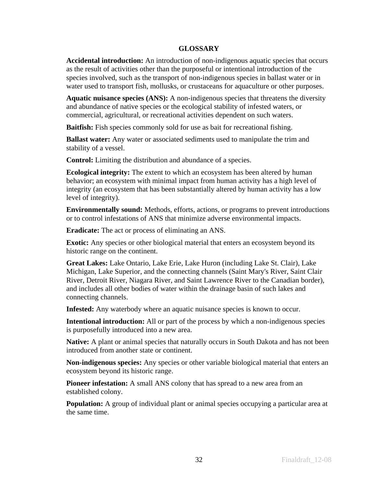## **GLOSSARY**

**Accidental introduction:** An introduction of non-indigenous aquatic species that occurs as the result of activities other than the purposeful or intentional introduction of the species involved, such as the transport of non-indigenous species in ballast water or in water used to transport fish, mollusks, or crustaceans for aquaculture or other purposes.

**Aquatic nuisance species (ANS):** A non-indigenous species that threatens the diversity and abundance of native species or the ecological stability of infested waters, or commercial, agricultural, or recreational activities dependent on such waters.

**Baitfish:** Fish species commonly sold for use as bait for recreational fishing.

**Ballast water:** Any water or associated sediments used to manipulate the trim and stability of a vessel.

**Control:** Limiting the distribution and abundance of a species.

**Ecological integrity:** The extent to which an ecosystem has been altered by human behavior; an ecosystem with minimal impact from human activity has a high level of integrity (an ecosystem that has been substantially altered by human activity has a low level of integrity).

**Environmentally sound:** Methods, efforts, actions, or programs to prevent introductions or to control infestations of ANS that minimize adverse environmental impacts.

**Eradicate:** The act or process of eliminating an ANS.

**Exotic:** Any species or other biological material that enters an ecosystem beyond its historic range on the continent.

**Great Lakes:** Lake Ontario, Lake Erie, Lake Huron (including Lake St. Clair), Lake Michigan, Lake Superior, and the connecting channels (Saint Mary's River, Saint Clair River, Detroit River, Niagara River, and Saint Lawrence River to the Canadian border), and includes all other bodies of water within the drainage basin of such lakes and connecting channels.

**Infested:** Any waterbody where an aquatic nuisance species is known to occur.

**Intentional introduction:** All or part of the process by which a non-indigenous species is purposefully introduced into a new area.

**Native:** A plant or animal species that naturally occurs in South Dakota and has not been introduced from another state or continent.

**Non-indigenous species:** Any species or other variable biological material that enters an ecosystem beyond its historic range.

**Pioneer infestation:** A small ANS colony that has spread to a new area from an established colony.

**Population:** A group of individual plant or animal species occupying a particular area at the same time.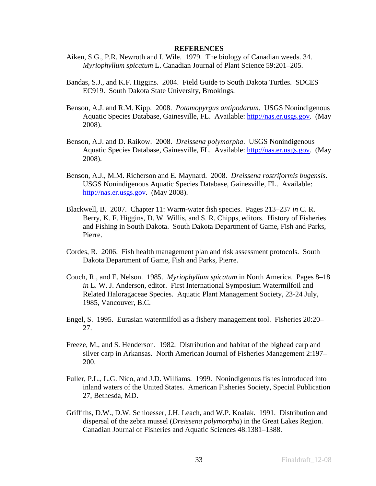#### **REFERENCES**

- Aiken, S.G., P.R. Newroth and I. Wile. 1979. The biology of Canadian weeds. 34. *Myriophyllum spicatum* L. Canadian Journal of Plant Science 59:201–205.
- Bandas, S.J., and K.F. Higgins. 2004. Field Guide to South Dakota Turtles. SDCES EC919. South Dakota State University, Brookings.
- Benson, A.J. and R.M. Kipp. 2008. *Potamopyrgus antipodarum*. USGS Nonindigenous Aquatic Species Database, Gainesville, FL. Available: [http://nas.er.usgs.gov.](http://nas.er.usgs.gov/) (May 2008).
- Benson, A.J. and D. Raikow. 2008. *Dreissena polymorpha*. USGS Nonindigenous Aquatic Species Database, Gainesville, FL. Available: [http://nas.er.usgs.gov.](http://nas.er.usgs.gov/) (May 2008).
- Benson, A.J., M.M. Richerson and E. Maynard. 2008. *Dreissena rostriformis bugensis*. USGS Nonindigenous Aquatic Species Database, Gainesville, FL. Available: [http://nas.er.usgs.gov](http://nas.er.usgs.gov/). (May 2008).
- Blackwell, B. 2007. Chapter 11: Warm-water fish species. Pages 213–237 *in* C. R. Berry, K. F. Higgins, D. W. Willis, and S. R. Chipps, editors. History of Fisheries and Fishing in South Dakota. South Dakota Department of Game, Fish and Parks, Pierre.
- Cordes, R. 2006. Fish health management plan and risk assessment protocols. South Dakota Department of Game, Fish and Parks, Pierre.
- Couch, R., and E. Nelson. 1985. *Myriophyllum spicatum* in North America. Pages 8–18 *in* L. W. J. Anderson, editor. First International Symposium Watermilfoil and Related Haloragaceae Species. Aquatic Plant Management Society, 23-24 July, 1985, Vancouver, B.C.
- Engel, S. 1995. Eurasian watermilfoil as a fishery management tool. Fisheries 20:20– 27.
- Freeze, M., and S. Henderson. 1982. Distribution and habitat of the bighead carp and silver carp in Arkansas. North American Journal of Fisheries Management 2:197– 200.
- Fuller, P.L., L.G. Nico, and J.D. Williams. 1999. Nonindigenous fishes introduced into inland waters of the United States. American Fisheries Society, Special Publication 27, Bethesda, MD.
- Griffiths, D.W., D.W. Schloesser, J.H. Leach, and W.P. Koalak. 1991. Distribution and dispersal of the zebra mussel (*Dreissena polymorpha*) in the Great Lakes Region. Canadian Journal of Fisheries and Aquatic Sciences 48:1381–1388.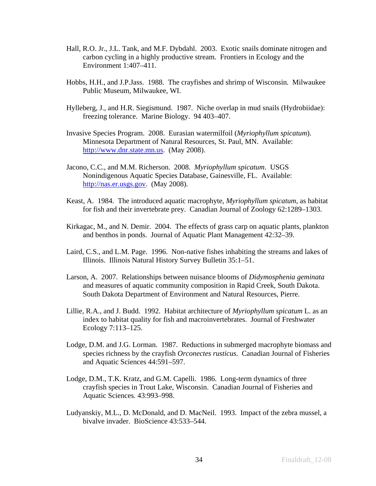- Hall, R.O. Jr., J.L. Tank, and M.F. Dybdahl. 2003. Exotic snails dominate nitrogen and carbon cycling in a highly productive stream. Frontiers in Ecology and the Environment 1:407–411.
- Hobbs, H.H., and J.P.Jass. 1988. The crayfishes and shrimp of Wisconsin*.* Milwaukee Public Museum, Milwaukee, WI.
- Hylleberg, J., and H.R. Siegismund. 1987. Niche overlap in mud snails (Hydrobiidae): freezing tolerance. Marine Biology. 94 403–407.
- Invasive Species Program. 2008. Eurasian watermilfoil (*Myriophyllum spicatum*). Minnesota Department of Natural Resources, St. Paul, MN. Available: [http://www.dnr.state.mn.us.](http://www.dnr.state.mn.us/) (May 2008).
- Jacono, C.C., and M.M. Richerson. 2008. *Myriophyllum spicatum*. USGS Nonindigenous Aquatic Species Database, Gainesville, FL. Available: [http://nas.er.usgs.gov](http://nas.er.usgs.gov/). (May 2008).
- Keast, A. 1984. The introduced aquatic macrophyte, *Myriophyllum spicatum*, as habitat for fish and their invertebrate prey. Canadian Journal of Zoology 62:1289–1303.
- Kirkagac, M., and N. Demir. 2004. The effects of grass carp on aquatic plants, plankton and benthos in ponds. Journal of Aquatic Plant Management 42:32–39.
- Laird, C.S., and L.M. Page. 1996. Non-native fishes inhabiting the streams and lakes of Illinois. Illinois Natural History Survey Bulletin 35:1–51.
- Larson, A. 2007. Relationships between nuisance blooms of *Didymosphenia geminata* and measures of aquatic community composition in Rapid Creek, South Dakota. South Dakota Department of Environment and Natural Resources, Pierre.
- Lillie, R.A., and J. Budd. 1992. Habitat architecture of *Myriophyllum spicatum* L. as an index to habitat quality for fish and macroinvertebrates. Journal of Freshwater Ecology 7:113–125.
- Lodge, D.M. and J.G. Lorman. 1987. Reductions in submerged macrophyte biomass and species richness by the crayfish *Orconectes rusticus*. Canadian Journal of Fisheries and Aquatic Sciences 44:591–597.
- Lodge, D.M., T.K. Kratz, and G.M. Capelli. 1986. Long-term dynamics of three crayfish species in Trout Lake, Wisconsin. Canadian Journal of Fisheries and Aquatic Sciences*.* 43:993–998.
- Ludyanskiy, M.L., D. McDonald, and D. MacNeil. 1993. Impact of the zebra mussel, a bivalve invader. BioScience 43:533–544.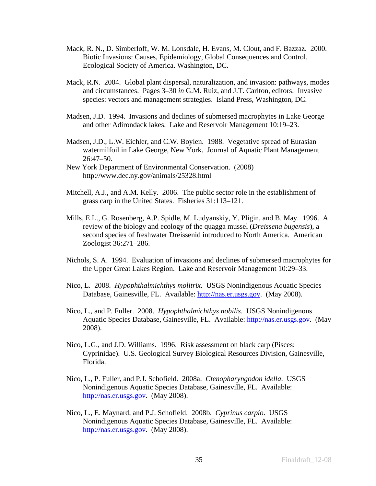- Mack, R. N., D. Simberloff, W. M. Lonsdale, H. Evans, M. Clout, and F. Bazzaz. 2000. Biotic Invasions: Causes, Epidemiology, Global Consequences and Control. Ecological Society of America. Washington, DC.
- Mack, R.N. 2004. Global plant dispersal, naturalization, and invasion: pathways, modes and circumstances. Pages 3–30 *in* G.M. Ruiz, and J.T. Carlton, editors. Invasive species: vectors and management strategies. Island Press, Washington, DC.
- Madsen, J.D. 1994. Invasions and declines of submersed macrophytes in Lake George and other Adirondack lakes. Lake and Reservoir Management 10:19–23.
- Madsen, J.D., L.W. Eichler, and C.W. Boylen. 1988. Vegetative spread of Eurasian watermilfoil in Lake George, New York. Journal of Aquatic Plant Management 26:47–50.
- New York Department of Environmental Conservation. (2008) http://www.dec.ny.gov/animals/25328.html
- Mitchell, A.J., and A.M. Kelly. 2006. The public sector role in the establishment of grass carp in the United States. Fisheries 31:113–121.
- Mills, E.L., G. Rosenberg, A.P. Spidle, M. Ludyanskiy, Y. Pligin, and B. May. 1996. A review of the biology and ecology of the quagga mussel (*Dreissena bugensis*), a second species of freshwater Dreissenid introduced to North America. American Zoologist 36:271–286.
- Nichols, S. A. 1994. Evaluation of invasions and declines of submersed macrophytes for the Upper Great Lakes Region. Lake and Reservoir Management 10:29–33.
- Nico, L. 2008. *Hypophthalmichthys molitrix*. USGS Nonindigenous Aquatic Species Database, Gainesville, FL. Available: [http://nas.er.usgs.gov.](http://nas.er.usgs.gov/) (May 2008).
- Nico, L., and P. Fuller. 2008. *Hypophthalmichthys nobilis*. USGS Nonindigenous Aquatic Species Database, Gainesville, FL. Available: [http://nas.er.usgs.gov.](http://nas.er.usgs.gov/) (May 2008).
- Nico, L.G., and J.D. Williams. 1996. Risk assessment on black carp (Pisces: Cyprinidae). U.S. Geological Survey Biological Resources Division, Gainesville, Florida.
- Nico, L., P. Fuller, and P.J. Schofield. 2008a. *Ctenopharyngodon idella*. USGS Nonindigenous Aquatic Species Database, Gainesville, FL. Available: [http://nas.er.usgs.gov](http://nas.er.usgs.gov/). (May 2008).
- Nico, L., E. Maynard, and P.J. Schofield. 2008b. *Cyprinus carpio*. USGS Nonindigenous Aquatic Species Database, Gainesville, FL. Available: [http://nas.er.usgs.gov](http://nas.er.usgs.gov/). (May 2008).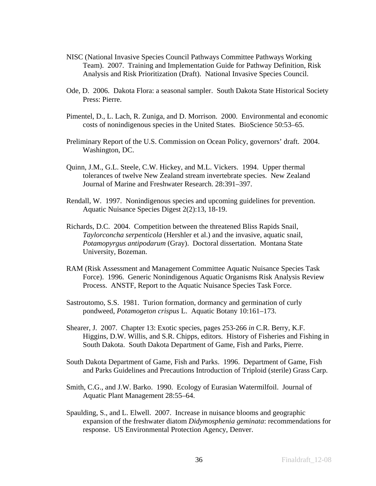- NISC (National Invasive Species Council Pathways Committee Pathways Working Team). 2007. Training and Implementation Guide for Pathway Definition, Risk Analysis and Risk Prioritization (Draft). National Invasive Species Council.
- Ode, D. 2006. Dakota Flora: a seasonal sampler. South Dakota State Historical Society Press: Pierre.
- Pimentel, D., L. Lach, R. Zuniga, and D. Morrison. 2000. Environmental and economic costs of nonindigenous species in the United States. BioScience 50:53–65.
- Preliminary Report of the U.S. Commission on Ocean Policy, governors' draft. 2004. Washington, DC.
- Quinn, J.M., G.L. Steele, C.W. Hickey, and M.L. Vickers. 1994. Upper thermal tolerances of twelve New Zealand stream invertebrate species. New Zealand Journal of Marine and Freshwater Research. 28:391–397.
- Rendall, W. 1997. Nonindigenous species and upcoming guidelines for prevention. Aquatic Nuisance Species Digest 2(2):13, 18-19.
- Richards, D.C. 2004. Competition between the threatened Bliss Rapids Snail, *Taylorconcha serpenticola* (Hershler et al.) and the invasive, aquatic snail, *Potamopyrgus antipodarum* (Gray). Doctoral dissertation. Montana State University, Bozeman.
- RAM (Risk Assessment and Management Committee Aquatic Nuisance Species Task Force). 1996. Generic Nonindigenous Aquatic Organisms Risk Analysis Review Process. ANSTF, Report to the Aquatic Nuisance Species Task Force.
- Sastroutomo, S.S. 1981. Turion formation, dormancy and germination of curly pondweed, *Potamogeton crispus* L. Aquatic Botany 10:161–173.
- Shearer, J. 2007. Chapter 13: Exotic species, pages 253-266 *in* C.R. Berry, K.F. Higgins, D.W. Willis, and S.R. Chipps, editors. History of Fisheries and Fishing in South Dakota. South Dakota Department of Game, Fish and Parks, Pierre.
- South Dakota Department of Game, Fish and Parks. 1996. Department of Game, Fish and Parks Guidelines and Precautions Introduction of Triploid (sterile) Grass Carp.
- Smith, C.G., and J.W. Barko. 1990. Ecology of Eurasian Watermilfoil. Journal of Aquatic Plant Management 28:55–64.
- Spaulding, S., and L. Elwell. 2007. Increase in nuisance blooms and geographic expansion of the freshwater diatom *Didymosphenia geminata*: recommendations for response. US Environmental Protection Agency, Denver.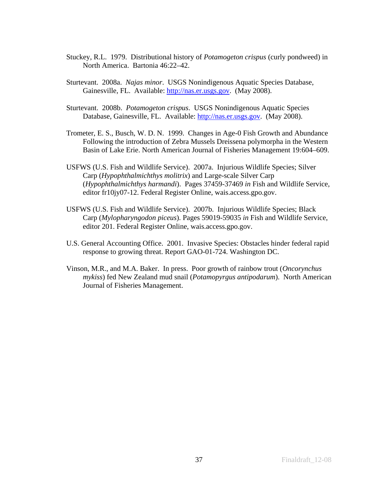- Stuckey, R.L. 1979. Distributional history of *Potamogeton crispus* (curly pondweed) in North America. Bartonia 46:22–42.
- Sturtevant. 2008a. *Najas minor*. USGS Nonindigenous Aquatic Species Database, Gainesville, FL. Available: [http://nas.er.usgs.gov.](http://nas.er.usgs.gov/) (May 2008).
- Sturtevant. 2008b. *Potamogeton crispus*. USGS Nonindigenous Aquatic Species Database, Gainesville, FL. Available: [http://nas.er.usgs.gov.](http://nas.er.usgs.gov/) (May 2008).
- Trometer, E. S., Busch, W. D. N. 1999. Changes in Age-0 Fish Growth and Abundance Following the introduction of Zebra Mussels Dreissena polymorpha in the Western Basin of Lake Erie. North American Journal of Fisheries Management 19:604–609.
- USFWS (U.S. Fish and Wildlife Service). 2007a. Injurious Wildlife Species; Silver Carp (*Hypophthalmichthys molitrix*) and Large-scale Silver Carp (*Hypophthalmichthys harmandi*). Pages 37459-37469 *in* Fish and Wildlife Service, editor fr10jy07-12. Federal Register Online, wais.access.gpo.gov.
- USFWS (U.S. Fish and Wildlife Service). 2007b. Injurious Wildlife Species; Black Carp (*Mylopharyngodon piceus*). Pages 59019-59035 *in* Fish and Wildlife Service, editor 201. Federal Register Online, wais.access.gpo.gov.
- U.S. General Accounting Office. 2001. Invasive Species: Obstacles hinder federal rapid response to growing threat. Report GAO-01-724. Washington DC.
- Vinson, M.R., and M.A. Baker. In press. Poor growth of rainbow trout (*Oncorynchus mykiss*) fed New Zealand mud snail (*Potamopyrgus antipodarum*). North American Journal of Fisheries Management.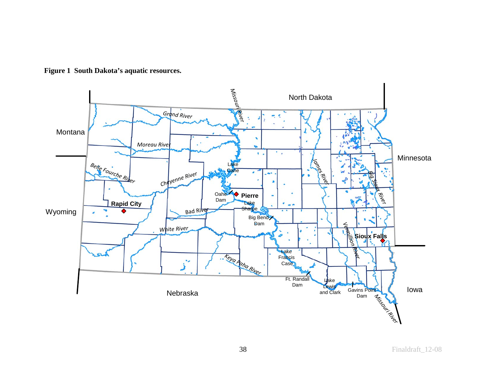

**Figure 1 South Dakota's aquatic resources.**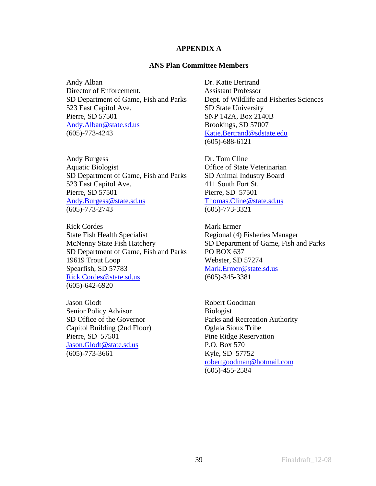#### **APPENDIX A**

#### **ANS Plan Committee Members**

Andy Alban Dr. Katie Bertrand Director of Enforcement. Assistant Professor SD Department of Game, Fish and Parks Dept. of Wildlife and Fisheries Sciences 523 East Capitol Ave. SD State University Pierre, SD 57501<br>Andy.Alban@state.sd.us<br>Brookings, SD 57007 [Andy.Alban@state.sd.us](mailto:Andy.Alban@state.sd.us) (605)-773-4243 [Katie.Bertrand@sdstate.edu](mailto:Katie.Bertrand@sdstate.edu)

Andy Burgess Dr. Tom Cline Aquatic Biologist **Contract Contract Contract Contract Contract Contract Contract Contract Contract Contract Contract Contract Contract Contract Contract Contract Contract Contract Contract Contract Contract Contract Contr** SD Department of Game, Fish and Parks SD Animal Industry Board 523 East Capitol Ave. 411 South Fort St. Pierre, SD 57501 Pierre, SD 57501 [Andy.Burgess@state.sd.us](mailto:Andy.Burgess@state.sd.us) [Thomas.Cline@state.sd.us](mailto:Thomas.Cline@state.sd.us) (605)-773-2743 (605)-773-3321

Rick Cordes Mark Ermer State Fish Health Specialist Regional (4) Fisheries Manager McNenny State Fish Hatchery SD Department of Game, Fish and Parks SD Department of Game, Fish and Parks PO BOX 637 19619 Trout Loop Webster, SD 57274 Spearfish, SD 57783 [Mark.Ermer@state.sd.us](mailto:Mark.Ermer@state.sd.us) [Rick.Cordes@state.sd.us](mailto:Rick.Cordes@state.sd.us) (605)-345-3381 (605)-642-6920

Jason Glodt Robert Goodman Senior Policy Advisor Biologist Capitol Building (2nd Floor) Oglala Sioux Tribe Pierre, SD 57501 Pine Ridge Reservation [Jason.Glodt@state.sd.us](mailto:Jason.Glodt@state.sd.us) P.O. Box 570 (605)-773-3661 Kyle, SD 57752

(605)-688-6121

SD Office of the Governor Parks and Recreation Authority [robertgoodman@hotmail.com](mailto:robertgoodman@hotmail.com) (605)-455-2584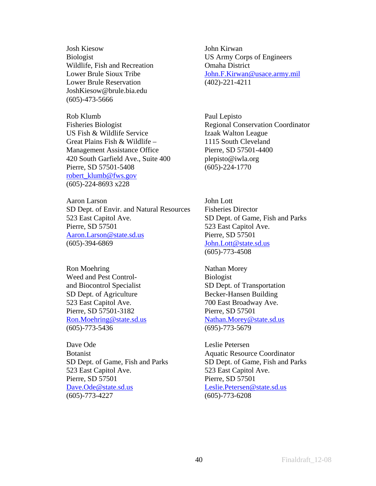Josh Kiesow John Kirwan Wildlife, Fish and Recreation **Omaha District** Lower Brule Reservation (402)-221-4211 JoshKiesow@brule.bia.edu (605)-473-5666

Rob Klumb Paul Lepisto US Fish & Wildlife Service Izaak Walton League Great Plains Fish & Wildlife – 1115 South Cleveland Management Assistance Office Pierre, SD 57501-4400 420 South Garfield Ave., Suite 400 plepisto@iwla.org Pierre, SD 57501-5408 (605)-224-1770 [robert\\_klumb@fws.gov](mailto:robert_klumb@fws.gov)  (605)-224-8693 x228

Aaron Larson John Lott SD Dept. of Envir. and Natural Resources Fisheries Director 523 East Capitol Ave. SD Dept. of Game, Fish and Parks Pierre, SD 57501 523 East Capitol Ave. [Aaron.Larson@state.sd.us](mailto:Aaron.Larson@state.sd.us) Pierre, SD 57501 (605)-394-6869 [John.Lott@state.sd.us](mailto:John.Lott@state.sd.us)

Ron Moehring Nathan Morey Weed and Pest Control-<br>Biologist and Biocontrol Specialist SD Dept. of Transportation SD Dept. of Agriculture Becker-Hansen Building 523 East Capitol Ave. 700 East Broadway Ave. Pierre, SD 57501-3182 Pierre, SD 57501 [Ron.Moehring@state.sd.us](mailto:Ron.Moehring@state.sd.us) [Nathan.Morey@state.sd.us](mailto:Nathan.Morey@state.sd.us) (605)-773-5436 (695)-773-5679

Dave Ode Leslie Petersen Botanist Aquatic Resource Coordinator SD Dept. of Game, Fish and Parks SD Dept. of Game, Fish and Parks 523 East Capitol Ave. 523 East Capitol Ave. Pierre, SD 57501 Pierre, SD 57501 [Dave.Ode@state.sd.us](mailto:Dave.Ode@state.sd.us) [Leslie.Petersen@state.sd.us](mailto:Leslie.Petersen@state.sd.us) (605)-773-4227 (605)-773-6208

Biologist US Army Corps of Engineers Lower Brule Sioux Tribe **Iohn.F.Kirwan@usace.army.mil** 

Fisheries Biologist **Regional Conservation Coordinator** 

(605)-773-4508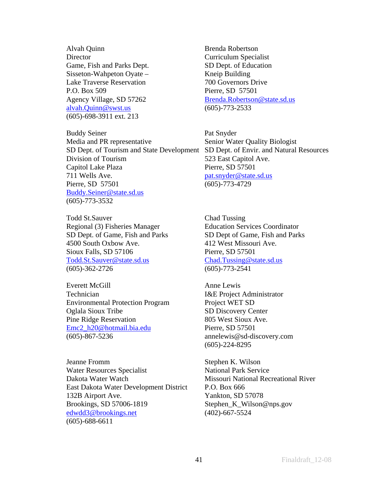Alvah Quinn Brenda Robertson Director Curriculum Specialist Game, Fish and Parks Dept. SD Dept. of Education Sisseton-Wahpeton Oyate – Kneip Building Lake Traverse Reservation 200 Governors Drive P.O. Box 509 Pierre, SD 57501 [alvah.Quinn@swst.us](mailto:alvah.Quinn@swst.us) (605)-773-2533 (605)-698-3911 ext. 213

Buddy Seiner Pat Snyder Media and PR representative Senior Water Quality Biologist SD Dept. of Tourism and State Development SD Dept. of Envir. and Natural Resources Division of Tourism 523 East Capitol Ave. Capitol Lake Plaza Pierre, SD 57501 711 Wells Ave. [pat.snyder@state.sd.us](mailto:pat.snyder@state.sd.us) Pierre, SD 57501 (605)-773-4729 [Buddy.Seiner@state.sd.us](mailto:Buddy.Seiner@state.sd.us) (605)-773-3532

Todd St.Sauver Chad Tussing Regional (3) Fisheries Manager Education Services Coordinator SD Dept. of Game, Fish and Parks SD Dept of Game, Fish and Parks 4500 South Oxbow Ave. 412 West Missouri Ave. Sioux Falls, SD 57106 Pierre, SD 57501 [Todd.St.Sauver@state.sd.us](mailto:Todd.St.Sauver@state.sd.us) [Chad.Tussing@state.sd.us](mailto:Chad.Tussing@state.sd.us) (605)-362-2726 (605)-773-2541

Everett McGill Anne Lewis Technician I&E Project Administrator Environmental Protection Program Project WET SD Oglala Sioux Tribe SD Discovery Center Pine Ridge Reservation 805 West Sioux Ave. [Emc2\\_h20@hotmail.bia.edu](mailto:Emc2_h20@hotmail.bia.edu) Pierre, SD 57501 (605)-867-5236 annelewis@sd-discovery.com

Jeanne Fromm Stephen K. Wilson Water Resources Specialist National Park Service Dakota Water Watch Missouri National Recreational River East Dakota Water Development District P.O. Box 666 132B Airport Ave. Yankton, SD 57078 Brookings, SD 57006-1819 Stephen\_K\_Wilson@nps.gov [edwdd3@brookings.net](mailto:edwdd3@brookings.net) (402)-667-5524 (605)-688-6611

Agency Village, SD 57262 [Brenda.Robertson@state.sd.us](mailto:Brenda.Robertson@state.sd.us)

(605)-224-8295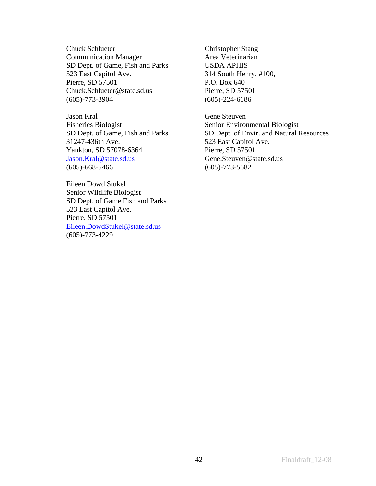Chuck Schlueter Christopher Stang Communication Manager Area Veterinarian SD Dept. of Game, Fish and Parks USDA APHIS 523 East Capitol Ave. 314 South Henry, #100, Pierre, SD 57501 P.O. Box 640 Chuck.Schlueter@state.sd.us Pierre, SD 57501 (605)-773-3904 (605)-224-6186

Jason Kral Gene Steuven Fisheries Biologist Senior Environmental Biologist 31247-436th Ave. 523 East Capitol Ave. Yankton, SD 57078-6364 Pierre, SD 57501 [Jason.Kral@state.sd.us](mailto:Jason.Kral@state.sd.us) Gene.Steuven@state.sd.us (605)-668-5466 (605)-773-5682

Eileen Dowd Stukel Senior Wildlife Biologist SD Dept. of Game Fish and Parks 523 East Capitol Ave. Pierre, SD 57501 [Eileen.DowdStukel@state.sd.us](mailto:Eileen.DowdStukel@state.sd.us) (605)-773-4229

SD Dept. of Game, Fish and Parks SD Dept. of Envir. and Natural Resources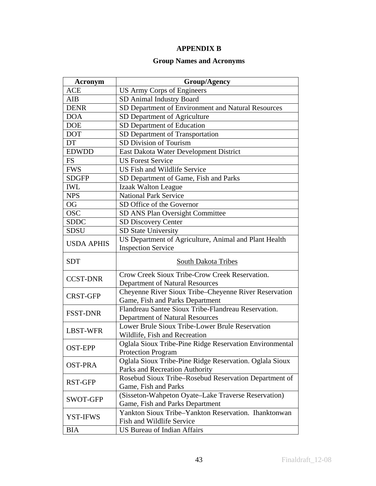## **APPENDIX B**

## **Group Names and Acronyms**

| <b>Acronym</b>    | <b>Group/Agency</b>                                                                                            |
|-------------------|----------------------------------------------------------------------------------------------------------------|
| <b>ACE</b>        | <b>US Army Corps of Engineers</b>                                                                              |
| AIB               | SD Animal Industry Board                                                                                       |
| <b>DENR</b>       | SD Department of Environment and Natural Resources                                                             |
| <b>DOA</b>        | SD Department of Agriculture                                                                                   |
| <b>DOE</b>        | SD Department of Education                                                                                     |
| <b>DOT</b>        | SD Department of Transportation                                                                                |
| DT                | SD Division of Tourism                                                                                         |
| <b>EDWDD</b>      | East Dakota Water Development District                                                                         |
| <b>FS</b>         | <b>US Forest Service</b>                                                                                       |
| <b>FWS</b>        | US Fish and Wildlife Service                                                                                   |
| <b>SDGFP</b>      | SD Department of Game, Fish and Parks                                                                          |
| <b>IWL</b>        | <b>Izaak Walton League</b>                                                                                     |
| <b>NPS</b>        | <b>National Park Service</b>                                                                                   |
| <b>OG</b>         | SD Office of the Governor                                                                                      |
| <b>OSC</b>        | SD ANS Plan Oversight Committee                                                                                |
| <b>SDDC</b>       | <b>SD Discovery Center</b>                                                                                     |
| <b>SDSU</b>       | SD State University                                                                                            |
| <b>USDA APHIS</b> | US Department of Agriculture, Animal and Plant Health<br><b>Inspection Service</b>                             |
|                   |                                                                                                                |
| <b>SDT</b>        | South Dakota Tribes                                                                                            |
| <b>CCST-DNR</b>   | Crow Creek Sioux Tribe-Crow Creek Reservation.                                                                 |
|                   | Department of Natural Resources<br>Cheyenne River Sioux Tribe-Cheyenne River Reservation                       |
| <b>CRST-GFP</b>   | Game, Fish and Parks Department                                                                                |
| <b>FSST-DNR</b>   | Flandreau Santee Sioux Tribe-Flandreau Reservation.                                                            |
| <b>LBST-WFR</b>   | Department of Natural Resources<br>Lower Brule Sioux Tribe-Lower Brule Reservation                             |
| <b>OST-EPP</b>    | Wildlife, Fish and Recreation<br>Oglala Sioux Tribe-Pine Ridge Reservation Environmental                       |
|                   | <b>Protection Program</b>                                                                                      |
| OST-PRA           | Oglala Sioux Tribe-Pine Ridge Reservation. Oglala Sioux<br>Parks and Recreation Authority                      |
| <b>RST-GFP</b>    | Rosebud Sioux Tribe-Rosebud Reservation Department of                                                          |
| SWOT-GFP          | Game, Fish and Parks<br>(Sisseton-Wahpeton Oyate-Lake Traverse Reservation)<br>Game, Fish and Parks Department |
| <b>YST-IFWS</b>   | Yankton Sioux Tribe-Yankton Reservation. Ihanktonwan<br>Fish and Wildlife Service                              |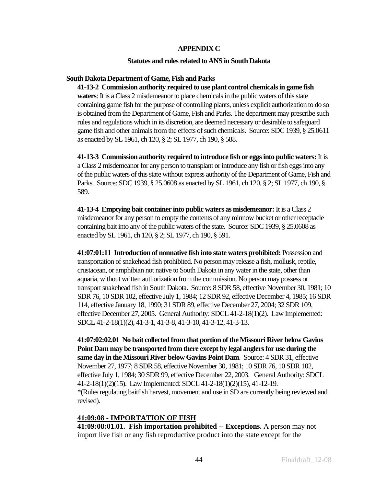#### **APPENDIX C**

#### **Statutes and rules related to ANS in South Dakota**

#### **South Dakota Department of Game, Fish and Parks**

**41-13-2 Commission authority required to use plant control chemicals in game fish waters**: It is a Class 2 misdemeanor to place chemicals in the public waters of this state containing game fish for the purpose of controlling plants, unless explicit authorization to do so is obtained from the Department of Game, Fish and Parks. The department may prescribe such rules and regulations which in its discretion, are deemed necessary or desirable to safeguard game fish and other animals from the effects of such chemicals. Source: SDC 1939, § 25.0611 as enacted by SL 1961, ch 120, § 2; SL 1977, ch 190, § 588.

**41-13-3 Commission authority required to introduce fish or eggs into public waters:** It is a Class 2 misdemeanor for any person to transplant or introduce any fish or fish eggs into any of the public waters of this state without express authority of the Department of Game, Fish and Parks. Source: SDC 1939, § 25.0608 as enacted by SL 1961, ch 120, § 2; SL 1977, ch 190, § 589.

**41-13-4 Emptying bait container into public waters as misdemeanor:** It is a Class 2 misdemeanor for any person to empty the contents of any minnow bucket or other receptacle containing bait into any of the public waters of the state. Source: SDC 1939, § 25.0608 as enacted by SL 1961, ch 120, § 2; SL 1977, ch 190, § 591.

**41:07:01:11 Introduction of nonnative fish into state waters prohibited:** Possession and transportation of snakehead fish prohibited. No person may release a fish, mollusk, reptile, crustacean, or amphibian not native to South Dakota in any water in the state, other than aquaria, without written authorization from the commission. No person may possess or transport snakehead fish in South Dakota. Source: 8 SDR 58, effective November 30, 1981; 10 SDR 76, 10 SDR 102, effective July 1, 1984; 12 SDR 92, effective December 4, 1985; 16 SDR 114, effective January 18, 1990; 31 SDR 89, effective December 27, 2004; 32 SDR 109, effective December 27, 2005. General Authority: SDCL 41-2-18(1)(2). Law Implemented: SDCL 41-2-18(1)(2), 41-3-1, 41-3-8, 41-3-10, 41-3-12, 41-3-13.

**41:07:02:02.01 No bait collected from that portion of the Missouri River below Gavins Point Dam may be transported from there except by legal anglers for use during the same day in the Missouri River below Gavins Point Dam**. Source: 4 SDR 31, effective November 27, 1977; 8 SDR 58, effective November 30, 1981; 10 SDR 76, 10 SDR 102, effective July 1, 1984; 30 SDR 99, effective December 22, 2003. General Authority: SDCL 41-2-18(1)(2)(15). Law Implemented: SDCL 41-2-18(1)(2)(15), 41-12-19. \*(Rules regulating baitfish harvest, movement and use in SD are currently being reviewed and revised).

### **41:09:08 - IMPORTATION OF FISH**

**41:09:08:01.01. Fish importation prohibited -- Exceptions.** A person may not import live fish or any fish reproductive product into the state except for the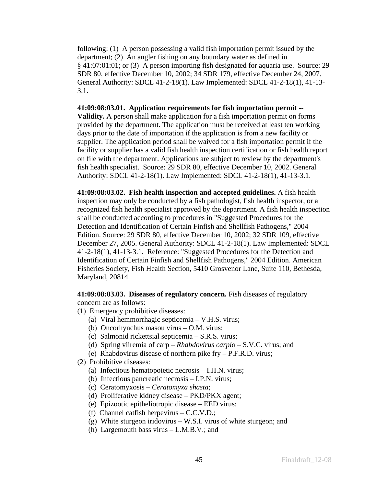following: (1) A person possessing a valid fish importation permit issued by the department; (2) An angler fishing on any boundary water as defined in § 41:07:01:01; or (3) A person importing fish designated for aquaria use. Source: 29 SDR 80, effective December 10, 2002; 34 SDR 179, effective December 24, 2007. General Authority: SDCL 41-2-18(1). Law Implemented: SDCL 41-2-18(1), 41-13- 3.1.

### **41:09:08:03.01. Application requirements for fish importation permit --**

**Validity.** A person shall make application for a fish importation permit on forms provided by the department. The application must be received at least ten working days prior to the date of importation if the application is from a new facility or supplier. The application period shall be waived for a fish importation permit if the facility or supplier has a valid fish health inspection certification or fish health report on file with the department. Applications are subject to review by the department's fish health specialist. Source: 29 SDR 80, effective December 10, 2002. General Authority: SDCL 41-2-18(1). Law Implemented: SDCL 41-2-18(1), 41-13-3.1.

**41:09:08:03.02. Fish health inspection and accepted guidelines.** A fish health inspection may only be conducted by a fish pathologist, fish health inspector, or a recognized fish health specialist approved by the department. A fish health inspection shall be conducted according to procedures in "Suggested Procedures for the Detection and Identification of Certain Finfish and Shellfish Pathogens," 2004 Edition. Source: 29 SDR 80, effective December 10, 2002; 32 SDR 109, effective December 27, 2005. General Authority: SDCL 41-2-18(1). Law Implemented: SDCL 41-2-18(1), 41-13-3.1. Reference: "Suggested Procedures for the Detection and Identification of Certain Finfish and Shellfish Pathogens," 2004 Edition. American Fisheries Society, Fish Health Section, 5410 Grosvenor Lane, Suite 110, Bethesda, Maryland, 20814.

**41:09:08:03.03. Diseases of regulatory concern.** Fish diseases of regulatory concern are as follows:

- (1) Emergency prohibitive diseases:
	- (a) Viral hemmorrhagic septicemia V.H.S. virus;
	- (b) Oncorhynchus masou virus O.M. virus;
	- (c) Salmonid rickettsial septicemia S.R.S. virus;
	- (d) Spring viiremia of carp *Rhabdovirus carpio* S.V.C. virus; and
	- (e) Rhabdovirus disease of northern pike fry P.F.R.D. virus;
- (2) Prohibitive diseases:
	- (a) Infectious hematopoietic necrosis I.H.N. virus;
	- (b) Infectious pancreatic necrosis I.P.N. virus;
	- (c) Ceratomyxosis *Ceratomyxa shasta*;
	- (d) Proliferative kidney disease PKD/PKX agent;
	- (e) Epizootic epitheliotropic disease EED virus;
	- (f) Channel catfish herpevirus C.C.V.D.;
	- (g) White sturgeon iridovirus W.S.I. virus of white sturgeon; and
	- (h) Largemouth bass virus L.M.B.V.; and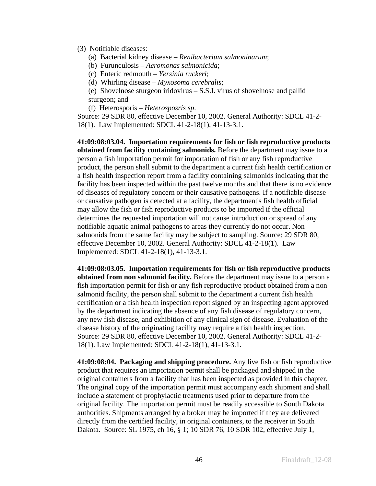(3) Notifiable diseases:

- (a) Bacterial kidney disease *Renibacterium salmoninarum*;
- (b) Furunculosis *Aeromonas salmonicida*;
- (c) Enteric redmouth *Yersinia ruckeri*;
- (d) Whirling disease *Myxosoma cerebralis*;

(e) Shovelnose sturgeon iridovirus – S.S.I. virus of shovelnose and pallid sturgeon; and

(f) Heterosporis – *Heterosposris sp*.

Source: 29 SDR 80, effective December 10, 2002. General Authority: SDCL 41-2- 18(1). Law Implemented: SDCL 41-2-18(1), 41-13-3.1.

**41:09:08:03.04. Importation requirements for fish or fish reproductive products obtained from facility containing salmonids.** Before the department may issue to a person a fish importation permit for importation of fish or any fish reproductive product, the person shall submit to the department a current fish health certification or a fish health inspection report from a facility containing salmonids indicating that the facility has been inspected within the past twelve months and that there is no evidence of diseases of regulatory concern or their causative pathogens. If a notifiable disease or causative pathogen is detected at a facility, the department's fish health official may allow the fish or fish reproductive products to be imported if the official determines the requested importation will not cause introduction or spread of any notifiable aquatic animal pathogens to areas they currently do not occur. Non salmonids from the same facility may be subject to sampling. Source: 29 SDR 80, effective December 10, 2002. General Authority: SDCL 41-2-18(1). Law Implemented: SDCL 41-2-18(1), 41-13-3.1.

**41:09:08:03.05. Importation requirements for fish or fish reproductive products obtained from non salmonid facility.** Before the department may issue to a person a fish importation permit for fish or any fish reproductive product obtained from a non salmonid facility, the person shall submit to the department a current fish health certification or a fish health inspection report signed by an inspecting agent approved by the department indicating the absence of any fish disease of regulatory concern, any new fish disease, and exhibition of any clinical sign of disease. Evaluation of the disease history of the originating facility may require a fish health inspection. Source: 29 SDR 80, effective December 10, 2002. General Authority: SDCL 41-2- 18(1). Law Implemented: SDCL 41-2-18(1), 41-13-3.1.

**41:09:08:04. Packaging and shipping procedure.** Any live fish or fish reproductive product that requires an importation permit shall be packaged and shipped in the original containers from a facility that has been inspected as provided in this chapter. The original copy of the importation permit must accompany each shipment and shall include a statement of prophylactic treatments used prior to departure from the original facility. The importation permit must be readily accessible to South Dakota authorities. Shipments arranged by a broker may be imported if they are delivered directly from the certified facility, in original containers, to the receiver in South Dakota. Source: SL 1975, ch 16, § 1; 10 SDR 76, 10 SDR 102, effective July 1,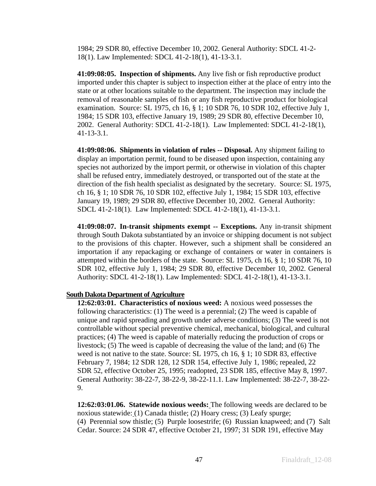1984; 29 SDR 80, effective December 10, 2002. General Authority: SDCL 41-2- 18(1). Law Implemented: SDCL 41-2-18(1), 41-13-3.1.

**41:09:08:05. Inspection of shipments.** Any live fish or fish reproductive product imported under this chapter is subject to inspection either at the place of entry into the state or at other locations suitable to the department. The inspection may include the removal of reasonable samples of fish or any fish reproductive product for biological examination. Source: SL 1975, ch 16, § 1; 10 SDR 76, 10 SDR 102, effective July 1, 1984; 15 SDR 103, effective January 19, 1989; 29 SDR 80, effective December 10, 2002. General Authority: SDCL 41-2-18(1). Law Implemented: SDCL 41-2-18(1), 41-13-3.1.

**41:09:08:06. Shipments in violation of rules -- Disposal.** Any shipment failing to display an importation permit, found to be diseased upon inspection, containing any species not authorized by the import permit, or otherwise in violation of this chapter shall be refused entry, immediately destroyed, or transported out of the state at the direction of the fish health specialist as designated by the secretary. Source: SL 1975, ch 16, § 1; 10 SDR 76, 10 SDR 102, effective July 1, 1984; 15 SDR 103, effective January 19, 1989; 29 SDR 80, effective December 10, 2002. General Authority: SDCL 41-2-18(1). Law Implemented: SDCL 41-2-18(1), 41-13-3.1.

**41:09:08:07. In-transit shipments exempt -- Exceptions.** Any in-transit shipment through South Dakota substantiated by an invoice or shipping document is not subject to the provisions of this chapter. However, such a shipment shall be considered an importation if any repackaging or exchange of containers or water in containers is attempted within the borders of the state. Source: SL 1975, ch 16, § 1; 10 SDR 76, 10 SDR 102, effective July 1, 1984; 29 SDR 80, effective December 10, 2002. General Authority: SDCL 41-2-18(1). Law Implemented: SDCL 41-2-18(1), 41-13-3.1.

### **South Dakota Department of Agriculture**

**12:62:03:01. Characteristics of noxious weed:** A noxious weed possesses the following characteristics: (1) The weed is a perennial; (2) The weed is capable of unique and rapid spreading and growth under adverse conditions; (3) The weed is not controllable without special preventive chemical, mechanical, biological, and cultural practices; (4) The weed is capable of materially reducing the production of crops or livestock; (5) The weed is capable of decreasing the value of the land; and (6) The weed is not native to the state. Source: SL 1975, ch 16, § 1; 10 SDR 83, effective February 7, 1984; 12 SDR 128, 12 SDR 154, effective July 1, 1986; repealed, 22 SDR 52, effective October 25, 1995; readopted, 23 SDR 185, effective May 8, 1997. General Authority: 38-22-7, 38-22-9, 38-22-11.1. Law Implemented: 38-22-7, 38-22- 9.

**12:62:03:01.06. Statewide noxious weeds:** The following weeds are declared to be noxious statewide: (1) Canada thistle; (2) Hoary cress; (3) Leafy spurge; (4) Perennial sow thistle; (5) Purple loosestrife; (6) Russian knapweed; and (7) Salt Cedar. Source: 24 SDR 47, effective October 21, 1997; 31 SDR 191, effective May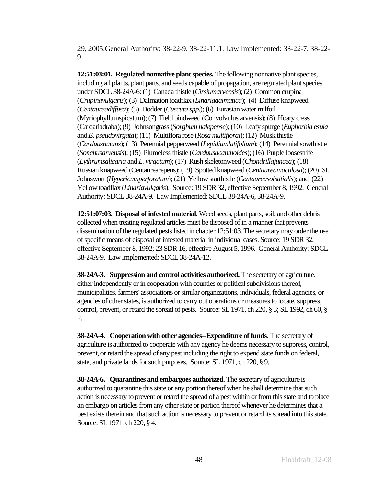29, 2005.General Authority: 38-22-9, 38-22-11.1. Law Implemented: 38-22-7, 38-22- 9.

**12:51:03:01. Regulated nonnative plant species.** The following nonnative plant species, including all plants, plant parts, and seeds capable of propagation, are regulated plant species under SDCL 38-24A-6: (1) Canada thistle (*Cirsiumarvensis*); (2) Common crupina (*Crupinavulgaris*); (3) Dalmation toadflax (*Linariadalmatica*); (4) Diffuse knapweed (*Centaureadiffusa*); (5) Dodder (*Cuscuta spp.*); **(**6) Eurasian water milfoil (Myriophyllumspicatum); (7) Field bindweed (Convolvulus arvensis); (8) Hoary cress (Cardariadraba); (9) Johnsongrass (*Sorghum halepense*); (10) Leafy spurge (*Euphorbia esula* and *E. pseudovirgata*); (11) Multiflora rose (*Rosa multifloral*); (12) Musk thistle (*Carduusnutans*); (13) Perennial pepperweed (*Lepidiumlatifolium*); (14) Perennial sowthistle (*Sonchusarvensis*); (15) Plumeless thistle (*Carduusacanthoides*); (16) Purple loosestrife (*Lythrumsalicaria* and *L. virgatum*); (17) Rush skeletonweed (*Chondrillajuncea*); (18) Russian knapweed (Centaurearepens); (19) Spotted knapweed (*Centaureamaculosa*); (20) St. Johnswort (*Hypericumperforatum*); (21) Yellow starthistle (*Centaureasolstitialis*); and (22) Yellow toadflax (*Linariavulgaris*). Source: 19 SDR 32, effective September 8, 1992. General Authority: SDCL 38-24A-9. Law Implemented: SDCL 38-24A-6, 38-24A-9.

**12:51:07:03. Disposal of infested material**. Weed seeds, plant parts, soil, and other debris collected when treating regulated articles must be disposed of in a manner that prevents dissemination of the regulated pests listed in chapter 12:51:03. The secretary may order the use of specific means of disposal of infested material in individual cases. Source: 19 SDR 32, effective September 8, 1992; 23 SDR 16, effective August 5, 1996. General Authority: SDCL 38-24A-9. Law Implemented: SDCL 38-24A-12.

**38-24A-3. Suppression and control activities authorized.** The secretary of agriculture, either independently or in cooperation with counties or political subdivisions thereof, municipalities, farmers' associations or similar organizations, individuals, federal agencies, or agencies of other states, is authorized to carry out operations or measures to locate, suppress, control, prevent, or retard the spread of pests. Source: SL 1971, ch 220, § 3; SL 1992, ch 60, § 2.

**38-24A-4. Cooperation with other agencies--Expenditure of funds**. The secretary of agriculture is authorized to cooperate with any agency he deems necessary to suppress, control, prevent, or retard the spread of any pest including the right to expend state funds on federal, state, and private lands for such purposes. Source: SL 1971, ch 220, § 9.

**38-24A-6. Quarantines and embargoes authorized**. The secretary of agriculture is authorized to quarantine this state or any portion thereof when he shall determine that such action is necessary to prevent or retard the spread of a pest within or from this state and to place an embargo on articles from any other state or portion thereof whenever he determines that a pest exists therein and that such action is necessary to prevent or retard its spread into this state. Source: SL 1971, ch 220, § 4.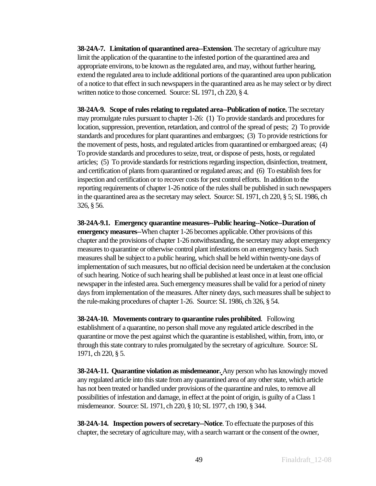**38-24A-7. Limitation of quarantined area--Extension**. The secretary of agriculture may limit the application of the quarantine to the infested portion of the quarantined area and appropriate environs, to be known as the regulated area, and may, without further hearing, extend the regulated area to include additional portions of the quarantined area upon publication of a notice to that effect in such newspapers in the quarantined area as he may select or by direct written notice to those concerned. Source: SL 1971, ch 220, § 4.

**38-24A-9. Scope of rules relating to regulated area--Publication of notice.** The secretary may promulgate rules pursuant to chapter 1-26: (1) To provide standards and procedures for location, suppression, prevention, retardation, and control of the spread of pests; 2) To provide standards and procedures for plant quarantines and embargoes; (3) To provide restrictions for the movement of pests, hosts, and regulated articles from quarantined or embargoed areas; (4) To provide standards and procedures to seize, treat, or dispose of pests, hosts, or regulated articles; (5) To provide standards for restrictions regarding inspection, disinfection, treatment, and certification of plants from quarantined or regulated areas; and (6) To establish fees for inspection and certification or to recover costs for pest control efforts. In addition to the reporting requirements of chapter 1-26 notice of the rules shall be published in such newspapers in the quarantined area as the secretary may select. Source: SL 1971, ch 220, § 5; SL 1986, ch 326, § 56.

**38-24A-9.1. Emergency quarantine measures--Public hearing--Notice--Duration of emergency measures**--When chapter 1-26 becomes applicable. Other provisions of this chapter and the provisions of chapter 1-26 notwithstanding, the secretary may adopt emergency measures to quarantine or otherwise control plant infestations on an emergency basis. Such measures shall be subject to a public hearing, which shall be held within twenty-one days of implementation of such measures, but no official decision need be undertaken at the conclusion of such hearing. Notice of such hearing shall be published at least once in at least one official newspaper in the infested area. Such emergency measures shall be valid for a period of ninety days from implementation of the measures. After ninety days, such measures shall be subject to the rule-making procedures of chapter 1-26. Source: SL 1986, ch 326, § 54.

**38-24A-10. Movements contrary to quarantine rules prohibited**. Following establishment of a quarantine, no person shall move any regulated article described in the quarantine or move the pest against which the quarantine is established, within, from, into, or through this state contrary to rules promulgated by the secretary of agriculture. Source: SL 1971, ch 220, § 5.

**38-24A-11. Quarantine violation as misdemeanor.** Any person who has knowingly moved any regulated article into this state from any quarantined area of any other state, which article has not been treated or handled under provisions of the quarantine and rules, to remove all possibilities of infestation and damage, in effect at the point of origin, is guilty of a Class 1 misdemeanor. Source: SL 1971, ch 220, § 10; SL 1977, ch 190, § 344.

**38-24A-14. Inspection powers of secretary--Notice**. To effectuate the purposes of this chapter, the secretary of agriculture may, with a search warrant or the consent of the owner,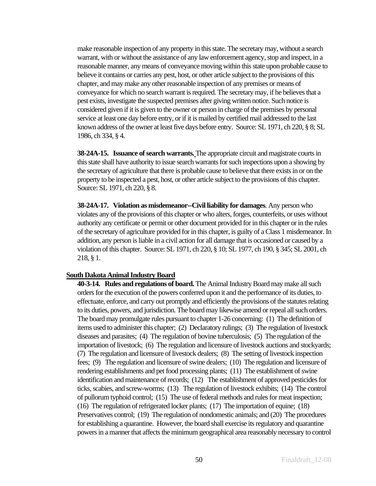make reasonable inspection of any property in this state. The secretary may, without a search warrant, with or without the assistance of any law enforcement agency, stop and inspect, in a reasonable manner, any means of conveyance moving within this state upon probable cause to believe it contains or carries any pest, host, or other article subject to the provisions of this chapter, and may make any other reasonable inspection of any premises or means of conveyance for which no search warrant is required. The secretary may, if he believes that a pest exists, investigate the suspected premises after giving written notice. Such notice is considered given if it is given to the owner or person in charge of the premises by personal service at least one day before entry, or if it is mailed by certified mail addressed to the last known address of the owner at least five days before entry. Source: SL 1971, ch 220, § 8; SL 1986, ch 334, § 4.

**38-24A-15. Issuance of search warrants.** The appropriate circuit and magistrate courts in this state shall have authority to issue search warrants for such inspections upon a showing by the secretary of agriculture that there is probable cause to believe that there exists in or on the property to be inspected a pest, host, or other article subject to the provisions of this chapter. Source: SL 1971, ch 220, § 8.

**38-24A-17. Violation as misdemeanor--Civil liability for damages**. Any person who violates any of the provisions of this chapter or who alters, forges, counterfeits, or uses without authority any certificate or permit or other document provided for in this chapter or in the rules of the secretary of agriculture provided for in this chapter, is guilty of a Class 1 misdemeanor. In addition, any person is liable in a civil action for all damage that is occasioned or caused by a violation of this chapter. Source: SL 1971, ch 220, § 10; SL 1977, ch 190, § 345; SL 2001, ch 218, § 1.

#### **South Dakota Animal Industry Board**

**40-3-14. Rules and regulations of board.** The Animal Industry Board may make all such orders for the execution of the powers conferred upon it and the performance of its duties, to effectuate, enforce, and carry out promptly and efficiently the provisions of the statutes relating to its duties, powers, and jurisdiction. The board may likewise amend or repeal all such orders. The board may promulgate rules pursuant to chapter 1-26 concerning: (1) The definition of items used to administer this chapter; (2) Declaratory rulings; (3) The regulation of livestock diseases and parasites; (4) The regulation of bovine tuberculosis; (5) The regulation of the importation of livestock; (6) The regulation and licensure of livestock auctions and stockyards; (7) The regulation and licensure of livestock dealers; (8) The setting of livestock inspection fees; (9) The regulation and licensure of swine dealers; (10) The regulation and licensure of rendering establishments and pet food processing plants; (11) The establishment of swine identification and maintenance of records; (12) The establishment of approved pesticides for ticks, scabies, and screw-worms; (13) The regulation of livestock exhibits; (14) The control of pullorum typhoid control; (15) The use of federal methods and rules for meat inspection; (16) The regulation of refrigerated locker plants; (17) The importation of equine; (18) Preservatives control; (19) The regulation of nondomestic animals; and (20) The procedures for establishing a quarantine. However, the board shall exercise its regulatory and quarantine powers in a manner that affects the minimum geographical area reasonably necessary to control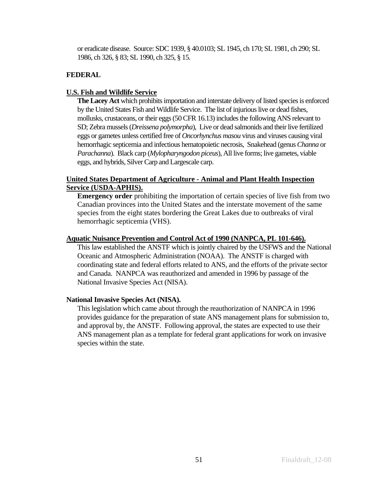or eradicate disease. Source: SDC 1939, § 40.0103; SL 1945, ch 170; SL 1981, ch 290; SL 1986, ch 326, § 83; SL 1990, ch 325, § 15.

## **FEDERAL**

## **U.S. Fish and Wildlife Service**

**The Lacey Act** which prohibits importation and interstate delivery of listed species is enforced by the United States Fish and Wildlife Service. The list of injurious live or dead fishes, mollusks, crustaceans, or their eggs (50 CFR 16.13) includes the following ANS relevant to SD; Zebra mussels (*Dreissena polymorpha*), Live or dead salmonids and their live fertilized eggs or gametes unless certified free of *Oncorhynchus masou* virus and viruses causing viral hemorrhagic septicemia and infectious hematopoietic necrosis, Snakehead (genus *Channa* or *Parachanna*). Black carp (*Mylopharyngodon piceus*), All live forms; live gametes, viable eggs, and hybrids, Silver Carp and Largescale carp.

## **United States Department of Agriculture - Animal and Plant Health Inspection Service (USDA-APHIS).**

**Emergency order** prohibiting the importation of certain species of live fish from two Canadian provinces into the United States and the interstate movement of the same species from the eight states bordering the Great Lakes due to outbreaks of viral hemorrhagic septicemia (VHS).

### **Aquatic Nuisance Prevention and Control Act of 1990 (NANPCA, PL 101-646).**

This law established the ANSTF which is jointly chaired by the USFWS and the National Oceanic and Atmospheric Administration (NOAA). The ANSTF is charged with coordinating state and federal efforts related to ANS, and the efforts of the private sector and Canada. NANPCA was reauthorized and amended in 1996 by passage of the National Invasive Species Act (NISA).

### **National Invasive Species Act (NISA).**

This legislation which came about through the reauthorization of NANPCA in 1996 provides guidance for the preparation of state ANS management plans for submission to, and approval by, the ANSTF. Following approval, the states are expected to use their ANS management plan as a template for federal grant applications for work on invasive species within the state.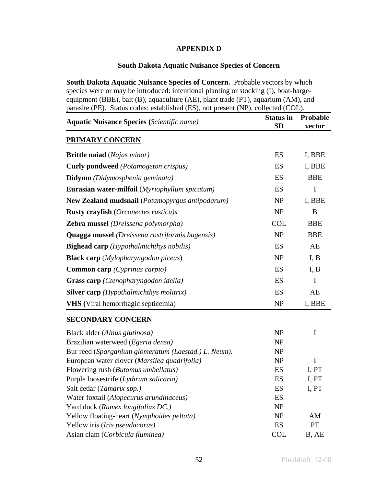## **APPENDIX D**

## **South Dakota Aquatic Nuisance Species of Concern**

**South Dakota Aquatic Nuisance Species of Concern.** Probable vectors by which species were or may be introduced: intentional planting or stocking (I), boat-bargeequipment (BBE), bait (B), aquaculture (AE), plant trade (PT), aquarium (AM), and parasite (PE). Status codes: established (ES), not present (NP), collected (COL).

| <b>Aquatic Nuisance Species (Scientific name)</b>               | <b>Status in</b><br><b>SD</b> | Probable<br>vector |
|-----------------------------------------------------------------|-------------------------------|--------------------|
| <b>PRIMARY CONCERN</b>                                          |                               |                    |
| <b>Brittle naiad</b> (Najas minor)                              | ES                            | I, BBE             |
| <b>Curly pondweed</b> (Potamogeton crispus)                     | ES                            | I, BBE             |
| Didymo (Didymosphenia geminata)                                 | ES                            | <b>BBE</b>         |
| <b>Eurasian water-milfoil</b> (Myriophyllum spicatum)           | ES                            | I                  |
| <b>New Zealand mudsnail</b> (Potamopyrgus antipodarum)          | <b>NP</b>                     | I, BBE             |
| <b>Rusty crayfish</b> ( <i>Orconectes rusticu</i> )s            | NP                            | B                  |
| <b>Zebra mussel</b> (Dreissena polymorpha)                      | <b>COL</b>                    | <b>BBE</b>         |
| <b>Quagga mussel</b> ( <i>Dreissena rostriformis bugensis</i> ) | NP                            | <b>BBE</b>         |
| <b>Bighead carp</b> ( <i>Hypothalmichthys nobilis</i> )         | ES                            | AE                 |
| <b>Black carp</b> ( <i>Mylopharyngodon piceus</i> )             | NP                            | I, B               |
| <b>Common carp</b> (Cyprinus carpio)                            | ES                            | I, B               |
| <b>Grass carp</b> ( <i>Ctenopharyngodon idella</i> )            | ES                            | I                  |
| <b>Silver carp</b> ( <i>Hypothalmichthys molitrix</i> )         | ES                            | AE                 |
| <b>VHS</b> (Viral hemorrhagic septicemia)                       | NP                            | I, BBE             |
| <b>SECONDARY CONCERN</b>                                        |                               |                    |
| Black alder (Alnus glutinosa)                                   | <b>NP</b>                     | I                  |
| Brazilian waterweed (Egeria densa)                              | NP                            |                    |
| Bur reed (Sparganium glomeratum (Laestad.) L. Neum).            | NP                            |                    |
| European water clover (Marsilea quadrifolia)                    | NP                            | $\mathbf I$        |
| Flowering rush (Butomus umbellatus)                             | ES                            | I, PT              |
| Purple loosestrife (Lythrum salicaria)                          | ES                            | I, PT              |
| Salt cedar (Tamarix spp.)                                       | ES                            | I, PT              |
| Water foxtail (Alopecurus arundinaceus)                         | ES                            |                    |
| Yard dock (Rumex longifolius DC.)                               | N <sub>P</sub>                |                    |
| Yellow floating-heart (Nymphoides peltata)                      | NP                            | AM                 |
| Yellow iris (Iris pseudacorus)                                  | ES                            | <b>PT</b>          |
| Asian clam (Corbicula fluminea)                                 | <b>COL</b>                    | B, AE              |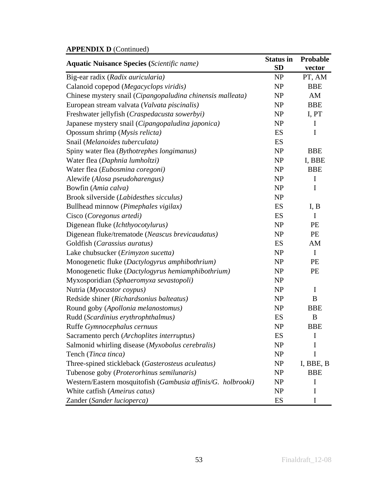# **APPENDIX D** (Continued)

| <b>Aquatic Nuisance Species (Scientific name)</b>            | <b>Status in</b><br><b>SD</b> | Probable<br>vector |
|--------------------------------------------------------------|-------------------------------|--------------------|
| Big-ear radix (Radix auricularia)                            | NP                            | PT, AM             |
| Calanoid copepod (Megacyclops viridis)                       | NP                            | <b>BBE</b>         |
| Chinese mystery snail (Cipangopaludina chinensis malleata)   | NP                            | AM                 |
| European stream valvata (Valvata piscinalis)                 | NP                            | <b>BBE</b>         |
| Freshwater jellyfish (Craspedacusta sowerbyi)                | NP                            | I, PT              |
| Japanese mystery snail (Cipangopaludina japonica)            | NP                            | I                  |
| Opossum shrimp (Mysis relicta)                               | ES                            | I                  |
| Snail (Melanoides tuberculata)                               | ES                            |                    |
| Spiny water flea (Bythotrephes longimanus)                   | NP                            | <b>BBE</b>         |
| Water flea (Daphnia lumholtzi)                               | NP                            | I, BBE             |
| Water flea (Eubosmina coregoni)                              | NP                            | <b>BBE</b>         |
| Alewife (Alosa pseudoharengus)                               | NP                            | $\mathbf I$        |
| Bowfin (Amia calva)                                          | NP                            | I                  |
| Brook silverside (Labidesthes sicculus)                      | NP                            |                    |
| Bullhead minnow (Pimephales vigilax)                         | ES                            | I, B               |
| Cisco (Coregonus artedi)                                     | ES                            | I                  |
| Digenean fluke (Ichthyocotylurus)                            | NP                            | PE                 |
| Digenean fluke/trematode (Neascus brevicaudatus)             | NP                            | PE                 |
| Goldfish (Carassius auratus)                                 | ES                            | AM                 |
| Lake chubsucker (Erimyzon sucetta)                           | NP                            | $\mathbf I$        |
| Monogenetic fluke (Dactylogyrus amphibothrium)               | NP                            | PE                 |
| Monogenetic fluke (Dactylogyrus hemiamphibothrium)           | NP                            | PE                 |
| Myxosporidian (Sphaeromyxa sevastopoli)                      | NP                            |                    |
| Nutria (Myocastor coypus)                                    | NP                            | $\mathbf I$        |
| Redside shiner (Richardsonius balteatus)                     | NP                            | $\boldsymbol{B}$   |
| Round goby (Apollonia melanostomus)                          | NP                            | <b>BBE</b>         |
| Rudd (Scardinius erythrophthalmus)                           | ES                            | B                  |
| Ruffe Gymnocephalus cernuus                                  | <b>NP</b>                     | <b>BBE</b>         |
| Sacramento perch (Archoplites interruptus)                   | ES                            | I                  |
| Salmonid whirling disease (Myxobolus cerebralis)             | NP                            | I                  |
| Tench (Tinca tinca)                                          | NP                            | I                  |
| Three-spined stickleback (Gasterosteus aculeatus)            | NP                            | I, BBE, B          |
| Tubenose goby (Proterorhinus semilunaris)                    | NP                            | <b>BBE</b>         |
| Western/Eastern mosquitofish (Gambusia affinis/G. holbrooki) | NP                            | I                  |
| White catfish (Ameirus catus)                                | <b>NP</b>                     | I                  |
| Zander (Sander lucioperca)                                   | ES                            | I                  |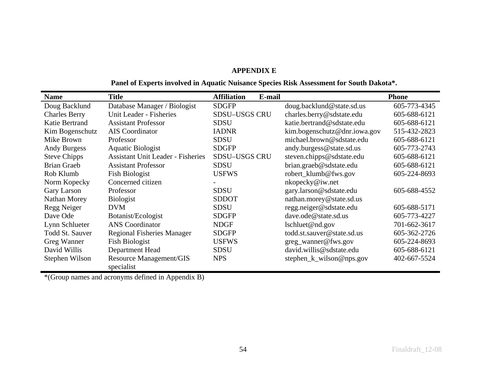#### **APPENDIX E**

## **Panel of Experts involved in Aquatic Nuisance Species Risk Assessment for South Dakota\*.**

| <b>Name</b>            | <b>Title</b>                             | <b>Affiliation</b><br>E-mail |                              | <b>Phone</b> |
|------------------------|------------------------------------------|------------------------------|------------------------------|--------------|
| Doug Backlund          | Database Manager / Biologist             | <b>SDGFP</b>                 | doug.backlund@state.sd.us    | 605-773-4345 |
| <b>Charles Berry</b>   | Unit Leader - Fisheries                  | <b>SDSU-USGS CRU</b>         | charles.berry@sdstate.edu    | 605-688-6121 |
| Katie Bertrand         | <b>Assistant Professor</b>               | <b>SDSU</b>                  | katie.bertrand@sdstate.edu   | 605-688-6121 |
| Kim Bogenschutz        | AIS Coordinator                          | <b>IADNR</b>                 | kim.bogenschutz@dnr.iowa.gov | 515-432-2823 |
| Mike Brown             | Professor                                | <b>SDSU</b>                  | michael.brown@sdstate.edu    | 605-688-6121 |
| <b>Andy Burgess</b>    | <b>Aquatic Biologist</b>                 | <b>SDGFP</b>                 | andy.burgess@state.sd.us     | 605-773-2743 |
| <b>Steve Chipps</b>    | <b>Assistant Unit Leader - Fisheries</b> | <b>SDSU-USGS CRU</b>         | steven.chipps@sdstate.edu    | 605-688-6121 |
| <b>Brian Graeb</b>     | <b>Assistant Professor</b>               | <b>SDSU</b>                  | brian.graeb@sdstate.edu      | 605-688-6121 |
| Rob Klumb              | <b>Fish Biologist</b>                    | <b>USFWS</b>                 | robert_klumb@fws.gov         | 605-224-8693 |
| Norm Kopecky           | Concerned citizen                        |                              | nkopecky@iw.net              |              |
| Gary Larson            | Professor                                | <b>SDSU</b>                  | gary.larson@sdstate.edu      | 605-688-4552 |
| Nathan Morey           | Biologist                                | <b>SDDOT</b>                 | nathan.morey@state.sd.us     |              |
| Regg Neiger            | <b>DVM</b>                               | <b>SDSU</b>                  | regg.neiger@sdstate.edu      | 605-688-5171 |
| Dave Ode               | Botanist/Ecologist                       | <b>SDGFP</b>                 | dave.ode@state.sd.us         | 605-773-4227 |
| Lynn Schlueter         | <b>ANS</b> Coordinator                   | <b>NDGF</b>                  | lschluet@nd.gov              | 701-662-3617 |
| <b>Todd St. Sauver</b> | <b>Regional Fisheries Manager</b>        | <b>SDGFP</b>                 | todd.st.sauver@state.sd.us   | 605-362-2726 |
| Greg Wanner            | <b>Fish Biologist</b>                    | <b>USFWS</b>                 | greg_wanner@fws.gov          | 605-224-8693 |
| David Willis           | Department Head                          | <b>SDSU</b>                  | david.willis@sdstate.edu     | 605-688-6121 |
| Stephen Wilson         | <b>Resource Management/GIS</b>           | <b>NPS</b>                   | stephen_k_wilson@nps.gov     | 402-667-5524 |
|                        | specialist                               |                              |                              |              |

\*(Group names and acronyms defined in Appendix B)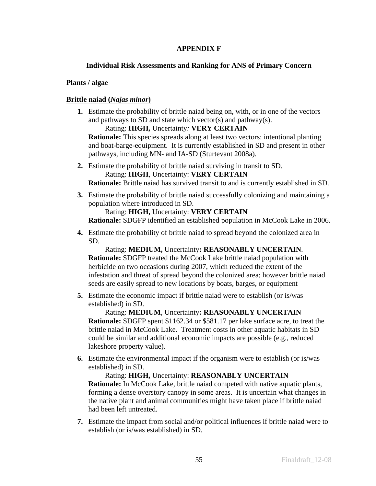## **APPENDIX F**

## **Individual Risk Assessments and Ranking for ANS of Primary Concern**

## **Plants / algae**

## **Brittle naiad (***Najas minor***)**

**1.** Estimate the probability of brittle naiad being on, with, or in one of the vectors and pathways to SD and state which vector(s) and pathway(s).

Rating: **HIGH,** Uncertainty*:* **VERY CERTAIN**

**Rationale:** This species spreads along at least two vectors: intentional planting and boat-barge-equipment. It is currently established in SD and present in other pathways, including MN- and IA-SD (Sturtevant 2008a).

**2.** Estimate the probability of brittle naiad surviving in transit to SD. Rating: **HIGH**, Uncertainty: **VERY CERTAIN**

**Rationale:** Brittle naiad has survived transit to and is currently established in SD.

**3.** Estimate the probability of brittle naiad successfully colonizing and maintaining a population where introduced in SD.

Rating: **HIGH,** Uncertainty: **VERY CERTAIN**

**Rationale:** SDGFP identified an established population in McCook Lake in 2006.

**4.** Estimate the probability of brittle naiad to spread beyond the colonized area in SD.

Rating: **MEDIUM,** Uncertainty**: REASONABLY UNCERTAIN**. **Rationale:** SDGFP treated the McCook Lake brittle naiad population with herbicide on two occasions during 2007, which reduced the extent of the infestation and threat of spread beyond the colonized area; however brittle naiad seeds are easily spread to new locations by boats, barges, or equipment

**5.** Estimate the economic impact if brittle naiad were to establish (or is/was established) in SD.

Rating: **MEDIUM**, Uncertainty**: REASONABLY UNCERTAIN Rationale:** SDGFP spent \$1162.34 or \$581.17 per lake surface acre, to treat the brittle naiad in McCook Lake. Treatment costs in other aquatic habitats in SD could be similar and additional economic impacts are possible (e.g., reduced lakeshore property value).

**6.** Estimate the environmental impact if the organism were to establish (or is/was established) in SD.

Rating: **HIGH,** Uncertainty: **REASONABLY UNCERTAIN Rationale:** In McCook Lake, brittle naiad competed with native aquatic plants, forming a dense overstory canopy in some areas. It is uncertain what changes in the native plant and animal communities might have taken place if brittle naiad had been left untreated.

**7.** Estimate the impact from social and/or political influences if brittle naiad were to establish (or is/was established) in SD.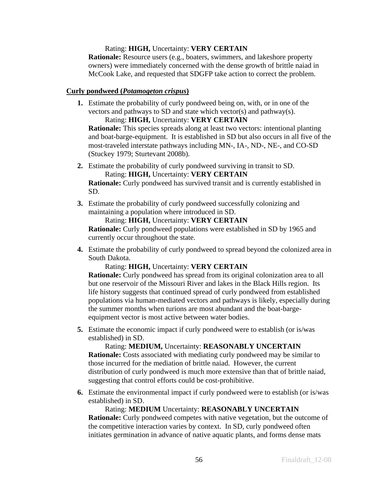## Rating: **HIGH,** Uncertainty: **VERY CERTAIN**

**Rationale:** Resource users (e.g., boaters, swimmers, and lakeshore property owners) were immediately concerned with the dense growth of brittle naiad in McCook Lake, and requested that SDGFP take action to correct the problem.

### **Curly pondweed (***Potamogeton crispus***)**

**1.** Estimate the probability of curly pondweed being on, with, or in one of the vectors and pathways to SD and state which vector(s) and pathway(s). Rating: **HIGH,** Uncertainty: **VERY CERTAIN**

**Rationale:** This species spreads along at least two vectors: intentional planting and boat-barge-equipment. It is established in SD but also occurs in all five of the most-traveled interstate pathways including MN-, IA-, ND-, NE-, and CO-SD (Stuckey 1979; Sturtevant 2008b).

**2.** Estimate the probability of curly pondweed surviving in transit to SD. Rating: **HIGH,** Uncertainty: **VERY CERTAIN**

**Rationale:** Curly pondweed has survived transit and is currently established in SD.

**3.** Estimate the probability of curly pondweed successfully colonizing and maintaining a population where introduced in SD.

```
Rating: HIGH, Uncertainty: VERY CERTAIN
```
**Rationale:** Curly pondweed populations were established in SD by 1965 and currently occur throughout the state.

**4.** Estimate the probability of curly pondweed to spread beyond the colonized area in South Dakota.

### Rating: **HIGH,** Uncertainty: **VERY CERTAIN**

**Rationale:** Curly pondweed has spread from its original colonization area to all but one reservoir of the Missouri River and lakes in the Black Hills region. Its life history suggests that continued spread of curly pondweed from established populations via human-mediated vectors and pathways is likely, especially during the summer months when turions are most abundant and the boat-bargeequipment vector is most active between water bodies.

**5.** Estimate the economic impact if curly pondweed were to establish (or is/was established) in SD.

Rating: **MEDIUM,** Uncertainty: **REASONABLY UNCERTAIN Rationale:** Costs associated with mediating curly pondweed may be similar to those incurred for the mediation of brittle naiad. However, the current distribution of curly pondweed is much more extensive than that of brittle naiad, suggesting that control efforts could be cost-prohibitive.

**6.** Estimate the environmental impact if curly pondweed were to establish (or is/was established) in SD.

Rating: **MEDIUM** Uncertainty: **REASONABLY UNCERTAIN Rationale:** Curly pondweed competes with native vegetation, but the outcome of the competitive interaction varies by context. In SD, curly pondweed often initiates germination in advance of native aquatic plants, and forms dense mats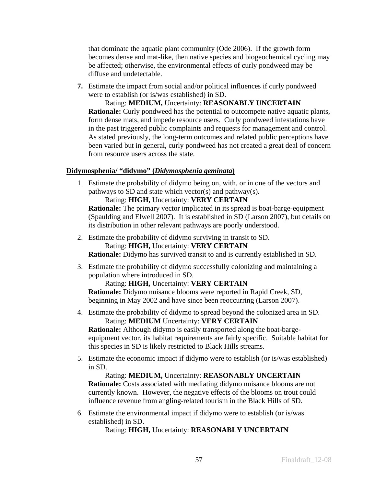that dominate the aquatic plant community (Ode 2006). If the growth form becomes dense and mat-like, then native species and biogeochemical cycling may be affected; otherwise, the environmental effects of curly pondweed may be diffuse and undetectable.

**7.** Estimate the impact from social and/or political influences if curly pondweed were to establish (or is/was established) in SD.

Rating: **MEDIUM,** Uncertainty: **REASONABLY UNCERTAIN Rationale:** Curly pondweed has the potential to outcompete native aquatic plants, form dense mats, and impede resource users. Curly pondweed infestations have in the past triggered public complaints and requests for management and control. As stated previously, the long-term outcomes and related public perceptions have been varied but in general, curly pondweed has not created a great deal of concern from resource users across the state.

## **Didymosphenia/ "didymo" (***Didymosphenia geminata***)**

1. Estimate the probability of didymo being on, with, or in one of the vectors and pathways to SD and state which vector(s) and pathway(s).

Rating: **HIGH,** Uncertainty: **VERY CERTAIN Rationale:** The primary vector implicated in its spread is boat-barge-equipment (Spaulding and Elwell 2007). It is established in SD (Larson 2007), but details on its distribution in other relevant pathways are poorly understood.

2. Estimate the probability of didymo surviving in transit to SD.

Rating: **HIGH,** Uncertainty: **VERY CERTAIN**

**Rationale:** Didymo has survived transit to and is currently established in SD.

3. Estimate the probability of didymo successfully colonizing and maintaining a population where introduced in SD.

Rating: **HIGH,** Uncertainty: **VERY CERTAIN**

**Rationale:** Didymo nuisance blooms were reported in Rapid Creek, SD, beginning in May 2002 and have since been reoccurring (Larson 2007).

4. Estimate the probability of didymo to spread beyond the colonized area in SD. Rating: **MEDIUM** Uncertainty: **VERY CERTAIN**

**Rationale:** Although didymo is easily transported along the boat-bargeequipment vector, its habitat requirements are fairly specific. Suitable habitat for this species in SD is likely restricted to Black Hills streams.

5. Estimate the economic impact if didymo were to establish (or is/was established) in SD.

Rating: **MEDIUM,** Uncertainty: **REASONABLY UNCERTAIN Rationale:** Costs associated with mediating didymo nuisance blooms are not currently known. However, the negative effects of the blooms on trout could influence revenue from angling-related tourism in the Black Hills of SD.

6. Estimate the environmental impact if didymo were to establish (or is/was established) in SD.

Rating: **HIGH,** Uncertainty: **REASONABLY UNCERTAIN**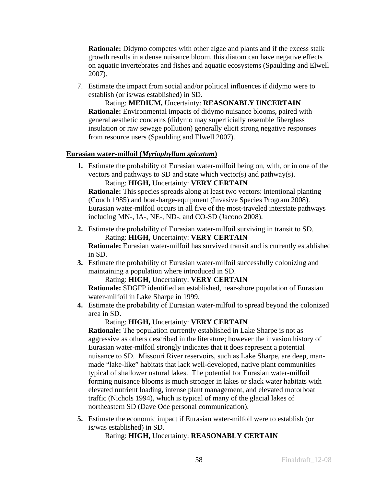**Rationale:** Didymo competes with other algae and plants and if the excess stalk growth results in a dense nuisance bloom, this diatom can have negative effects on aquatic invertebrates and fishes and aquatic ecosystems (Spaulding and Elwell 2007).

7. Estimate the impact from social and/or political influences if didymo were to establish (or is/was established) in SD.

Rating: **MEDIUM,** Uncertainty: **REASONABLY UNCERTAIN Rationale:** Environmental impacts of didymo nuisance blooms, paired with general aesthetic concerns (didymo may superficially resemble fiberglass insulation or raw sewage pollution) generally elicit strong negative responses from resource users (Spaulding and Elwell 2007).

## **Eurasian water-milfoil (***Myriophyllum spicatum***)**

**1.** Estimate the probability of Eurasian water-milfoil being on, with, or in one of the vectors and pathways to SD and state which vector(s) and pathway(s).

Rating: **HIGH,** Uncertainty: **VERY CERTAIN**

**Rationale:** This species spreads along at least two vectors: intentional planting (Couch 1985) and boat-barge-equipment (Invasive Species Program 2008). Eurasian water-milfoil occurs in all five of the most-traveled interstate pathways including MN-, IA-, NE-, ND-, and CO-SD (Jacono 2008).

**2.** Estimate the probability of Eurasian water-milfoil surviving in transit to SD. Rating: **HIGH,** Uncertainty: **VERY CERTAIN**

**Rationale:** Eurasian water-milfoil has survived transit and is currently established in SD.

**3.** Estimate the probability of Eurasian water-milfoil successfully colonizing and maintaining a population where introduced in SD.

Rating: **HIGH,** Uncertainty: **VERY CERTAIN**

**Rationale:** SDGFP identified an established, near-shore population of Eurasian water-milfoil in Lake Sharpe in 1999.

**4.** Estimate the probability of Eurasian water-milfoil to spread beyond the colonized area in SD.

## Rating: **HIGH,** Uncertainty: **VERY CERTAIN**

**Rationale:** The population currently established in Lake Sharpe is not as aggressive as others described in the literature; however the invasion history of Eurasian water-milfoil strongly indicates that it does represent a potential nuisance to SD. Missouri River reservoirs, such as Lake Sharpe, are deep, manmade "lake-like" habitats that lack well-developed, native plant communities typical of shallower natural lakes. The potential for Eurasian water-milfoil forming nuisance blooms is much stronger in lakes or slack water habitats with elevated nutrient loading, intense plant management, and elevated motorboat traffic (Nichols 1994), which is typical of many of the glacial lakes of northeastern SD (Dave Ode personal communication).

**5.** Estimate the economic impact if Eurasian water-milfoil were to establish (or is/was established) in SD.

Rating: **HIGH,** Uncertainty: **REASONABLY CERTAIN**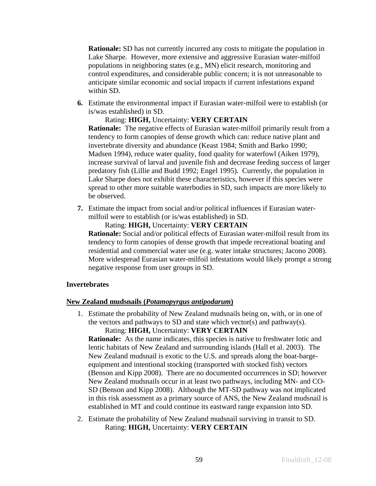**Rationale:** SD has not currently incurred any costs to mitigate the population in Lake Sharpe. However, more extensive and aggressive Eurasian water-milfoil populations in neighboring states (e.g., MN) elicit research, monitoring and control expenditures, and considerable public concern; it is not unreasonable to anticipate similar economic and social impacts if current infestations expand within SD.

**6.** Estimate the environmental impact if Eurasian water-milfoil were to establish (or is/was established) in SD.

## Rating: **HIGH,** Uncertainty: **VERY CERTAIN**

**Rationale:** The negative effects of Eurasian water-milfoil primarily result from a tendency to form canopies of dense growth which can: reduce native plant and invertebrate diversity and abundance (Keast 1984; Smith and Barko 1990; Madsen 1994), reduce water quality, food quality for waterfowl (Aiken 1979), increase survival of larval and juvenile fish and decrease feeding success of larger predatory fish (Lillie and Budd 1992; Engel 1995). Currently, the population in Lake Sharpe does not exhibit these characteristics, however if this species were spread to other more suitable waterbodies in SD, such impacts are more likely to be observed.

**7.** Estimate the impact from social and/or political influences if Eurasian watermilfoil were to establish (or is/was established) in SD.

### Rating: **HIGH,** Uncertainty: **VERY CERTAIN**

**Rationale:** Social and/or political effects of Eurasian water-milfoil result from its tendency to form canopies of dense growth that impede recreational boating and residential and commercial water use (e.g. water intake structures; Jacono 2008). More widespread Eurasian water-milfoil infestations would likely prompt a strong negative response from user groups in SD.

### **Invertebrates**

## **New Zealand mudsnails (***Potamopyrgus antipodarum***)**

1. Estimate the probability of New Zealand mudsnails being on, with, or in one of the vectors and pathways to SD and state which vector(s) and pathway(s).

Rating: **HIGH,** Uncertainty: **VERY CERTAIN**

**Rationale:** As the name indicates, this species is native to freshwater lotic and lentic habitats of New Zealand and surrounding islands (Hall et al. 2003). The New Zealand mudsnail is exotic to the U.S. and spreads along the boat-bargeequipment and intentional stocking (transported with stocked fish) vectors (Benson and Kipp 2008). There are no documented occurrences in SD; however New Zealand mudsnails occur in at least two pathways, including MN- and CO-SD (Benson and Kipp 2008). Although the MT-SD pathway was not implicated in this risk assessment as a primary source of ANS, the New Zealand mudsnail is established in MT and could continue its eastward range expansion into SD.

2. Estimate the probability of New Zealand mudsnail surviving in transit to SD. Rating: **HIGH,** Uncertainty: **VERY CERTAIN**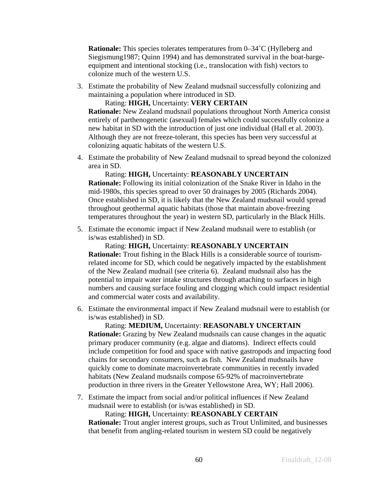**Rationale:** This species tolerates temperatures from 0–34°C (Hylleberg and Siegismung1987; Quinn 1994) and has demonstrated survival in the boat-bargeequipment and intentional stocking (i.e., translocation with fish) vectors to colonize much of the western U.S.

3. Estimate the probability of New Zealand mudsnail successfully colonizing and maintaining a population where introduced in SD.

Rating: **HIGH,** Uncertainty: **VERY CERTAIN**

**Rationale:** New Zealand mudsnail populations throughout North America consist entirely of parthenogenetic (asexual) females which could successfully colonize a new habitat in SD with the introduction of just one individual (Hall et al. 2003). Although they are not freeze-tolerant, this species has been very successful at colonizing aquatic habitats of the western U.S.

4. Estimate the probability of New Zealand mudsnail to spread beyond the colonized area in SD.

Rating: **HIGH,** Uncertainty: **REASONABLY UNCERTAIN Rationale:** Following its initial colonization of the Snake River in Idaho in the mid-1980s, this species spread to over 50 drainages by 2005 (Richards 2004). Once established in SD, it is likely that the New Zealand mudsnail would spread throughout geothermal aquatic habitats (those that maintain above-freezing temperatures throughout the year) in western SD, particularly in the Black Hills.

5. Estimate the economic impact if New Zealand mudsnail were to establish (or is/was established) in SD.

Rating: **HIGH,** Uncertainty: **REASONABLY UNCERTAIN Rationale:** Trout fishing in the Black Hills is a considerable source of tourismrelated income for SD, which could be negatively impacted by the establishment of the New Zealand mudnail (see criteria 6). Zealand mudsnail also has the potential to impair water intake structures through attaching to surfaces in high numbers and causing surface fouling and clogging which could impact residential and commercial water costs and availability.

6. Estimate the environmental impact if New Zealand mudsnail were to establish (or is/was established) in SD.

Rating: **MEDIUM,** Uncertainty: **REASONABLY UNCERTAIN Rationale:** Grazing by New Zealand mudsnails can cause changes in the aquatic primary producer community (e.g. algae and diatoms). Indirect effects could include competition for food and space with native gastropods and impacting food chains for secondary consumers, such as fish. New Zealand mudsnails have quickly come to dominate macroinvertebrate communities in recently invaded habitats (New Zealand mudsnails compose 65-92% of macroinvertebrate production in three rivers in the Greater Yellowstone Area, WY; Hall 2006).

7. Estimate the impact from social and/or political influences if New Zealand mudsnail were to establish (or is/was established) in SD.

Rating: **HIGH,** Uncertainty: **REASONABLY CERTAIN Rationale:** Trout angler interest groups, such as Trout Unlimited, and businesses that benefit from angling-related tourism in western SD could be negatively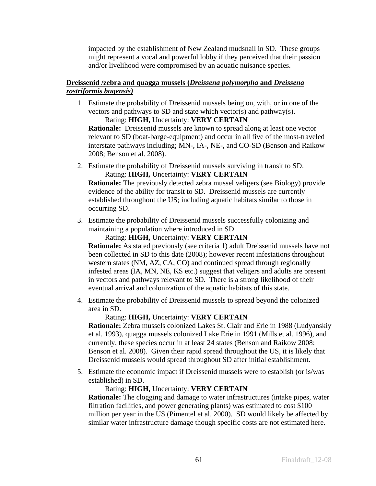impacted by the establishment of New Zealand mudsnail in SD. These groups might represent a vocal and powerful lobby if they perceived that their passion and/or livelihood were compromised by an aquatic nuisance species.

## **Dreissenid /zebra and quagga mussels (***Dreissena polymorpha* **and** *Dreissena rostriformis bugensis)*

1. Estimate the probability of Dreissenid mussels being on, with, or in one of the vectors and pathways to SD and state which vector(s) and pathway(s).

Rating: **HIGH,** Uncertainty: **VERY CERTAIN Rationale:** Dreissenid mussels are known to spread along at least one vector relevant to SD (boat-barge-equipment) and occur in all five of the most-traveled interstate pathways including; MN-, IA-, NE-, and CO-SD (Benson and Raikow 2008; Benson et al. 2008).

2. Estimate the probability of Dreissenid mussels surviving in transit to SD. Rating: **HIGH,** Uncertainty: **VERY CERTAIN**

**Rationale:** The previously detected zebra mussel veligers (see Biology) provide evidence of the ability for transit to SD. Dreissenid mussels are currently established throughout the US; including aquatic habitats similar to those in occurring SD.

3. Estimate the probability of Dreissenid mussels successfully colonizing and maintaining a population where introduced in SD.

Rating: **HIGH,** Uncertainty: **VERY CERTAIN**

**Rationale:** As stated previously (see criteria 1) adult Dreissenid mussels have not been collected in SD to this date (2008); however recent infestations throughout western states (NM, AZ, CA, CO) and continued spread through regionally infested areas (IA, MN, NE, KS etc.) suggest that veligers and adults are present in vectors and pathways relevant to SD. There is a strong likelihood of their eventual arrival and colonization of the aquatic habitats of this state.

4. Estimate the probability of Dreissenid mussels to spread beyond the colonized area in SD.

## Rating: **HIGH,** Uncertainty: **VERY CERTAIN**

**Rationale:** Zebra mussels colonized Lakes St. Clair and Erie in 1988 (Ludyanskiy et al. 1993), quagga mussels colonized Lake Erie in 1991 (Mills et al. 1996), and currently, these species occur in at least 24 states (Benson and Raikow 2008; Benson et al. 2008). Given their rapid spread throughout the US, it is likely that Dreissenid mussels would spread throughout SD after initial establishment.

5. Estimate the economic impact if Dreissenid mussels were to establish (or is/was established) in SD.

## Rating: **HIGH,** Uncertainty: **VERY CERTAIN**

**Rationale:** The clogging and damage to water infrastructures (intake pipes, water filtration facilities, and power generating plants) was estimated to cost \$100 million per year in the US (Pimentel et al. 2000). SD would likely be affected by similar water infrastructure damage though specific costs are not estimated here.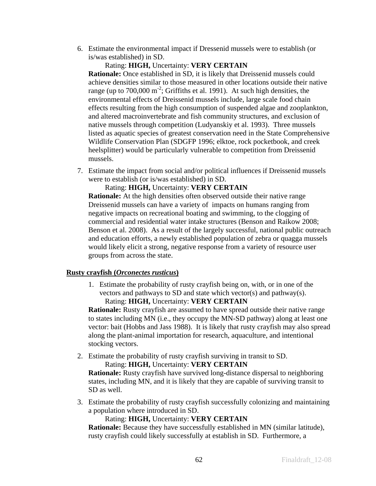6. Estimate the environmental impact if Dressenid mussels were to establish (or is/was established) in SD.

#### Rating: **HIGH,** Uncertainty: **VERY CERTAIN**

**Rationale:** Once established in SD, it is likely that Dreissenid mussels could achieve densities similar to those measured in other locations outside their native range (up to  $700,000 \text{ m}^{-2}$ ; Griffiths et al. 1991). At such high densities, the environmental effects of Dreissenid mussels include, large scale food chain effects resulting from the high consumption of suspended algae and zooplankton, and altered macroinvertebrate and fish community structures, and exclusion of native mussels through competition (Ludyanskiy et al. 1993). Three mussels listed as aquatic species of greatest conservation need in the State Comprehensive Wildlife Conservation Plan (SDGFP 1996; elktoe, rock pocketbook, and creek heelsplitter) would be particularly vulnerable to competition from Dreissenid mussels.

7. Estimate the impact from social and/or political influences if Dreissenid mussels were to establish (or is/was established) in SD.

### Rating: **HIGH,** Uncertainty: **VERY CERTAIN**

**Rationale:** At the high densities often observed outside their native range Dreissenid mussels can have a variety of impacts on humans ranging from negative impacts on recreational boating and swimming, to the clogging of commercial and residential water intake structures (Benson and Raikow 2008; Benson et al. 2008). As a result of the largely successful, national public outreach and education efforts, a newly established population of zebra or quagga mussels would likely elicit a strong, negative response from a variety of resource user groups from across the state.

### **Rusty crayfish (***Orconectes rusticus***)**

1. Estimate the probability of rusty crayfish being on, with, or in one of the vectors and pathways to SD and state which vector(s) and pathway(s). Rating: **HIGH,** Uncertainty: **VERY CERTAIN**

**Rationale:** Rusty crayfish are assumed to have spread outside their native range to states including MN (i.e., they occupy the MN-SD pathway) along at least one vector: bait (Hobbs and Jass 1988). It is likely that rusty crayfish may also spread along the plant-animal importation for research, aquaculture, and intentional stocking vectors.

2. Estimate the probability of rusty crayfish surviving in transit to SD. Rating: **HIGH,** Uncertainty: **VERY CERTAIN**

**Rationale:** Rusty crayfish have survived long-distance dispersal to neighboring states, including MN, and it is likely that they are capable of surviving transit to SD as well.

3. Estimate the probability of rusty crayfish successfully colonizing and maintaining a population where introduced in SD.

### Rating: **HIGH,** Uncertainty: **VERY CERTAIN**

**Rationale:** Because they have successfully established in MN (similar latitude), rusty crayfish could likely successfully at establish in SD. Furthermore, a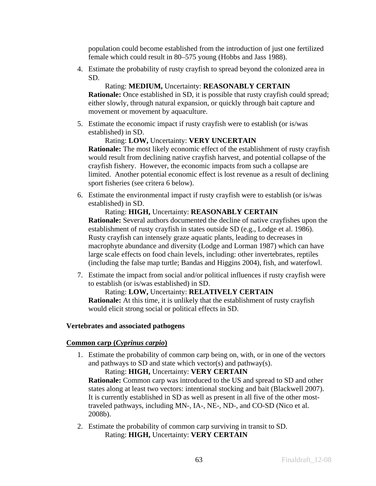population could become established from the introduction of just one fertilized female which could result in 80–575 young (Hobbs and Jass 1988).

4. Estimate the probability of rusty crayfish to spread beyond the colonized area in SD.

## Rating: **MEDIUM,** Uncertainty: **REASONABLY CERTAIN**

**Rationale:** Once established in SD, it is possible that rusty crayfish could spread; either slowly, through natural expansion, or quickly through bait capture and movement or movement by aquaculture.

5. Estimate the economic impact if rusty crayfish were to establish (or is/was established) in SD.

## Rating: **LOW,** Uncertainty: **VERY UNCERTAIN**

**Rationale:** The most likely economic effect of the establishment of rusty crayfish would result from declining native crayfish harvest, and potential collapse of the crayfish fishery. However, the economic impacts from such a collapse are limited. Another potential economic effect is lost revenue as a result of declining sport fisheries (see critera 6 below).

6. Estimate the environmental impact if rusty crayfish were to establish (or is/was established) in SD.

## Rating: **HIGH,** Uncertainty: **REASONABLY CERTAIN**

**Rationale:** Several authors documented the decline of native crayfishes upon the establishment of rusty crayfish in states outside SD (e.g., Lodge et al. 1986). Rusty crayfish can intensely graze aquatic plants, leading to decreases in macrophyte abundance and diversity (Lodge and Lorman 1987) which can have large scale effects on food chain levels, including: other invertebrates, reptiles (including the false map turtle; Bandas and Higgins 2004), fish, and waterfowl.

7. Estimate the impact from social and/or political influences if rusty crayfish were to establish (or is/was established) in SD.

## Rating: **LOW,** Uncertainty: **RELATIVELY CERTAIN**

**Rationale:** At this time, it is unlikely that the establishment of rusty crayfish would elicit strong social or political effects in SD.

## **Vertebrates and associated pathogens**

## **Common carp (***Cyprinus carpio***)**

1. Estimate the probability of common carp being on, with, or in one of the vectors and pathways to SD and state which vector(s) and pathway(s).

Rating: **HIGH,** Uncertainty: **VERY CERTAIN Rationale:** Common carp was introduced to the US and spread to SD and other states along at least two vectors: intentional stocking and bait (Blackwell 2007). It is currently established in SD as well as present in all five of the other mosttraveled pathways, including MN-, IA-, NE-, ND-, and CO-SD (Nico et al. 2008b).

2. Estimate the probability of common carp surviving in transit to SD. Rating: **HIGH,** Uncertainty: **VERY CERTAIN**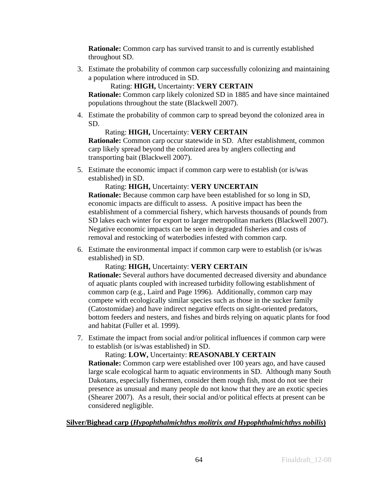**Rationale:** Common carp has survived transit to and is currently established throughout SD.

3. Estimate the probability of common carp successfully colonizing and maintaining a population where introduced in SD.

Rating: **HIGH,** Uncertainty: **VERY CERTAIN**

**Rationale:** Common carp likely colonized SD in 1885 and have since maintained populations throughout the state (Blackwell 2007).

4. Estimate the probability of common carp to spread beyond the colonized area in SD.

## Rating: **HIGH,** Uncertainty: **VERY CERTAIN**

**Rationale:** Common carp occur statewide in SD. After establishment, common carp likely spread beyond the colonized area by anglers collecting and transporting bait (Blackwell 2007).

5. Estimate the economic impact if common carp were to establish (or is/was established) in SD.

## Rating: **HIGH,** Uncertainty: **VERY UNCERTAIN**

**Rationale:** Because common carp have been established for so long in SD, economic impacts are difficult to assess. A positive impact has been the establishment of a commercial fishery, which harvests thousands of pounds from SD lakes each winter for export to larger metropolitan markets (Blackwell 2007). Negative economic impacts can be seen in degraded fisheries and costs of removal and restocking of waterbodies infested with common carp.

6. Estimate the environmental impact if common carp were to establish (or is/was established) in SD.

## Rating: **HIGH,** Uncertainty: **VERY CERTAIN**

**Rationale:** Several authors have documented decreased diversity and abundance of aquatic plants coupled with increased turbidity following establishment of common carp (e.g., Laird and Page 1996). Additionally, common carp may compete with ecologically similar species such as those in the sucker family (Catostomidae) and have indirect negative effects on sight-oriented predators, bottom feeders and nesters, and fishes and birds relying on aquatic plants for food and habitat (Fuller et al. 1999).

7. Estimate the impact from social and/or political influences if common carp were to establish (or is/was established) in SD.

Rating: **LOW,** Uncertainty: **REASONABLY CERTAIN**

**Rationale:** Common carp were established over 100 years ago, and have caused large scale ecological harm to aquatic environments in SD. Although many South Dakotans, especially fishermen, consider them rough fish, most do not see their presence as unusual and many people do not know that they are an exotic species (Shearer 2007). As a result, their social and/or political effects at present can be considered negligible.

## **Silver/Bighead carp (***Hypophthalmichthys molitrix and Hypophthalmichthys nobilis***)**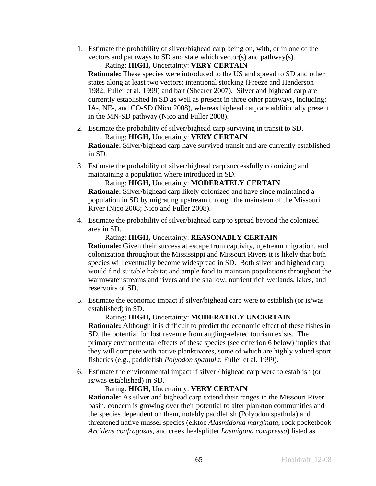1. Estimate the probability of silver/bighead carp being on, with, or in one of the vectors and pathways to SD and state which vector(s) and pathway(s).

## Rating: **HIGH,** Uncertainty: **VERY CERTAIN**

**Rationale:** These species were introduced to the US and spread to SD and other states along at least two vectors: intentional stocking (Freeze and Henderson 1982; Fuller et al. 1999) and bait (Shearer 2007). Silver and bighead carp are currently established in SD as well as present in three other pathways, including: IA-, NE-, and CO-SD (Nico 2008), whereas bighead carp are additionally present in the MN-SD pathway (Nico and Fuller 2008).

2. Estimate the probability of silver/bighead carp surviving in transit to SD. Rating: **HIGH,** Uncertainty: **VERY CERTAIN**

**Rationale:** Silver/bighead carp have survived transit and are currently established in SD.

3. Estimate the probability of silver/bighead carp successfully colonizing and maintaining a population where introduced in SD.

Rating: **HIGH,** Uncertainty: **MODERATELY CERTAIN Rationale:** Silver/bighead carp likely colonized and have since maintained a population in SD by migrating upstream through the mainstem of the Missouri River (Nico 2008; Nico and Fuller 2008).

4. Estimate the probability of silver/bighead carp to spread beyond the colonized area in SD.

## Rating: **HIGH,** Uncertainty: **REASONABLY CERTAIN**

**Rationale:** Given their success at escape from captivity, upstream migration, and colonization throughout the Mississippi and Missouri Rivers it is likely that both species will eventually become widespread in SD. Both silver and bighead carp would find suitable habitat and ample food to maintain populations throughout the warmwater streams and rivers and the shallow, nutrient rich wetlands, lakes, and reservoirs of SD.

5. Estimate the economic impact if silver/bighead carp were to establish (or is/was established) in SD.

### Rating: **HIGH,** Uncertainty: **MODERATELY UNCERTAIN**

**Rationale:** Although it is difficult to predict the economic effect of these fishes in SD, the potential for lost revenue from angling-related tourism exists. The primary environmental effects of these species (see criterion 6 below) implies that they will compete with native planktivores, some of which are highly valued sport fisheries (e.g., paddlefish *Polyodon spathula*; Fuller et al. 1999).

6. Estimate the environmental impact if silver / bighead carp were to establish (or is/was established) in SD.

## Rating: **HIGH,** Uncertainty: **VERY CERTAIN**

**Rationale:** As silver and bighead carp extend their ranges in the Missouri River basin, concern is growing over their potential to alter plankton communities and the species dependent on them, notably paddlefish (Polyodon spathula) and threatened native mussel species (elktoe *Alasmidonta marginata*, rock pocketbook *Arcidens confragosus*, and creek heelsplitter *Lasmigona compressa*) listed as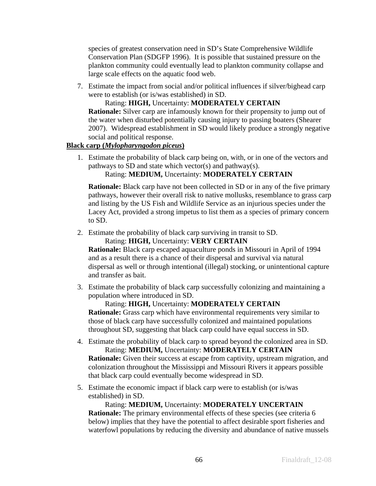species of greatest conservation need in SD's State Comprehensive Wildlife Conservation Plan (SDGFP 1996). It is possible that sustained pressure on the plankton community could eventually lead to plankton community collapse and large scale effects on the aquatic food web.

7. Estimate the impact from social and/or political influences if silver/bighead carp were to establish (or is/was established) in SD.

Rating: **HIGH,** Uncertainty: **MODERATELY CERTAIN**

**Rationale:** Silver carp are infamously known for their propensity to jump out of the water when disturbed potentially causing injury to passing boaters (Shearer 2007). Widespread establishment in SD would likely produce a strongly negative social and political response.

## **Black carp (***Mylopharyngodon piceus***)**

1. Estimate the probability of black carp being on, with, or in one of the vectors and pathways to SD and state which vector(s) and pathway(s).

Rating: **MEDIUM,** Uncertainty: **MODERATELY CERTAIN**

**Rationale:** Black carp have not been collected in SD or in any of the five primary pathways, however their overall risk to native mollusks, resemblance to grass carp and listing by the US Fish and Wildlife Service as an injurious species under the Lacey Act, provided a strong impetus to list them as a species of primary concern to SD.

2. Estimate the probability of black carp surviving in transit to SD.

Rating: **HIGH,** Uncertainty: **VERY CERTAIN**

**Rationale:** Black carp escaped aquaculture ponds in Missouri in April of 1994 and as a result there is a chance of their dispersal and survival via natural dispersal as well or through intentional (illegal) stocking, or unintentional capture and transfer as bait.

3. Estimate the probability of black carp successfully colonizing and maintaining a population where introduced in SD.

Rating: **HIGH,** Uncertainty: **MODERATELY CERTAIN Rationale:** Grass carp which have environmental requirements very similar to those of black carp have successfully colonized and maintained populations throughout SD, suggesting that black carp could have equal success in SD.

4. Estimate the probability of black carp to spread beyond the colonized area in SD. Rating: **MEDIUM,** Uncertainty: **MODERATELY CERTAIN Rationale:** Given their success at escape from captivity, upstream migration, and

colonization throughout the Mississippi and Missouri Rivers it appears possible that black carp could eventually become widespread in SD.

5. Estimate the economic impact if black carp were to establish (or is/was established) in SD.

Rating: **MEDIUM,** Uncertainty: **MODERATELY UNCERTAIN Rationale:** The primary environmental effects of these species (see criteria 6 below) implies that they have the potential to affect desirable sport fisheries and waterfowl populations by reducing the diversity and abundance of native mussels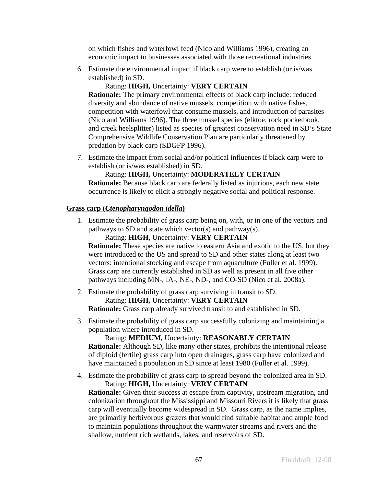on which fishes and waterfowl feed (Nico and Williams 1996), creating an economic impact to businesses associated with those recreational industries.

6. Estimate the environmental impact if black carp were to establish (or is/was established) in SD.

## Rating: **HIGH,** Uncertainty: **VERY CERTAIN**

**Rationale:** The primary environmental effects of black carp include: reduced diversity and abundance of native mussels, competition with native fishes, competition with waterfowl that consume mussels, and introduction of parasites (Nico and Williams 1996). The three mussel species (elktoe, rock pocketbook, and creek heelsplitter) listed as species of greatest conservation need in SD's State Comprehensive Wildlife Conservation Plan are particularly threatened by predation by black carp (SDGFP 1996).

7. Estimate the impact from social and/or political influences if black carp were to establish (or is/was established) in SD.

## Rating: **HIGH,** Uncertainty: **MODERATELY CERTAIN**

**Rationale:** Because black carp are federally listed as injurious, each new state occurrence is likely to elicit a strongly negative social and political response.

### **Grass carp (***Ctenopharyngodon idella***)**

1. Estimate the probability of grass carp being on, with, or in one of the vectors and pathways to SD and state which vector(s) and pathway(s).

Rating: **HIGH,** Uncertainty: **VERY CERTAIN**

**Rationale:** These species are native to eastern Asia and exotic to the US, but they were introduced to the US and spread to SD and other states along at least two vectors: intentional stocking and escape from aquaculture (Fuller et al. 1999). Grass carp are currently established in SD as well as present in all five other pathways including MN-, IA-, NE-, ND-, and CO-SD (Nico et al. 2008a).

- 2. Estimate the probability of grass carp surviving in transit to SD. Rating: **HIGH,** Uncertainty: **VERY CERTAIN Rationale:** Grass carp already survived transit to and established in SD.
- 3. Estimate the probability of grass carp successfully colonizing and maintaining a population where introduced in SD.

Rating: **MEDIUM,** Uncertainty: **REASONABLY CERTAIN Rationale:** Although SD, like many other states, prohibits the intentional release of diploid (fertile) grass carp into open drainages, grass carp have colonized and have maintained a population in SD since at least 1980 (Fuller et al. 1999).

4. Estimate the probability of grass carp to spread beyond the colonized area in SD. Rating: **HIGH,** Uncertainty: **VERY CERTAIN**

**Rationale:** Given their success at escape from captivity, upstream migration, and colonization throughout the Mississippi and Missouri Rivers it is likely that grass carp will eventually become widespread in SD. Grass carp, as the name implies, are primarily herbivorous grazers that would find suitable habitat and ample food to maintain populations throughout the warmwater streams and rivers and the shallow, nutrient rich wetlands, lakes, and reservoirs of SD.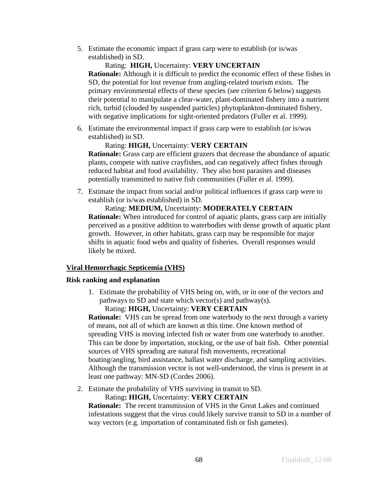5. Estimate the economic impact if grass carp were to establish (or is/was established) in SD.

### Rating: **HIGH,** Uncertainty: **VERY UNCERTAIN**

**Rationale:** Although it is difficult to predict the economic effect of these fishes in SD, the potential for lost revenue from angling-related tourism exists. The primary environmental effects of these species (see criterion 6 below) suggests their potential to manipulate a clear-water, plant-dominated fishery into a nutrient rich, turbid (clouded by suspended particles) phytoplankton-dominated fishery, with negative implications for sight-oriented predators (Fuller et al. 1999).

6. Estimate the environmental impact if grass carp were to establish (or is/was established) in SD.

## Rating: **HIGH,** Uncertainty: **VERY CERTAIN**

**Rationale:** Grass carp are efficient grazers that decrease the abundance of aquatic plants, compete with native crayfishes, and can negatively affect fishes through reduced habitat and food availability. They also host parasites and diseases potentially transmitted to native fish communities (Fuller et al. 1999).

7. Estimate the impact from social and/or political influences if grass carp were to establish (or is/was established) in SD.

## Rating: **MEDIUM,** Uncertainty: **MODERATELY CERTAIN Rationale:** When introduced for control of aquatic plants, grass carp are initially perceived as a positive addition to waterbodies with dense growth of aquatic plant growth. However, in other habitats, grass carp may be responsible for major shifts in aquatic food webs and quality of fisheries. Overall responses would likely be mixed.

## **Viral Hemorrhagic Septicemia (VHS)**

### **Risk ranking and explanation**

1. Estimate the probability of VHS being on, with, or in one of the vectors and pathways to SD and state which vector(s) and pathway(s). Rating: **HIGH,** Uncertainty: **VERY CERTAIN**

**Rationale:** VHS can be spread from one waterbody to the next through a variety of means, not all of which are known at this time. One known method of spreading VHS is moving infected fish or water from one waterbody to another. This can be done by importation, stocking, or the use of bait fish. Other potential sources of VHS spreading are natural fish movements, recreational boating/angling, bird assistance, ballast water discharge, and sampling activities. Although the transmission vector is not well-understood, the virus is present in at least one pathway: MN-SD (Cordes 2006).

2. Estimate the probability of VHS surviving in transit to SD.

Rating**: HIGH,** Uncertainty: **VERY CERTAIN**

**Rationale:** The recent transmission of VHS in the Great Lakes and continued infestations suggest that the virus could likely survive transit to SD in a number of way vectors (e.g. importation of contaminated fish or fish gametes).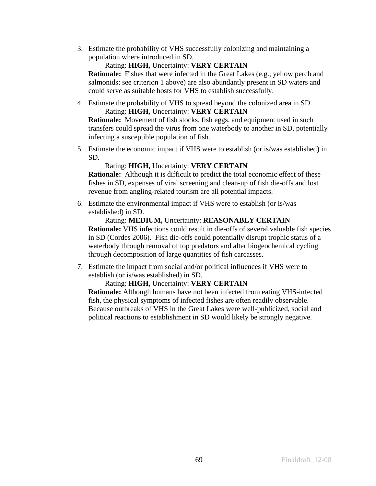3. Estimate the probability of VHS successfully colonizing and maintaining a population where introduced in SD.

## Rating: **HIGH,** Uncertainty: **VERY CERTAIN**

**Rationale:** Fishes that were infected in the Great Lakes (e.g., yellow perch and salmonids; see criterion 1 above) are also abundantly present in SD waters and could serve as suitable hosts for VHS to establish successfully.

4. Estimate the probability of VHS to spread beyond the colonized area in SD. Rating: **HIGH,** Uncertainty: **VERY CERTAIN**

**Rationale:** Movement of fish stocks, fish eggs, and equipment used in such transfers could spread the virus from one waterbody to another in SD, potentially infecting a susceptible population of fish.

5. Estimate the economic impact if VHS were to establish (or is/was established) in SD.

## Rating: **HIGH,** Uncertainty: **VERY CERTAIN**

**Rationale:** Although it is difficult to predict the total economic effect of these fishes in SD, expenses of viral screening and clean-up of fish die-offs and lost revenue from angling-related tourism are all potential impacts.

6. Estimate the environmental impact if VHS were to establish (or is/was established) in SD.

Rating: **MEDIUM,** Uncertainty: **REASONABLY CERTAIN Rationale:** VHS infections could result in die-offs of several valuable fish species in SD (Cordes 2006). Fish die-offs could potentially disrupt trophic status of a waterbody through removal of top predators and alter biogeochemical cycling through decomposition of large quantities of fish carcasses.

7. Estimate the impact from social and/or political influences if VHS were to establish (or is/was established) in SD.

## Rating: **HIGH,** Uncertainty: **VERY CERTAIN**

**Rationale:** Although humans have not been infected from eating VHS-infected fish, the physical symptoms of infected fishes are often readily observable. Because outbreaks of VHS in the Great Lakes were well-publicized, social and political reactions to establishment in SD would likely be strongly negative.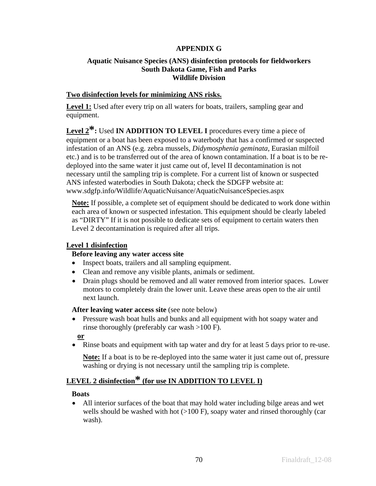## **APPENDIX G**

## **Aquatic Nuisance Species (ANS) disinfection protocols for fieldworkers South Dakota Game, Fish and Parks Wildlife Division**

## **Two disinfection levels for minimizing ANS risks.**

Level 1: Used after every trip on all waters for boats, trailers, sampling gear and equipment.

Level 2<sup>\*</sup>: Used **IN ADDITION TO LEVEL I** procedures every time a piece of equipment or a boat has been exposed to a waterbody that has a confirmed or suspected infestation of an ANS (e.g. zebra mussels, *Didymosphenia geminata*, Eurasian milfoil etc.) and is to be transferred out of the area of known contamination. If a boat is to be redeployed into the same water it just came out of, level II decontamination is not necessary until the sampling trip is complete. For a current list of known or suspected ANS infested waterbodies in South Dakota; check the SDGFP website at: www.sdgfp.info/Wildlife/AquaticNuisance/AquaticNuisanceSpecies.aspx

**Note:** If possible, a complete set of equipment should be dedicated to work done within each area of known or suspected infestation. This equipment should be clearly labeled as "DIRTY" If it is not possible to dedicate sets of equipment to certain waters then Level 2 decontamination is required after all trips.

## **Level 1 disinfection**

## **Before leaving any water access site**

- Inspect boats, trailers and all sampling equipment.
- Clean and remove any visible plants, animals or sediment.
- Drain plugs should be removed and all water removed from interior spaces. Lower motors to completely drain the lower unit. Leave these areas open to the air until next launch.

### After leaving water access site (see note below)

• Pressure wash boat hulls and bunks and all equipment with hot soapy water and rinse thoroughly (preferably car wash >100 F).

**or**

• Rinse boats and equipment with tap water and dry for at least 5 days prior to re-use.

**Note:** If a boat is to be re-deployed into the same water it just came out of, pressure washing or drying is not necessary until the sampling trip is complete.

# **LEVEL 2 disinfection\* (for use IN ADDITION TO LEVEL I)**

### **Boats**

• All interior surfaces of the boat that may hold water including bilge areas and wet wells should be washed with hot  $(>100 \text{ F})$ , soapy water and rinsed thoroughly (car wash).